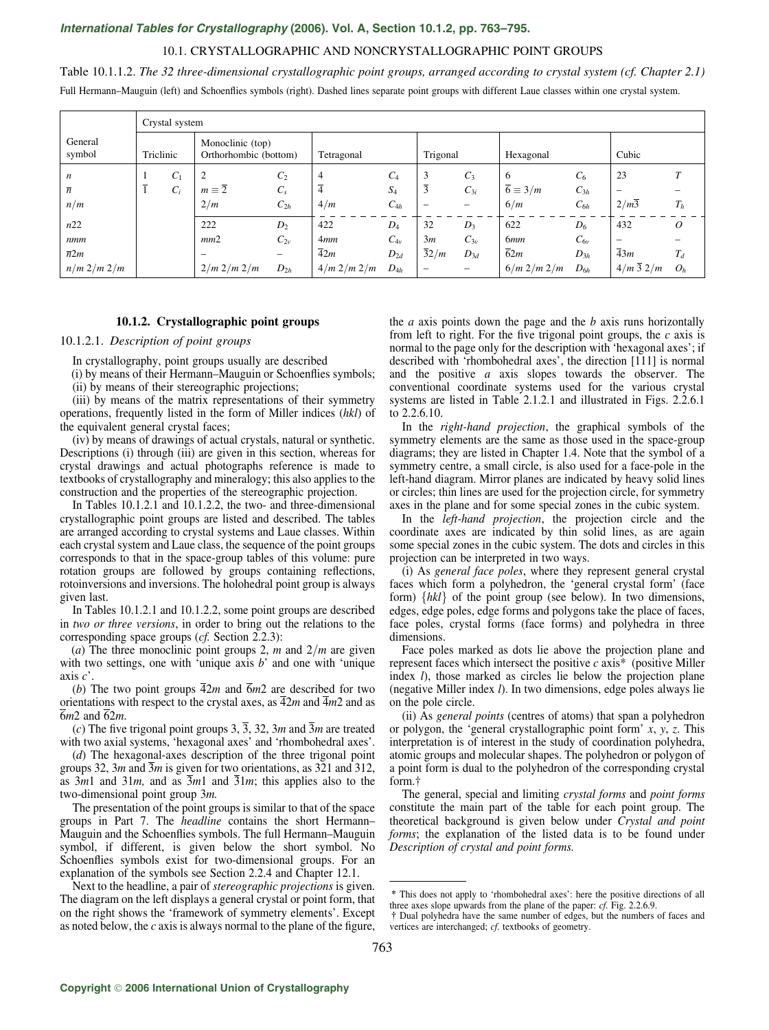#### *International Tables for Crystallography* **[\(2006\). Vol. A, Section 10.1.2, pp. 763–795.](http://it.iucr.org/Ab/ch10o1v0001/sec10o1o2/)**

#### 10.1. CRYSTALLOGRAPHIC AND NONCRYSTALLOGRAPHIC POINT GROUPS

Table 10.1.1.2. *The 32 three-dimensional crystallographic point groups, arranged according to crystal system (cf. Chapter 2.1)* Full Hermann–Mauguin (left) and Schoenflies symbols (right). Dashed lines separate point groups with different Laue classes within one crystal system.

|                                                 | Crystal system                   |                                                       |                                                           |                                               |                                           |                                    |                               |                                                                 |                                           |                                              |                                  |
|-------------------------------------------------|----------------------------------|-------------------------------------------------------|-----------------------------------------------------------|-----------------------------------------------|-------------------------------------------|------------------------------------|-------------------------------|-----------------------------------------------------------------|-------------------------------------------|----------------------------------------------|----------------------------------|
| General<br>symbol                               | Triclinic                        | Monoclinic (top)<br>Orthorhombic (bottom)             |                                                           | Tetragonal                                    |                                           | Trigonal                           |                               | Hexagonal                                                       |                                           | Cubic                                        |                                  |
| $\boldsymbol{n}$<br>$\overline{n}$<br>n/m       | $C_1$<br>$\overline{1}$<br>$C_i$ | $\overline{2}$<br>$m \equiv 2$<br>2/m                 | $C_2$<br>$C_s$<br>$C_{2h}$                                | 4<br>$\overline{4}$<br>4/m                    | $C_4$<br>$S_4$<br>$C_{4h}$                | 3<br>$\overline{3}$<br>-           | $C_3$<br>$C_{3i}$             | 6<br>$\overline{6} \equiv 3/m$<br>6/m                           | $C_6$<br>$C_{3h}$<br>$C_{6h}$             | 23<br>-<br>$2/m\overline{3}$                 | $T_h$                            |
| n22<br>nmm<br>$\overline{n}2m$<br>$n/m$ 2/m 2/m |                                  | 222<br>mm2<br>$\overline{\phantom{a}}$<br>2/m 2/m 2/m | $D_2$<br>$C_{2v}$<br>$\overline{\phantom{0}}$<br>$D_{2h}$ | 422<br>4mm<br>$\overline{4}2m$<br>4/m 2/m 2/m | $D_4$<br>$C_{4v}$<br>$D_{2d}$<br>$D_{4h}$ | 32<br>3m<br>$\overline{3}2/m$<br>- | $D_3$<br>$C_{3v}$<br>$D_{3d}$ | 622<br>6mm<br>$\overline{6}2m$<br>$6/m \frac{2}{m} \frac{2}{m}$ | $D_6$<br>$C_{6v}$<br>$D_{3h}$<br>$D_{6h}$ | 432<br>$\overline{4}3m$<br>$4/m\sqrt{3} 2/m$ | $\overline{O}$<br>$T_d$<br>$O_h$ |

#### **10.1.2. Crystallographic point groups**

10.1.2.1. *Description of point groups*

In crystallography, point groups usually are described

(i) by means of their Hermann–Mauguin or Schoenflies symbols; (ii) by means of their stereographic projections;

(iii) by means of the matrix representations of their symmetry operations, frequently listed in the form of Miller indices (*hkl*) of the equivalent general crystal faces;

(iv) by means of drawings of actual crystals, natural or synthetic. Descriptions (i) through (iii) are given in this section, whereas for crystal drawings and actual photographs reference is made to textbooks of crystallography and mineralogy; this also applies to the construction and the properties of the stereographic projection.

In Tables 10.1.2.1 and 10.1.2.2, the two- and three-dimensional crystallographic point groups are listed and described. The tables are arranged according to crystal systems and Laue classes. Within each crystal system and Laue class, the sequence of the point groups corresponds to that in the space-group tables of this volume: pure rotation groups are followed by groups containing reflections, rotoinversions and inversions. The holohedral point group is always given last.

In Tables 10.1.2.1 and 10.1.2.2, some point groups are described in *two or three versions*, in order to bring out the relations to the corresponding space groups (*cf.* Section 2.2.3):

(*a*) The three monoclinic point groups 2, *m* and  $2/m$  are given with two settings, one with 'unique axis *b*' and one with 'unique axis *c*'.

(*b*) The two point groups  $\overline{42}m$  and  $\overline{6}m2$  are described for two orientations with respect to the crystal axes, as  $\frac{1}{4}2m$  and  $\frac{1}{4}m^2$  and as 6*m*2 and 62*m*.

(*c*) The five trigonal point groups 3,  $\overline{3}$ , 32, 3*m* and  $\overline{3}$ *m* are treated with two axial systems, 'hexagonal axes' and 'rhombohedral axes'.

(*d*) The hexagonal-axes description of the three trigonal point groups 32, 3*m* and  $\overline{3}m$  is given for two orientations, as 321 and 312, as 3*m*1 and 31*m,* and as 3*m*1 and 31*m*; this applies also to the two-dimensional point group 3*m.*

The presentation of the point groups is similar to that of the space groups in Part 7. The *headline* contains the short Hermann– Mauguin and the Schoenflies symbols. The full Hermann–Mauguin symbol, if different, is given below the short symbol. No Schoenflies symbols exist for two-dimensional groups. For an explanation of the symbols see Section 2.2.4 and Chapter 12.1.

Next to the headline, a pair of *stereographic projections* is given. The diagram on the left displays a general crystal or point form, that on the right shows the 'framework of symmetry elements'. Except as noted below, the *c* axis is always normal to the plane of the figure, the *a* axis points down the page and the *b* axis runs horizontally from left to right. For the five trigonal point groups, the *c* axis is normal to the page only for the description with 'hexagonal axes'; if described with 'rhombohedral axes', the direction [111] is normal and the positive *a* axis slopes towards the observer. The conventional coordinate systems used for the various crystal systems are listed in Table 2.1.2.1 and illustrated in Figs. 2.2.6.1 to 2.2.6.10.

In the *right-hand projection*, the graphical symbols of the symmetry elements are the same as those used in the space-group diagrams; they are listed in Chapter 1.4. Note that the symbol of a symmetry centre, a small circle, is also used for a face-pole in the left-hand diagram. Mirror planes are indicated by heavy solid lines or circles; thin lines are used for the projection circle, for symmetry axes in the plane and for some special zones in the cubic system.

In the *left-hand projection*, the projection circle and the coordinate axes are indicated by thin solid lines, as are again some special zones in the cubic system. The dots and circles in this projection can be interpreted in two ways.

(i) As *general face poles*, where they represent general crystal faces which form a polyhedron, the 'general crystal form' (face form)  $\{hkl\}$  of the point group (see below). In two dimensions, edges, edge poles, edge forms and polygons take the place of faces, face poles, crystal forms (face forms) and polyhedra in three dimensions.

Face poles marked as dots lie above the projection plane and represent faces which intersect the positive *c* axis\* (positive Miller index *l*), those marked as circles lie below the projection plane (negative Miller index *l*). In two dimensions, edge poles always lie on the pole circle.

(ii) As *general points* (centres of atoms) that span a polyhedron or polygon, the 'general crystallographic point form' *x*, *y*, *z*. This interpretation is of interest in the study of coordination polyhedra, atomic groups and molecular shapes. The polyhedron or polygon of a point form is dual to the polyhedron of the corresponding crystal form.†

The general, special and limiting *crystal forms* and *point forms* constitute the main part of the table for each point group. The theoretical background is given below under *Crystal and point forms*; the explanation of the listed data is to be found under *Description of crystal and point forms.*

This does not apply to 'rhombohedral axes': here the positive directions of all three axes slope upwards from the plane of the paper: *cf.* Fig. 2.2.6.9.

Dual polyhedra have the same number of edges, but the numbers of faces and vertices are interchanged; *cf.* textbooks of geometry.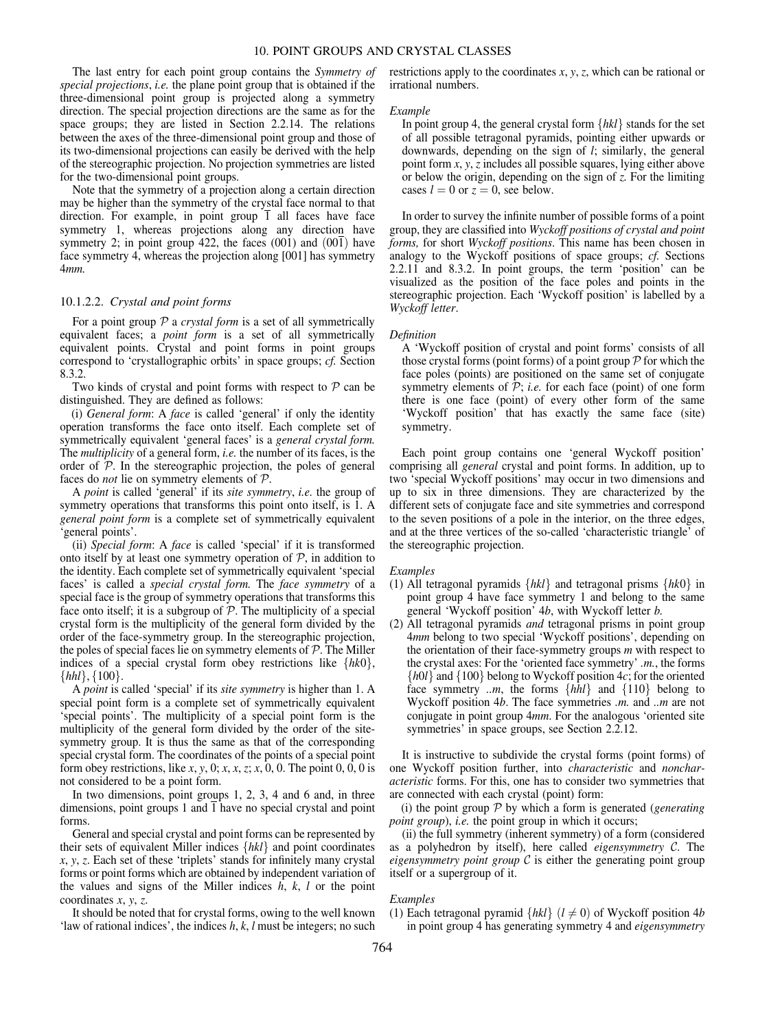The last entry for each point group contains the *Symmetry of special projections*, *i.e.* the plane point group that is obtained if the three-dimensional point group is projected along a symmetry direction. The special projection directions are the same as for the space groups; they are listed in Section 2.2.14. The relations between the axes of the three-dimensional point group and those of its two-dimensional projections can easily be derived with the help of the stereographic projection. No projection symmetries are listed for the two-dimensional point groups.

Note that the symmetry of a projection along a certain direction may be higher than the symmetry of the crystal face normal to that direction. For example, in point group  $\overline{1}$  all faces have face symmetry 1, whereas projections along any direction have symmetry 2; in point group 422, the faces  $(001)$  and  $(001)$  have face symmetry 4, whereas the projection along [001] has symmetry 4*mm.*

#### 10.1.2.2. *Crystal and point forms*

For a point group  $P$  a *crystal form* is a set of all symmetrically equivalent faces; a *point form* is a set of all symmetrically equivalent points. Crystal and point forms in point groups correspond to 'crystallographic orbits' in space groups; *cf.* Section 8.3.2.

Two kinds of crystal and point forms with respect to  $P$  can be distinguished. They are defined as follows:

(i) *General form*: A *face* is called 'general' if only the identity operation transforms the face onto itself. Each complete set of symmetrically equivalent 'general faces' is a *general crystal form.* The *multiplicity* of a general form, *i.e.* the number of its faces, is the order of  $P$ . In the stereographic projection, the poles of general faces do *not* lie on symmetry elements of  $P$ .

A *point* is called 'general' if its *site symmetry*, *i.e.* the group of symmetry operations that transforms this point onto itself, is 1. A *general point form* is a complete set of symmetrically equivalent 'general points'.

(ii) *Special form*: A *face* is called 'special' if it is transformed onto itself by at least one symmetry operation of  $P$ , in addition to the identity. Each complete set of symmetrically equivalent 'special faces' is called a *special crystal form.* The *face symmetry* of a special face is the group of symmetry operations that transforms this face onto itself; it is a subgroup of  $P$ . The multiplicity of a special crystal form is the multiplicity of the general form divided by the order of the face-symmetry group. In the stereographic projection, the poles of special faces lie on symmetry elements of  $P$ . The Miller indices of a special crystal form obey restrictions like  $\{hk0\}$ ,  $\{hhl\}, \{100\}.$ 

A *point* is called 'special' if its *site symmetry* is higher than 1. A special point form is a complete set of symmetrically equivalent 'special points'. The multiplicity of a special point form is the multiplicity of the general form divided by the order of the sitesymmetry group. It is thus the same as that of the corresponding special crystal form. The coordinates of the points of a special point form obey restrictions, like *x*, *y*, 0; *x*, *x*, *z*; *x*, 0, 0. The point 0, 0, 0 is not considered to be a point form.

In two dimensions, point groups 1, 2, 3, 4 and 6 and, in three dimensions, point groups 1 and  $\overline{1}$  have no special crystal and point forms.

General and special crystal and point forms can be represented by their sets of equivalent Miller indices  $\{hkl\}$  and point coordinates *x*, *y*, *z*. Each set of these 'triplets' stands for infinitely many crystal forms or point forms which are obtained by independent variation of the values and signs of the Miller indices *h*, *k*, *l* or the point coordinates *x*, *y*, *z*.

It should be noted that for crystal forms, owing to the well known 'law of rational indices', the indices *h*, *k*, *l* must be integers; no such restrictions apply to the coordinates *x*, *y*, *z*, which can be rational or irrational numbers.

#### *Example*

In point group 4, the general crystal form  $\{hkl\}$  stands for the set of all possible tetragonal pyramids, pointing either upwards or downwards, depending on the sign of *l*; similarly, the general point form *x*, *y*, *z* includes all possible squares, lying either above or below the origin, depending on the sign of *z.* For the limiting cases  $l = 0$  or  $z = 0$ , see below.

In order to survey the infinite number of possible forms of a point group, they are classified into *Wyckoff positions of crystal and point forms,* for short *Wyckoff positions*. This name has been chosen in analogy to the Wyckoff positions of space groups; *cf.* Sections 2.2.11 and 8.3.2. In point groups, the term 'position' can be visualized as the position of the face poles and points in the stereographic projection. Each 'Wyckoff position' is labelled by a *Wyckoff letter*.

#### *Definition*

A 'Wyckoff position of crystal and point forms' consists of all those crystal forms (point forms) of a point group  $\mathcal P$  for which the face poles (points) are positioned on the same set of conjugate symmetry elements of  $\mathcal{P}$ ; *i.e.* for each face (point) of one form there is one face (point) of every other form of the same 'Wyckoff position' that has exactly the same face (site) symmetry.

Each point group contains one 'general Wyckoff position' comprising all *general* crystal and point forms. In addition, up to two 'special Wyckoff positions' may occur in two dimensions and up to six in three dimensions. They are characterized by the different sets of conjugate face and site symmetries and correspond to the seven positions of a pole in the interior, on the three edges, and at the three vertices of the so-called 'characteristic triangle' of the stereographic projection.

#### *Examples*

- (1) All tetragonal pyramids  $\{hkl\}$  and tetragonal prisms  $\{hk0\}$  in point group 4 have face symmetry 1 and belong to the same general 'Wyckoff position' 4*b*, with Wyckoff letter *b.*
- (2) All tetragonal pyramids *and* tetragonal prisms in point group 4*mm* belong to two special 'Wyckoff positions', depending on the orientation of their face-symmetry groups *m* with respect to the crystal axes: For the 'oriented face symmetry' *.m.*, the forms  $\{h0l\}$  and  $\{100\}$  belong to Wyckoff position 4*c*; for the oriented face symmetry  $\ldots$ *m*, the forms  $\{hhl\}$  and  $\{110\}$  belong to Wyckoff position 4*b*. The face symmetries *.m.* and *..m* are not conjugate in point group 4*mm*. For the analogous 'oriented site symmetries' in space groups, see Section 2.2.12.

It is instructive to subdivide the crystal forms (point forms) of one Wyckoff position further, into *characteristic* and *noncharacteristic* forms. For this, one has to consider two symmetries that are connected with each crystal (point) form:

(i) the point group  $P$  by which a form is generated (*generating point group*), *i.e.* the point group in which it occurs;

(ii) the full symmetry (inherent symmetry) of a form (considered as a polyhedron by itself), here called *eigensymmetry*  $C$ . The *eigensymmetry point group*  $\mathcal C$  is either the generating point group itself or a supergroup of it.

#### *Examples*

(1) Each tetragonal pyramid  $\{hkl\}$  ( $l \neq 0$ ) of Wyckoff position 4*b* in point group 4 has generating symmetry 4 and *eigensymmetry*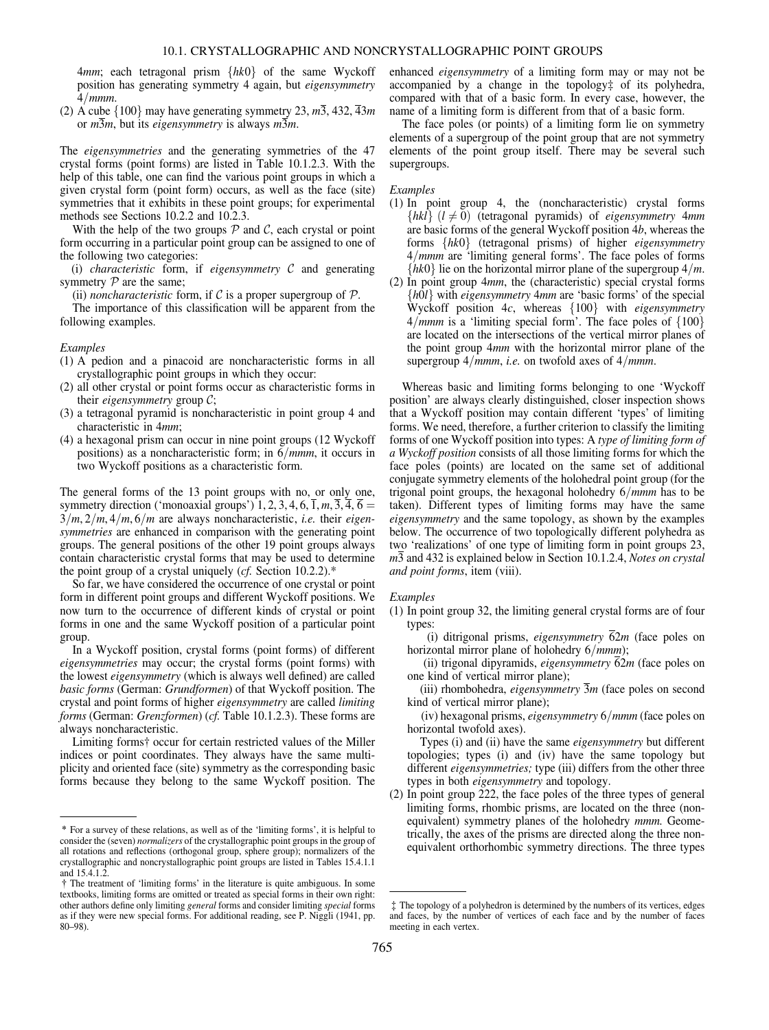4*mm*; each tetragonal prism  $\{hk0\}$  of the same Wyckoff position has generating symmetry 4 again, but *eigensymmetry* 4*mmm*.

(2) A cube  $\{100\}$  may have generating symmetry 23, m3, 432, 43m or *m*3*m*, but its *eigensymmetry* is always *m*3*m*.

The *eigensymmetries* and the generating symmetries of the 47 crystal forms (point forms) are listed in Table 10.1.2.3. With the help of this table, one can find the various point groups in which a given crystal form (point form) occurs, as well as the face (site) symmetries that it exhibits in these point groups; for experimental methods see Sections 10.2.2 and 10.2.3.

With the help of the two groups  $P$  and  $C$ , each crystal or point form occurring in a particular point group can be assigned to one of the following two categories:

(i) *characteristic* form, if *eigensymmetry*  $C$  and generating symmetry  $P$  are the same;

(ii) *noncharacteristic* form, if  $\mathcal C$  is a proper supergroup of  $\mathcal P$ .

The importance of this classification will be apparent from the following examples.

#### *Examples*

- (1) A pedion and a pinacoid are noncharacteristic forms in all crystallographic point groups in which they occur:
- (2) all other crystal or point forms occur as characteristic forms in their *eigensymmetry* group  $C$ ;
- (3) a tetragonal pyramid is noncharacteristic in point group 4 and characteristic in 4*mm*;
- (4) a hexagonal prism can occur in nine point groups (12 Wyckoff positions) as a noncharacteristic form; in  $6/mmm$ , it occurs in two Wyckoff positions as a characteristic form.

The general forms of the 13 point groups with no, or only one, symmetry direction ('monoaxial groups') 1, 2, 3, 4, 6,  $\overline{1}$ ,  $m, \overline{3}, \overline{4}, \overline{6}$  = 3*m*, 2*m*, 4*m*, 6*m* are always noncharacteristic, *i.e.* their *eigensymmetries* are enhanced in comparison with the generating point groups. The general positions of the other 19 point groups always contain characteristic crystal forms that may be used to determine the point group of a crystal uniquely (*cf.* Section 10.2.2).\*

So far, we have considered the occurrence of one crystal or point form in different point groups and different Wyckoff positions. We now turn to the occurrence of different kinds of crystal or point forms in one and the same Wyckoff position of a particular point group.

In a Wyckoff position, crystal forms (point forms) of different *eigensymmetries* may occur; the crystal forms (point forms) with the lowest *eigensymmetry* (which is always well defined) are called *basic forms* (German: *Grundformen*) of that Wyckoff position. The crystal and point forms of higher *eigensymmetry* are called *limiting forms* (German: *Grenzformen*) (*cf.* Table 10.1.2.3). These forms are always noncharacteristic.

Limiting forms† occur for certain restricted values of the Miller indices or point coordinates. They always have the same multiplicity and oriented face (site) symmetry as the corresponding basic forms because they belong to the same Wyckoff position. The enhanced *eigensymmetry* of a limiting form may or may not be accompanied by a change in the topology‡ of its polyhedra, compared with that of a basic form. In every case, however, the name of a limiting form is different from that of a basic form.

The face poles (or points) of a limiting form lie on symmetry elements of a supergroup of the point group that are not symmetry elements of the point group itself. There may be several such supergroups.

#### *Examples*

- (1) In point group 4, the (noncharacteristic) crystal forms  $\{hkl\}$  ( $l \neq 0$ ) (tetragonal pyramids) of *eigensymmetry* 4*mm* are basic forms of the general Wyckoff position 4*b*, whereas the forms  $\{hk0\}$  (tetragonal prisms) of higher *eigensymmetry* 4*mmm* are 'limiting general forms'. The face poles of forms  $\{hk0\}$  lie on the horizontal mirror plane of the supergroup  $4/m$ .
- (2) In point group 4*mm*, the (characteristic) special crystal forms *h*0*l*- with *eigensymmetry* 4*mm* are 'basic forms' of the special Wyckoff position 4*c*, whereas  $\{100\}$  with *eigensymmetry*  $4/mmm$  is a 'limiting special form'. The face poles of  $\{100\}$ are located on the intersections of the vertical mirror planes of the point group 4*mm* with the horizontal mirror plane of the supergroup 4*mmm*, *i.e.* on twofold axes of 4*mmm*.

Whereas basic and limiting forms belonging to one 'Wyckoff position' are always clearly distinguished, closer inspection shows that a Wyckoff position may contain different 'types' of limiting forms. We need, therefore, a further criterion to classify the limiting forms of one Wyckoff position into types: A *type of limiting form of a Wyckoff position* consists of all those limiting forms for which the face poles (points) are located on the same set of additional conjugate symmetry elements of the holohedral point group (for the trigonal point groups, the hexagonal holohedry 6/*mmm* has to be taken). Different types of limiting forms may have the same *eigensymmetry* and the same topology, as shown by the examples below. The occurrence of two topologically different polyhedra as two 'realizations' of one type of limiting form in point groups 23, *m*3 and 432 is explained below in Section 10.1.2.4, *Notes on crystal and point forms*, item (viii).

#### *Examples*

(1) In point group 32, the limiting general crystal forms are of four types:

(i) ditrigonal prisms, *eigensymmetry*  $\overline{6}2m$  (face poles on horizontal mirror plane of holohedry 6/*mmm*);

(ii) trigonal dipyramids, *eigensymmetry*  $\overline{62}m$  (face poles on one kind of vertical mirror plane);

(iii) rhombohedra, *eigensymmetry* 3*m* (face poles on second kind of vertical mirror plane);

(iv) hexagonal prisms, *eigensymmetry* 6/*mmm* (face poles on horizontal twofold axes).

Types (i) and (ii) have the same *eigensymmetry* but different topologies; types (i) and (iv) have the same topology but different *eigensymmetries*; type (iii) differs from the other three types in both *eigensymmetry* and topology.

(2) In point group 222, the face poles of the three types of general limiting forms, rhombic prisms, are located on the three (nonequivalent) symmetry planes of the holohedry *mmm.* Geometrically, the axes of the prisms are directed along the three nonequivalent orthorhombic symmetry directions. The three types

For a survey of these relations, as well as of the 'limiting forms', it is helpful to consider the (seven) *normalizers* of the crystallographic point groups in the group of all rotations and reflections (orthogonal group, sphere group); normalizers of the crystallographic and noncrystallographic point groups are listed in Tables 15.4.1.1 and 15.4.1.2.

The treatment of 'limiting forms' in the literature is quite ambiguous. In some textbooks, limiting forms are omitted or treated as special forms in their own right: other authors define only limiting *general* forms and consider limiting *special* forms as if they were new special forms. For additional reading, see P. Niggli (1941, pp. 80–98).

The topology of a polyhedron is determined by the numbers of its vertices, edges and faces, by the number of vertices of each face and by the number of faces meeting in each vertex.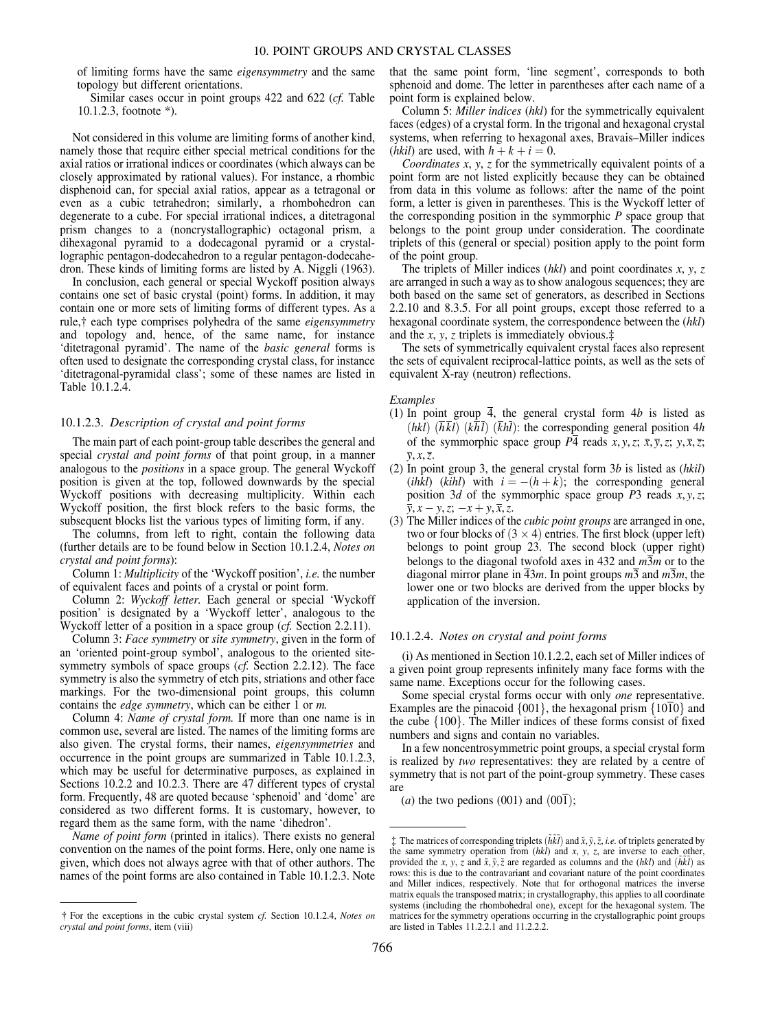of limiting forms have the same *eigensymmetry* and the same topology but different orientations.

Similar cases occur in point groups 422 and 622 (*cf.* Table 10.1.2.3, footnote \*).

Not considered in this volume are limiting forms of another kind, namely those that require either special metrical conditions for the axial ratios or irrational indices or coordinates (which always can be closely approximated by rational values). For instance, a rhombic disphenoid can, for special axial ratios, appear as a tetragonal or even as a cubic tetrahedron; similarly, a rhombohedron can degenerate to a cube. For special irrational indices, a ditetragonal prism changes to a (noncrystallographic) octagonal prism, a dihexagonal pyramid to a dodecagonal pyramid or a crystallographic pentagon-dodecahedron to a regular pentagon-dodecahedron. These kinds of limiting forms are listed by A. Niggli (1963).

In conclusion, each general or special Wyckoff position always contains one set of basic crystal (point) forms. In addition, it may contain one or more sets of limiting forms of different types. As a rule,† each type comprises polyhedra of the same *eigensymmetry* and topology and, hence, of the same name, for instance 'ditetragonal pyramid'. The name of the *basic general* forms is often used to designate the corresponding crystal class, for instance 'ditetragonal-pyramidal class'; some of these names are listed in Table 10.1.2.4.

#### 10.1.2.3. *Description of crystal and point forms*

The main part of each point-group table describes the general and special *crystal and point forms* of that point group, in a manner analogous to the *positions* in a space group. The general Wyckoff position is given at the top, followed downwards by the special Wyckoff positions with decreasing multiplicity. Within each Wyckoff position, the first block refers to the basic forms, the subsequent blocks list the various types of limiting form, if any.

The columns, from left to right, contain the following data (further details are to be found below in Section 10.1.2.4, *Notes on crystal and point forms*):

Column 1: *Multiplicity* of the 'Wyckoff position', *i.e.* the number of equivalent faces and points of a crystal or point form.

Column 2: *Wyckoff letter.* Each general or special 'Wyckoff position' is designated by a 'Wyckoff letter', analogous to the Wyckoff letter of a position in a space group (*cf.* Section 2.2.11).

Column 3: *Face symmetry* or *site symmetry*, given in the form of an 'oriented point-group symbol', analogous to the oriented sitesymmetry symbols of space groups (*cf.* Section 2.2.12). The face symmetry is also the symmetry of etch pits, striations and other face markings. For the two-dimensional point groups, this column contains the *edge symmetry*, which can be either 1 or *m.*

Column 4: *Name of crystal form.* If more than one name is in common use, several are listed. The names of the limiting forms are also given. The crystal forms, their names, *eigensymmetries* and occurrence in the point groups are summarized in Table 10.1.2.3, which may be useful for determinative purposes, as explained in Sections 10.2.2 and 10.2.3. There are 47 different types of crystal form. Frequently, 48 are quoted because 'sphenoid' and 'dome' are considered as two different forms. It is customary, however, to regard them as the same form, with the name 'dihedron'.

*Name of point form* (printed in italics). There exists no general convention on the names of the point forms. Here, only one name is given, which does not always agree with that of other authors. The names of the point forms are also contained in Table 10.1.2.3. Note that the same point form, 'line segment', corresponds to both sphenoid and dome. The letter in parentheses after each name of a point form is explained below.

Column 5: *Miller indices* (*hkl*) for the symmetrically equivalent faces (edges) of a crystal form. In the trigonal and hexagonal crystal systems, when referring to hexagonal axes, Bravais–Miller indices *(hkil)* are used, with  $h + k + i = 0$ .

*Coordinates x*, *y*, *z* for the symmetrically equivalent points of a point form are not listed explicitly because they can be obtained from data in this volume as follows: after the name of the point form, a letter is given in parentheses. This is the Wyckoff letter of the corresponding position in the symmorphic *P* space group that belongs to the point group under consideration. The coordinate triplets of this (general or special) position apply to the point form of the point group.

The triplets of Miller indices (*hkl*) and point coordinates *x*, *y*, *z* are arranged in such a way as to show analogous sequences; they are both based on the same set of generators, as described in Sections 2.2.10 and 8.3.5. For all point groups, except those referred to a hexagonal coordinate system, the correspondence between the (*hkl*) and the *x*, *y*, *z* triplets is immediately obvious.‡

The sets of symmetrically equivalent crystal faces also represent the sets of equivalent reciprocal-lattice points, as well as the sets of equivalent X-ray (neutron) reflections.

#### *Examples*

- (1) In point group  $\overline{4}$ , the general crystal form  $4b$  is listed as *(hkl)*  $(\overline{h}\overline{k}l)$   $(k\overline{h}\overline{l})$   $(\overline{k}h\overline{l})$ : the corresponding general position 4*h* of the symmorphic space group  $P\overline{4}$  reads *x*, *y*, *z*;  $\overline{x}$ ,  $\overline{y}$ , *z*;  $\overline{y}$ ,  $\overline{z}$ ; *y*, *x*,*z*.
- (2) In point group 3, the general crystal form 3*b* is listed as (*hkil*) (*ihkl*) (*kihl*) with  $i = -(h+k)$ ; the corresponding general position 3*d* of the symmorphic space group *P*3 reads *x*, *y*,*z*;  $\overline{y}$ ,  $\overline{x}$  –  $\overline{y}$ ,  $\overline{z}$ ;  $\overline{y}$ ,  $\overline{z}$ ;  $\overline{z}$ ,  $\overline{z}$ ,  $\overline{z}$ ,  $\overline{z}$
- (3) The Miller indices of the *cubic point groups* are arranged in one, two or four blocks of  $(3 \times 4)$  entries. The first block (upper left) belongs to point group 23. The second block (upper right) belongs to the diagonal twofold axes in 432 and  $m\overline{3}m$  or to the diagonal mirror plane in  $\overline{4}3m$ . In point groups  $m\overline{3}$  and  $m\overline{3}m$ , the lower one or two blocks are derived from the upper blocks by application of the inversion.

#### 10.1.2.4. *Notes on crystal and point forms*

(i) As mentioned in Section 10.1.2.2, each set of Miller indices of a given point group represents infinitely many face forms with the same name. Exceptions occur for the following cases.

Some special crystal forms occur with only *one* representative. Examples are the pinacoid  $\{001\}$ , the hexagonal prism  $\{1010\}$  and the cube  $\{100\}$ . The Miller indices of these forms consist of fixed numbers and signs and contain no variables.

In a few noncentrosymmetric point groups, a special crystal form is realized by *two* representatives: they are related by a centre of symmetry that is not part of the point-group symmetry. These cases are

(*a*) the two pedions (001) and (001);

For the exceptions in the cubic crystal system *cf.* Section 10.1.2.4, *Notes on crystal and point forms*, item (viii)

The matrices of corresponding triplets *hkl* and *x*, *y*,*z*, *i.e.* of triplets generated by the same symmetry operation from (*hkl*) and *x*, *y*, *z*, are inverse to each other, provided the *x*, *y*, *z* and  $\tilde{x}$ ,  $\tilde{y}$ ,  $\tilde{z}$  are regarded as columns and the (*hkl*) and ( $\tilde{h}\tilde{k}\tilde{l}$ ) as rows: this is due to the contravariant and covariant nature of the point coordinates and Miller indices, respectively. Note that for orthogonal matrices the inverse matrix equals the transposed matrix; in crystallography, this applies to all coordinate systems (including the rhombohedral one), except for the hexagonal system. The matrices for the symmetry operations occurring in the crystallographic point groups are listed in Tables 11.2.2.1 and 11.2.2.2.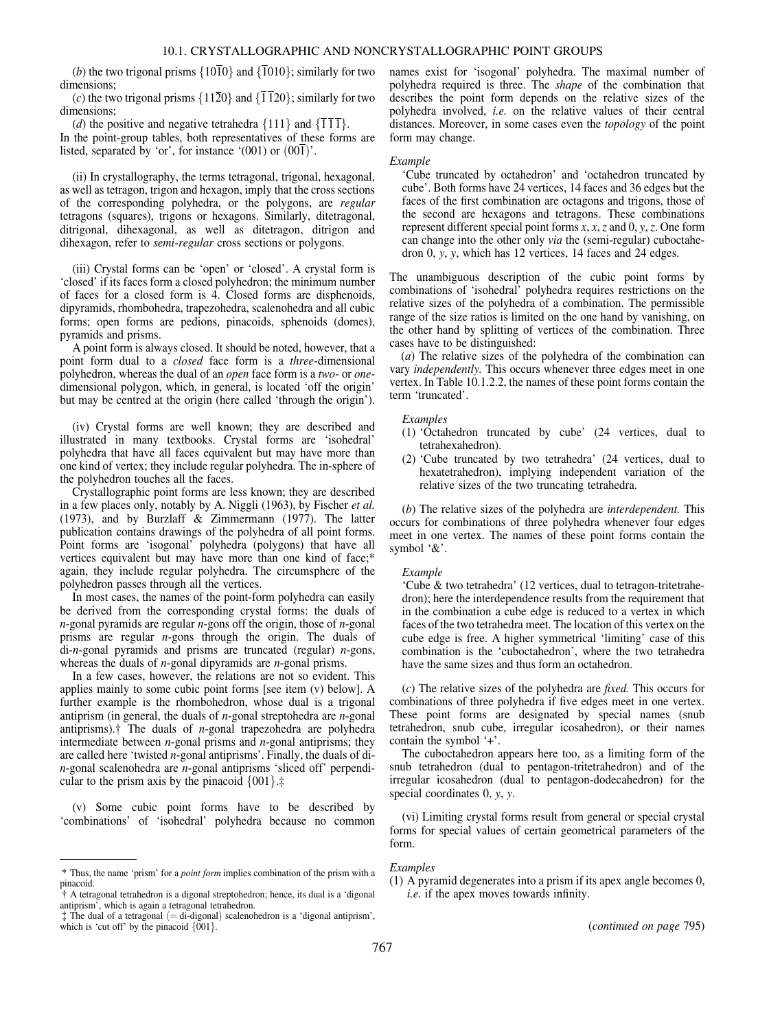(*b*) the two trigonal prisms  $\{1010\}$  and  $\{1010\}$ ; similarly for two dimensions;

(*c*) the two trigonal prisms  $\{1120\}$  and  $\{1120\}$ ; similarly for two dimensions;

(*d*) the positive and negative tetrahedra  $\{111\}$  and  $\{111\}$ .

In the point-group tables, both representatives of these forms are listed, separated by 'or', for instance '(001) or  $(00\bar{1})$ '.

(ii) In crystallography, the terms tetragonal, trigonal, hexagonal, as well as tetragon, trigon and hexagon, imply that the cross sections of the corresponding polyhedra, or the polygons, are *regular* tetragons (squares), trigons or hexagons. Similarly, ditetragonal, ditrigonal, dihexagonal, as well as ditetragon, ditrigon and dihexagon, refer to *semi-regular* cross sections or polygons.

(iii) Crystal forms can be 'open' or 'closed'. A crystal form is 'closed' if its faces form a closed polyhedron; the minimum number of faces for a closed form is 4. Closed forms are disphenoids, dipyramids, rhombohedra, trapezohedra, scalenohedra and all cubic forms; open forms are pedions, pinacoids, sphenoids (domes), pyramids and prisms.

A point form is always closed. It should be noted, however, that a point form dual to a *closed* face form is a *three*-dimensional polyhedron, whereas the dual of an *open* face form is a *two*- or *one*dimensional polygon, which, in general, is located 'off the origin' but may be centred at the origin (here called 'through the origin').

(iv) Crystal forms are well known; they are described and illustrated in many textbooks. Crystal forms are 'isohedral' polyhedra that have all faces equivalent but may have more than one kind of vertex; they include regular polyhedra. The in-sphere of the polyhedron touches all the faces.

Crystallographic point forms are less known; they are described in a few places only, notably by A. Niggli (1963), by Fischer *et al.* (1973), and by Burzlaff & Zimmermann (1977). The latter publication contains drawings of the polyhedra of all point forms. Point forms are 'isogonal' polyhedra (polygons) that have all vertices equivalent but may have more than one kind of face;\* again, they include regular polyhedra. The circumsphere of the polyhedron passes through all the vertices.

In most cases, the names of the point-form polyhedra can easily be derived from the corresponding crystal forms: the duals of *n*-gonal pyramids are regular *n*-gons off the origin, those of *n*-gonal prisms are regular *n*-gons through the origin. The duals of di-*n*-gonal pyramids and prisms are truncated (regular) *n*-gons, whereas the duals of *n*-gonal dipyramids are *n*-gonal prisms.

In a few cases, however, the relations are not so evident. This applies mainly to some cubic point forms [see item (v) below]. A further example is the rhombohedron, whose dual is a trigonal antiprism (in general, the duals of *n*-gonal streptohedra are *n*-gonal antiprisms).† The duals of *n*-gonal trapezohedra are polyhedra intermediate between *n*-gonal prisms and *n*-gonal antiprisms; they are called here 'twisted *n*-gonal antiprisms'. Finally, the duals of di*n*-gonal scalenohedra are *n*-gonal antiprisms 'sliced off' perpendicular to the prism axis by the pinacoid  $\{001\}$ .

(v) Some cubic point forms have to be described by 'combinations' of 'isohedral' polyhedra because no common names exist for 'isogonal' polyhedra. The maximal number of polyhedra required is three. The *shape* of the combination that describes the point form depends on the relative sizes of the polyhedra involved, *i.e.* on the relative values of their central distances. Moreover, in some cases even the *topology* of the point form may change.

#### *Example*

'Cube truncated by octahedron' and 'octahedron truncated by cube'. Both forms have 24 vertices, 14 faces and 36 edges but the faces of the first combination are octagons and trigons, those of the second are hexagons and tetragons. These combinations represent different special point forms *x*, *x*, *z* and 0, *y*, *z*. One form can change into the other only *via* the (semi-regular) cuboctahedron 0, *y*, *y*, which has 12 vertices, 14 faces and 24 edges.

The unambiguous description of the cubic point forms by combinations of 'isohedral' polyhedra requires restrictions on the relative sizes of the polyhedra of a combination. The permissible range of the size ratios is limited on the one hand by vanishing, on the other hand by splitting of vertices of the combination. Three cases have to be distinguished:

(*a*) The relative sizes of the polyhedra of the combination can vary *independently.* This occurs whenever three edges meet in one vertex. In Table 10.1.2.2, the names of these point forms contain the term 'truncated'.

#### *Examples*

- (1) 'Octahedron truncated by cube' (24 vertices, dual to tetrahexahedron).
- (2) 'Cube truncated by two tetrahedra' (24 vertices, dual to hexatetrahedron), implying independent variation of the relative sizes of the two truncating tetrahedra.

(*b*) The relative sizes of the polyhedra are *interdependent.* This occurs for combinations of three polyhedra whenever four edges meet in one vertex. The names of these point forms contain the symbol '&'.

#### *Example*

'Cube & two tetrahedra' (12 vertices, dual to tetragon-tritetrahedron); here the interdependence results from the requirement that in the combination a cube edge is reduced to a vertex in which faces of the two tetrahedra meet. The location of this vertex on the cube edge is free. A higher symmetrical 'limiting' case of this combination is the 'cuboctahedron', where the two tetrahedra have the same sizes and thus form an octahedron.

(*c*) The relative sizes of the polyhedra are *fixed.* This occurs for combinations of three polyhedra if five edges meet in one vertex. These point forms are designated by special names (snub tetrahedron, snub cube, irregular icosahedron), or their names contain the symbol '+'.

The cuboctahedron appears here too, as a limiting form of the snub tetrahedron (dual to pentagon-tritetrahedron) and of the irregular icosahedron (dual to pentagon-dodecahedron) for the special coordinates 0, *y*, *y*.

(vi) Limiting crystal forms result from general or special crystal forms for special values of certain geometrical parameters of the form.

#### *Examples*

(1) A pyramid degenerates into a prism if its apex angle becomes 0, *i.e.* if the apex moves towards infinity.

Thus, the name 'prism' for a *point form* implies combination of the prism with a pinacoid.

A tetragonal tetrahedron is a digonal streptohedron; hence, its dual is a 'digonal antiprism', which is again a tetragonal tetrahedron.

 $\ddagger$  The dual of a tetragonal (= di-digonal) scalenohedron is a 'digonal antiprism', which is 'cut off' by the pinacoid  $\{001\}$ .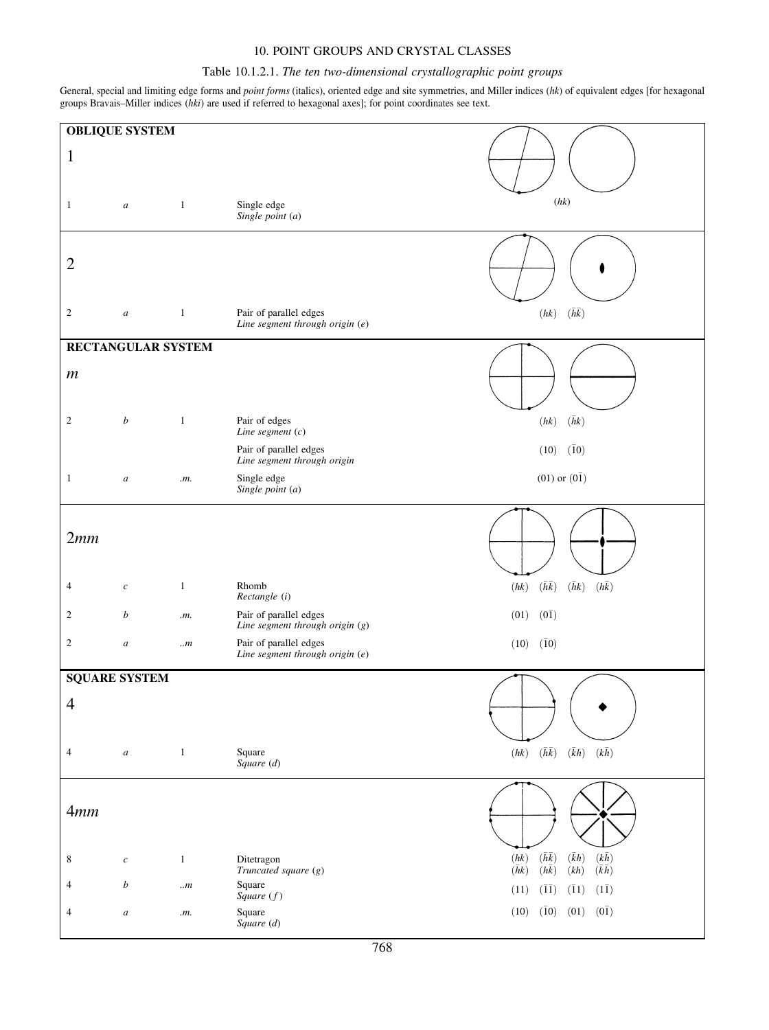#### Table 10.1.2.1. *The ten two-dimensional crystallographic point groups*

General, special and limiting edge forms and *point forms* (italics), oriented edge and site symmetries, and Miller indices (*hk*) of equivalent edges [for hexagonal groups Bravais–Miller indices (*hki*) are used if referred to hexagonal axes]; for point coordinates see text.

|                          | <b>OBLIQUE SYSTEM</b> |                    |                                                             |                                                                                                                  |
|--------------------------|-----------------------|--------------------|-------------------------------------------------------------|------------------------------------------------------------------------------------------------------------------|
| $\mathbf{1}$             |                       |                    |                                                             |                                                                                                                  |
| $\mathbf{1}$             | $\boldsymbol{a}$      | $\mathbf{1}$       | Single edge<br>Single point (a)                             | (hk)                                                                                                             |
| $\overline{2}$           |                       |                    |                                                             |                                                                                                                  |
| $\boldsymbol{2}$         | $\boldsymbol{a}$      | $\mathbf{1}$       | Pair of parallel edges<br>Line segment through origin (e)   | $(\bar{h}\bar{k})$<br>(hk)                                                                                       |
|                          |                       | RECTANGULAR SYSTEM |                                                             |                                                                                                                  |
| m                        |                       |                    |                                                             |                                                                                                                  |
| $\boldsymbol{2}$         | $\boldsymbol{b}$      | $\mathbf{1}$       | Pair of edges<br>Line segment $(c)$                         | (hk)<br>$(\bar{h}k)$                                                                                             |
|                          |                       |                    | Pair of parallel edges<br>Line segment through origin       | $(\bar{1}0)$<br>(10)                                                                                             |
| $\mathbf{1}$             | $\boldsymbol{a}$      | .m.                | Single edge<br>Single point (a)                             | $(01)$ or $(01)$                                                                                                 |
|                          |                       |                    |                                                             |                                                                                                                  |
| 2mm                      |                       |                    |                                                             |                                                                                                                  |
| 4                        | $\boldsymbol{c}$      | $\mathbf{1}$       | Rhomb<br>Rectangle (i)                                      | $(\bar{h}\bar{k})$<br>$(\bar{h}k)$<br>$(h\bar{k})$<br>(hk)                                                       |
| $\overline{c}$           | b                     | .m.                | Pair of parallel edges<br>Line segment through origin (g)   | $(0\bar{1})$<br>(01)                                                                                             |
| $\boldsymbol{2}$         | $\boldsymbol{a}$      | $\ldots$ m         | Pair of parallel edges<br>Line segment through origin $(e)$ | $(\bar{1}0)$<br>(10)                                                                                             |
|                          | <b>SQUARE SYSTEM</b>  |                    |                                                             |                                                                                                                  |
| $\overline{4}$           |                       |                    |                                                             |                                                                                                                  |
| $\overline{4}$           | $\boldsymbol{a}$      | $\mathbf{1}$       | Square<br>Square(d)                                         | $(\bar{h}\bar{k})$<br>$(\bar{k}h)$<br>(kh)<br>(hk)                                                               |
|                          |                       |                    |                                                             |                                                                                                                  |
| 4mm                      |                       |                    |                                                             |                                                                                                                  |
| 8                        | $\boldsymbol{c}$      | $\mathbf{1}$       | Ditetragon<br>Truncated square (g)                          | $(\bar{h}\bar{k})$<br>(kh)<br>(hk)<br>$(\bar{k}h)$<br>$(\bar{h}k)$<br>$(h\bar{k})$<br>$(\bar{k}\bar{h})$<br>(kh) |
| $\overline{\mathcal{A}}$ | $\boldsymbol{b}$      | $m$                | Square<br>Square $(f)$                                      | $(\overline{11})$<br>$(\overline{1}1)$<br>$(1\bar{1})$<br>(11)                                                   |
| $\overline{\mathcal{A}}$ | $\boldsymbol{a}$      | .m.                | Square<br>Square(d)                                         | $(\overline{1}0)$<br>$(0\bar{1})$<br>(10)<br>(01)                                                                |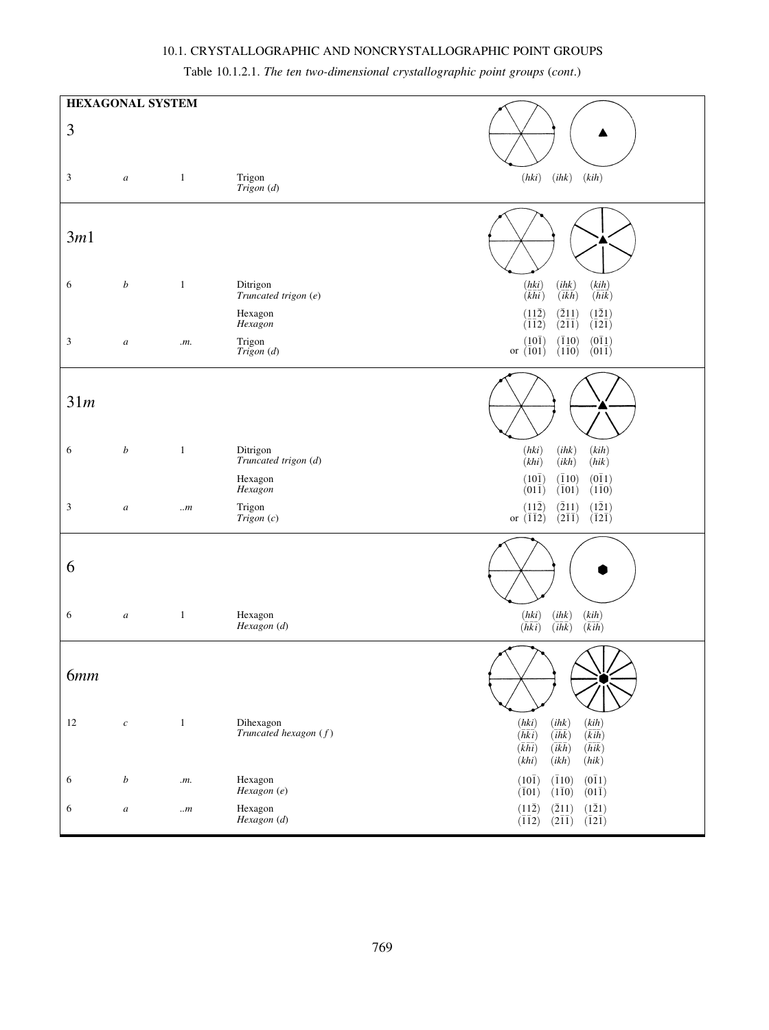|                             |                  | <b>HEXAGONAL SYSTEM</b> |                                                        |                                                                                                                                                                                                                                                                 |
|-----------------------------|------------------|-------------------------|--------------------------------------------------------|-----------------------------------------------------------------------------------------------------------------------------------------------------------------------------------------------------------------------------------------------------------------|
| 3                           |                  |                         |                                                        |                                                                                                                                                                                                                                                                 |
| $\mathfrak{Z}$              | $\boldsymbol{a}$ | $\mathbf{1}$            | Trigon<br>Trigon(d)                                    | (hki)<br>(ihk)<br>(kih)                                                                                                                                                                                                                                         |
| 3m1                         |                  |                         |                                                        |                                                                                                                                                                                                                                                                 |
| 6                           | $\boldsymbol{b}$ | $\mathbf{1}$            | Ditrigon<br>Truncated trigon (e)<br>Hexagon<br>Hexagon | $\frac{(kih)}{(\bar{h}ik)}$<br>(ihk)<br>$\frac{(hki)}{(\bar{k}\bar{h}i)}$<br>$\widetilde{(\overrightarrow{ikh})}$<br>$(11\bar{2})$<br>(211)<br>$(1\bar{2}1)$<br>$\overline{(1\overline{1}2)}$<br>$\overline{(2\overline{1}\overline{1})}$<br>$\overline{(121)}$ |
| $\ensuremath{\mathfrak{Z}}$ | $\boldsymbol{a}$ | .т.                     | Trigon<br>Trigon (d)                                   | $(0\overline{1}1)$<br>$(10\overline{1})$<br>$\begin{pmatrix} \bar{1}10\\ 1\bar{1}0 \end{pmatrix}$<br>or $(101)$<br>$(01\bar{1})$                                                                                                                                |
| 31m                         |                  |                         |                                                        |                                                                                                                                                                                                                                                                 |
| 6                           | $\boldsymbol{b}$ | $\mathbf{1}$            | Ditrigon<br>Truncated trigon (d)                       | (hki)<br>(kih)<br>(ihk)<br>(khi)<br>(ikh)<br>(hik)                                                                                                                                                                                                              |
|                             |                  |                         | Hexagon<br>Hexagon                                     | (011)<br>$(10\bar{1})$<br>$(\overline{1}10)$<br>$(01\bar{1})$<br>(101)<br>$(1\bar{1}0)$                                                                                                                                                                         |
| $\ensuremath{\mathfrak{Z}}$ | $\boldsymbol{a}$ | $\ldots$ m              | Trigon<br>$Tr\check{g}$ on $(c)$                       | (211)<br>$(1\bar{2}1)$<br>$(11\bar{2})$<br>or $(1\overline{1}2)$<br>$(2\overline{1}\overline{1})$<br>$(\overline{1}2\overline{1})$                                                                                                                              |
| 6                           |                  |                         |                                                        |                                                                                                                                                                                                                                                                 |
| 6                           | $\boldsymbol{a}$ | $\mathbf{1}$            | Hexagon<br>Hexagon(d)                                  | (hki)<br>(kih)<br>(ihk)<br>$\left(\overline{i}\overline{h}\overline{k}\right)$<br>$(\overline{k}\overline{i}\overline{h})$<br>$(\bar{h}\bar{k}\bar{i})$                                                                                                         |
| 6mm                         |                  |                         |                                                        |                                                                                                                                                                                                                                                                 |
| $12\,$                      | $\boldsymbol{c}$ | $\,1\,$                 | Dihexagon<br>Truncated hexagon $(f)$                   | (hki)<br>(ihk)<br>(kih)<br>$(\bar{h}\bar{k}\bar{i})$<br>$(\overline{i}\overline{h}\overline{k})$<br>$(\overline{k}\overline{i}\overline{h})$<br>$(\overline{ikh})$<br>$(\bar{h} \bar{i} \bar{k})$<br>$(\bar{k}\bar{h}\bar{i})$<br>(ikh)<br>(hik)<br>(khi)       |
| 6                           | $\boldsymbol{b}$ | .m.                     | Hexagon<br>Hexagon (e)                                 | (011)<br>$(10\bar{1})$<br>(110)<br>$(1\overline{1}0)$<br>(101)<br>$(01\bar{1})$                                                                                                                                                                                 |
| 6                           | $\boldsymbol{a}$ | $m$                     | Hexagon<br>Hexagon (d)                                 | (211)<br>$(11\bar{2})$<br>$(1\bar{2}1)$<br>$(\overline{1}\overline{1}2)$<br>$(2\overline{1}\overline{1})$<br>$(\overline{1}2\overline{1})$                                                                                                                      |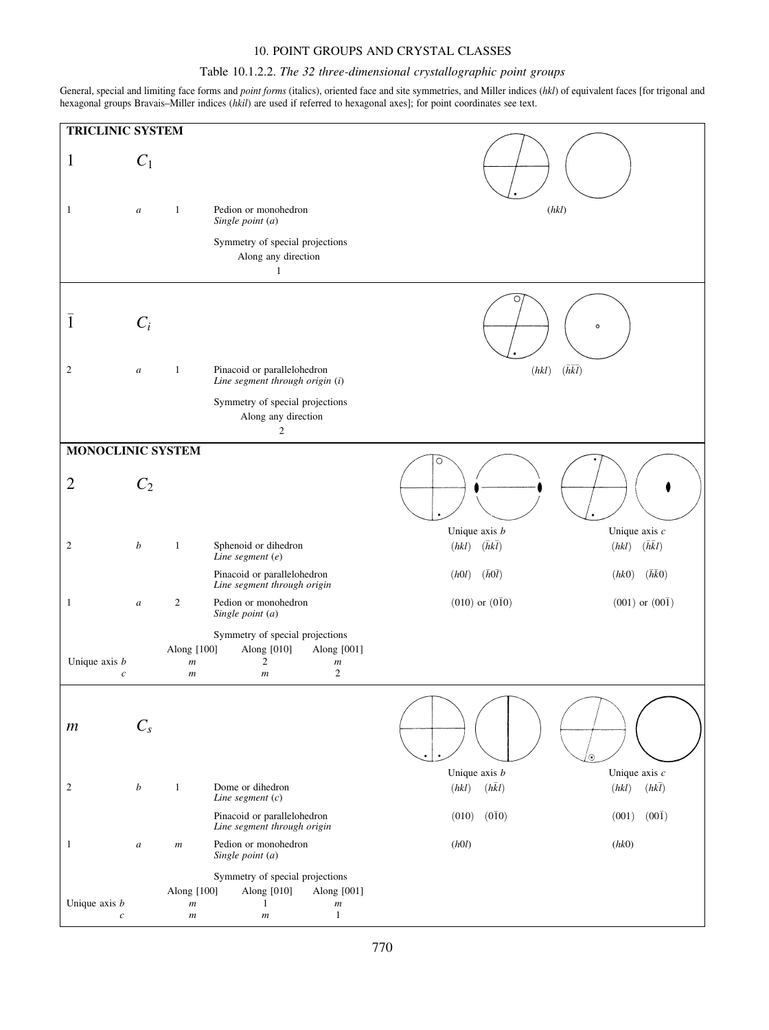#### Table 10.1.2.2. *The 32 three-dimensional crystallographic point groups*

General, special and limiting face forms and *point forms* (italics), oriented face and site symmetries, and Miller indices (*hkl*) of equivalent faces [for trigonal and hexagonal groups Bravais–Miller indices (*hkil*) are used if referred to hexagonal axes]; for point coordinates see text.

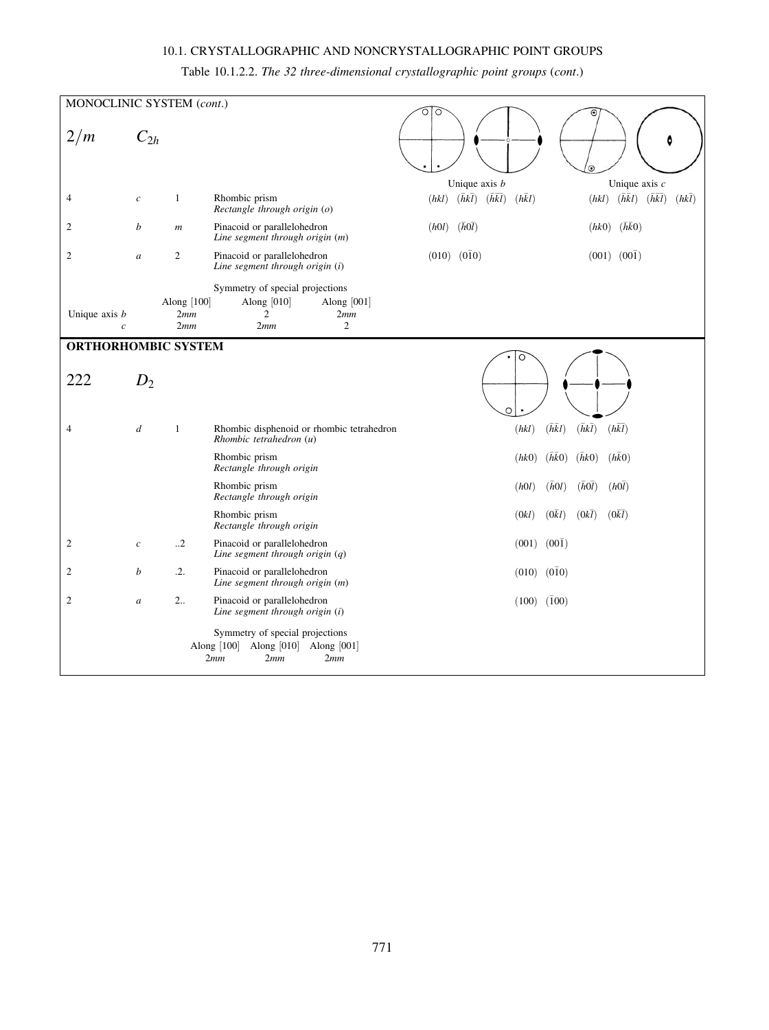| MONOCLINIC SYSTEM (cont.)           |                  |                           |                                                                                                                   | Ō<br>σ                                                                 |                                                                              |
|-------------------------------------|------------------|---------------------------|-------------------------------------------------------------------------------------------------------------------|------------------------------------------------------------------------|------------------------------------------------------------------------------|
| 2/m                                 | $C_{2h}$         |                           |                                                                                                                   |                                                                        | ◉                                                                            |
|                                     |                  |                           |                                                                                                                   | Unique axis b                                                          | Unique axis $c$                                                              |
| $\overline{4}$                      | $\boldsymbol{c}$ | $\mathbf{1}$              | Rhombic prism<br>Rectangle through origin (o)                                                                     | $(\bar{h}k\bar{l})$ $(\bar{h}\bar{k}\bar{l})$<br>$(h\bar kl)$<br>(hkl) | $(\bar{h}\bar{k}l)$ $(\bar{h}\bar{k}\bar{l})$<br>$(hk\overline{l})$<br>(hkl) |
| $\overline{c}$                      | b                | $\boldsymbol{m}$          | Pinacoid or parallelohedron<br>Line segment through origin $(m)$                                                  | $(\bar{h}0\bar{l})$<br>(h0l)                                           | $(\bar{h}\bar{k}0)$<br>(hk0)                                                 |
| $\mathfrak{2}$                      | $\boldsymbol{a}$ | $\overline{c}$            | Pinacoid or parallelohedron<br>Line segment through origin (i)                                                    | $(010)$ $(010)$                                                        | $(001)$ $(00\bar{1})$                                                        |
| Unique axis $b$<br>$\boldsymbol{c}$ |                  | Along [100]<br>2mm<br>2mm | Symmetry of special projections<br>Along [010]<br>Along $[001]$<br>$\overline{2}$<br>2mm<br>$\overline{c}$<br>2mm |                                                                        |                                                                              |
| <b>ORTHORHOMBIC SYSTEM</b>          |                  |                           |                                                                                                                   | O                                                                      |                                                                              |
| 222                                 | $D_2$            |                           |                                                                                                                   | C                                                                      |                                                                              |
| $\overline{4}$                      | $\boldsymbol{d}$ | $\mathbf{1}$              | Rhombic disphenoid or rhombic tetrahedron<br>$Rhombic$ tetrahedron $(u)$                                          | (hkl)                                                                  | $(\bar{h}\bar{k}l)$<br>$(\bar{h}k\bar{l})$<br>$(h\overline{k}\overline{l})$  |
|                                     |                  |                           | Rhombic prism<br>Rectangle through origin                                                                         | (hk0)                                                                  | $(\bar{h}\bar{k}0)$<br>$(\bar{h}k0)$<br>$(h\bar{k}0)$                        |
|                                     |                  |                           | Rhombic prism<br>Rectangle through origin                                                                         | (h0l)                                                                  | $(\bar{h}0l)$<br>$(\bar{h}0\bar{l})$<br>$(h0\bar{l})$                        |
|                                     |                  |                           | Rhombic prism<br>Rectangle through origin                                                                         | (0kl)                                                                  | $(0k\overline{l})$<br>$(0\overline{k}\overline{l})$<br>$(0\bar{k}l)$         |
| $\sqrt{2}$                          | $\boldsymbol{c}$ | $\cdot$ .2                | Pinacoid or parallelohedron<br>Line segment through origin $(q)$                                                  | (001)                                                                  | $(00\bar{1})$                                                                |
| $\overline{c}$                      | $\boldsymbol{b}$ | .2.                       | Pinacoid or parallelohedron<br>Line segment through origin (m)                                                    | (010)                                                                  | (010)                                                                        |
| $\sqrt{2}$                          | $\boldsymbol{a}$ | 2                         | Pinacoid or parallelohedron<br>Line segment through origin (i)                                                    | $(100)$ $(\bar{1}00)$                                                  |                                                                              |
|                                     |                  |                           | Symmetry of special projections<br>Along [100]<br>Along [010] Along [001]<br>2mm<br>2mm<br>2mm                    |                                                                        |                                                                              |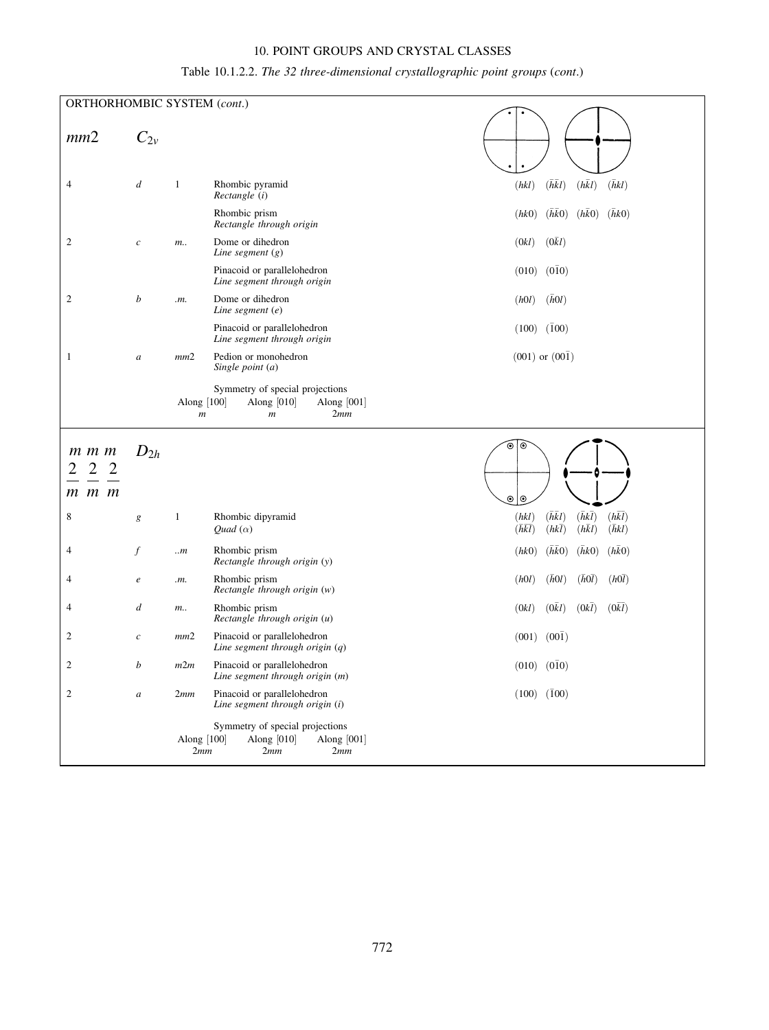| ORTHORHOMBIC SYSTEM (cont.)            |                  |                                 |                                                                                              |                                                                                                                                                                          |
|----------------------------------------|------------------|---------------------------------|----------------------------------------------------------------------------------------------|--------------------------------------------------------------------------------------------------------------------------------------------------------------------------|
| mm2                                    | $C_{2v}$         |                                 |                                                                                              |                                                                                                                                                                          |
| 4                                      | $\boldsymbol{d}$ | 1                               | Rhombic pyramid<br>Rectangle (i)                                                             | $(\bar{h}\bar{k}l)$<br>$(h\bar kl)$<br>$(\bar{h}kl)$<br>(hkl)                                                                                                            |
|                                        |                  |                                 | Rhombic prism<br>Rectangle through origin                                                    | $(\bar{h}\bar{k}0)$<br>$(h\bar{k}0)$ $(\bar{h}k0)$<br>(hk0)                                                                                                              |
| $\overline{c}$                         | $\boldsymbol{c}$ | $m$                             | Dome or dihedron<br>Line segment $(g)$                                                       | $(0\bar{k}l)$<br>(0kl)                                                                                                                                                   |
|                                        |                  |                                 | Pinacoid or parallelohedron<br>Line segment through origin                                   | (010)<br>(010)                                                                                                                                                           |
| $\overline{c}$                         | $\boldsymbol{b}$ | .m.                             | Dome or dihedron<br>Line segment $(e)$                                                       | (h0l)<br>$(\bar{h}0l)$                                                                                                                                                   |
|                                        |                  |                                 | Pinacoid or parallelohedron<br>Line segment through origin                                   | $(\bar{1}00)$<br>(100)                                                                                                                                                   |
| $\mathbf{1}$                           | $\boldsymbol{a}$ | mm2                             | Pedion or monohedron<br>Single point $(a)$                                                   | $(001)$ or $(00\bar{1})$                                                                                                                                                 |
|                                        |                  | Along [100]<br>$\boldsymbol{m}$ | Symmetry of special projections<br>Along $[010]$<br>Along $[001]$<br>2mm<br>$\boldsymbol{m}$ |                                                                                                                                                                          |
| $m \, m \, m$<br>2<br>2<br>$m$ $m$ $m$ | $D_{2h}$         |                                 |                                                                                              | $\odot$<br>$\odot$<br>$\odot$<br>$\odot$                                                                                                                                 |
| 8                                      | $\boldsymbol{g}$ | 1                               | Rhombic dipyramid<br>Quad $(\alpha)$                                                         | $(\bar{h}\bar{k}l)$<br>$(\bar{h}k\bar{l})$<br>$(h\overline{k}\overline{l})$<br>(hkl)<br>$(\bar{h}\bar{k}\bar{l})$<br>$(hk\overline{l})$<br>$(h\bar kl)$<br>$(\bar{h}kl)$ |
| $\overline{4}$                         | $\boldsymbol{f}$ | $\ldots$ m                      | Rhombic prism<br>Rectangle through origin (y)                                                | $(\bar{h}k0)$<br>$(\bar{h}\bar{k}0)$<br>$(h\bar{k}0)$<br>(hk0)                                                                                                           |
| 4                                      | $\boldsymbol{e}$ | .m.                             | Rhombic prism<br>Rectangle through origin (w)                                                | $(\bar{h}0\bar{l})$<br>$(\bar{h}0l)$<br>$(h0\bar{l})$<br>(h0l)                                                                                                           |
| $\overline{4}$                         | $\boldsymbol{d}$ | m                               | Rhombic prism<br>Rectangle through origin (u)                                                | $(0k\overline{l})$<br>(0kl)<br>$(0\bar{k}l)$<br>$(0\overline{kl})$                                                                                                       |
| $\overline{\mathbf{c}}$                | с                | $mm2$                           | Pinacoid or parallelohedron<br>Line segment through origin $(q)$                             | $(001)$ $(00\bar{1})$                                                                                                                                                    |
| $\overline{c}$                         | $\boldsymbol{b}$ | m2m                             | Pinacoid or parallelohedron<br>Line segment through origin $(m)$                             | $(010)$ $(010)$                                                                                                                                                          |
| $\boldsymbol{2}$                       | $\boldsymbol{a}$ | 2mm                             | Pinacoid or parallelohedron<br>Line segment through origin (i)                               | $(100)$ $(\bar{1}00)$                                                                                                                                                    |
|                                        |                  | Along [100]<br>2mm              | Symmetry of special projections<br>Along $[010]$<br>Along [001]<br>2mm<br>2mm                |                                                                                                                                                                          |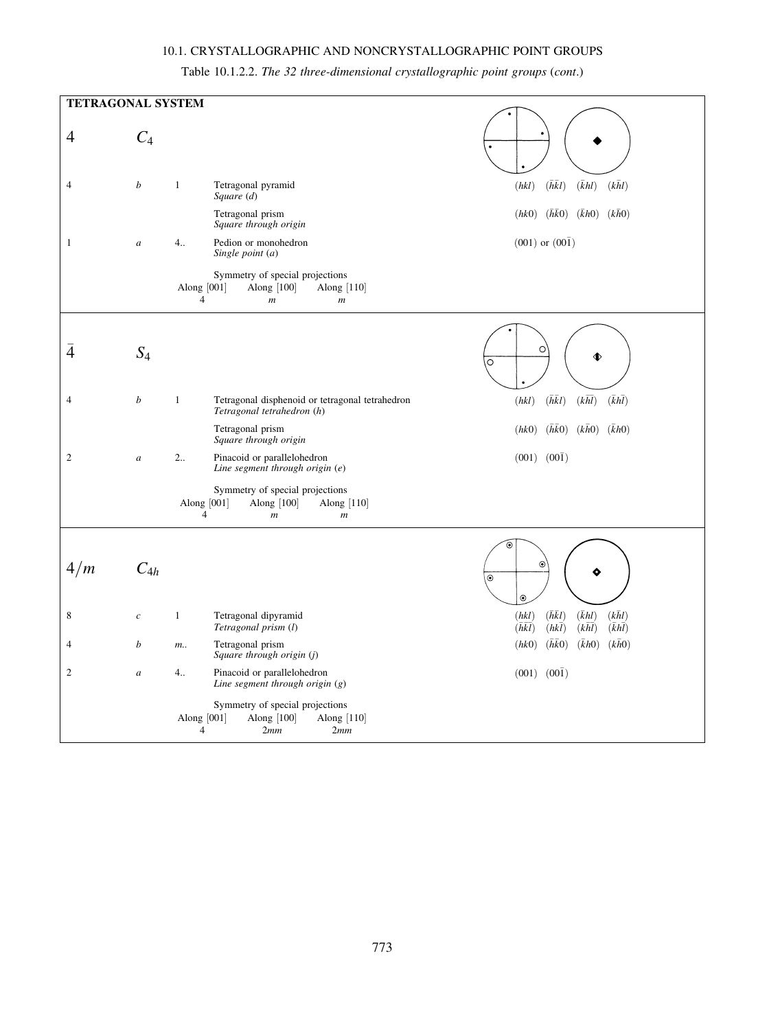| <b>TETRAGONAL SYSTEM</b> |                  |                               |                                                                                                 |                                                                                                                                                                 |
|--------------------------|------------------|-------------------------------|-------------------------------------------------------------------------------------------------|-----------------------------------------------------------------------------------------------------------------------------------------------------------------|
| $\overline{4}$           | $C_4$            |                               |                                                                                                 |                                                                                                                                                                 |
| $\overline{4}$           | $\boldsymbol{b}$ | $\mathbf{1}$                  | Tetragonal pyramid<br>Square $(d)$                                                              | (hkl)<br>$(\bar{h}\bar{k}l)$<br>$(\bar{k}hl)$<br>$(k\bar{h}l)$                                                                                                  |
|                          |                  |                               | Tetragonal prism<br>Square through origin                                                       | $(\bar{h}\bar{k}0)$ $(\bar{k}h0)$ $(k\bar{h}0)$<br>(hk0)                                                                                                        |
| $\mathbf{1}$             | $\boldsymbol{a}$ | 4.1                           | Pedion or monohedron<br>Single point (a)                                                        | $(001)$ or $(00\bar{1})$                                                                                                                                        |
|                          |                  | Along [001]<br>$\overline{4}$ | Symmetry of special projections<br>Along [100]<br>Along [110]<br>$\,m$<br>$\boldsymbol{m}$      |                                                                                                                                                                 |
| $\overline{4}$           | $S_4$            |                               |                                                                                                 | O<br>♦<br>O                                                                                                                                                     |
| $\overline{4}$           | $\boldsymbol{b}$ | $\mathbf{1}$                  | Tetragonal disphenoid or tetragonal tetrahedron<br>Tetragonal tetrahedron (h)                   | $(k\overline{hl})$<br>$(\bar{k}h\bar{l})$<br>(hkl)<br>$(\bar{h}\bar{k}l)$                                                                                       |
|                          |                  |                               | Tetragonal prism<br>Square through origin                                                       | $(\bar{h}\bar{k}0)$ $(k\bar{h}0)$ $(\bar{k}h0)$<br>(hk0)                                                                                                        |
| $\mathbf{2}$             | $\boldsymbol{a}$ | 2                             | Pinacoid or parallelohedron<br>Line segment through origin (e)                                  | $(001)$ $(00\bar{1})$                                                                                                                                           |
|                          |                  | Along [001]                   | Symmetry of special projections<br>Along [100]<br>Along [110]<br>4<br>$\,m$<br>$\boldsymbol{m}$ |                                                                                                                                                                 |
| 4/m                      | $C_{4h}$         |                               |                                                                                                 | $\odot$<br>$\odot$<br>$\odot$                                                                                                                                   |
| 8                        | $\boldsymbol{c}$ | $\mathbf{1}$                  | Tetragonal dipyramid<br>Tetragonal prism (l)                                                    | $(\bar{k}hl)$<br>$(\bar{h}\bar{k}l)$<br>$(k\bar{h}l)$<br>(hkl)<br>$(\bar{h}\bar{k}\bar{l})$<br>$(hk\overline{l})$<br>$(k\bar{h}\bar{l})$<br>$(\bar{k}h\bar{l})$ |
| 4                        | $\boldsymbol{b}$ | m                             | Tetragonal prism<br>Square through origin (j)                                                   | $(hk0)$ $(\bar{h}\bar{k}0)$ $(\bar{k}h0)$ $(k\bar{h}0)$                                                                                                         |
| $\overline{c}$           | $\boldsymbol{a}$ | 4                             | Pinacoid or parallelohedron<br>Line segment through origin (g)                                  | $(001)$ $(00\bar{1})$                                                                                                                                           |
|                          |                  | Along [001]<br>4              | Symmetry of special projections<br>Along [100]<br>Along [110]<br>2mm<br>2mm                     |                                                                                                                                                                 |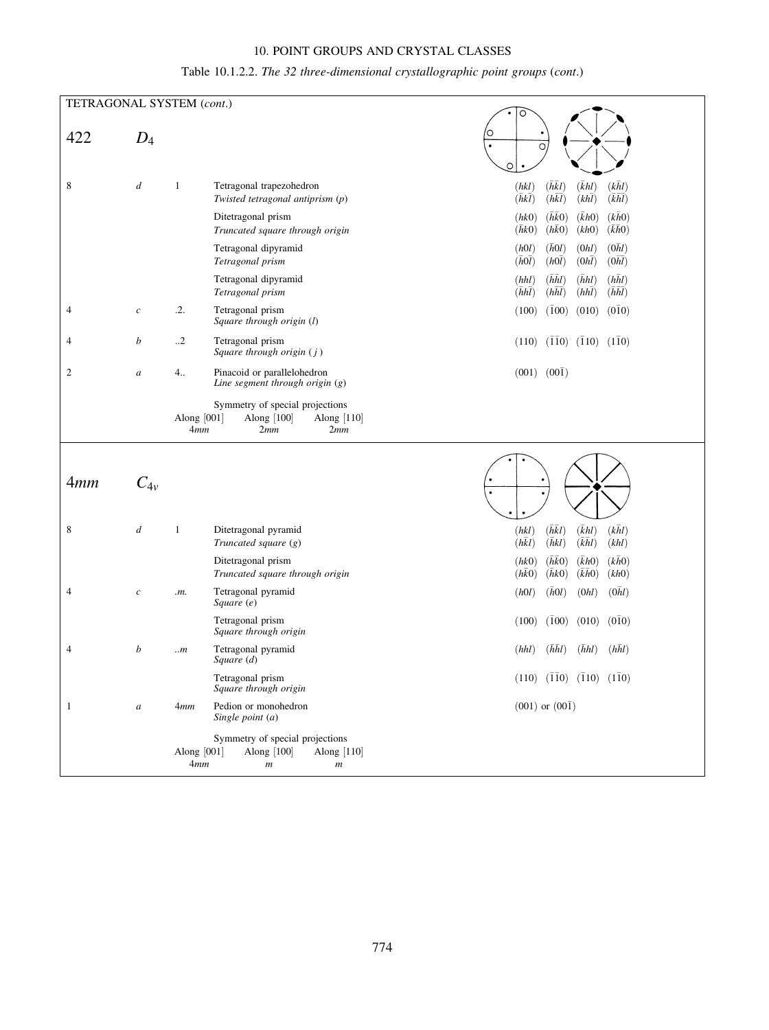|                | TETRAGONAL SYSTEM (cont.) |                      |                                                                                            | Ο                                                                                                                                                                    |
|----------------|---------------------------|----------------------|--------------------------------------------------------------------------------------------|----------------------------------------------------------------------------------------------------------------------------------------------------------------------|
| 422            | $D_4$                     |                      |                                                                                            | O<br>$\circ$<br>О                                                                                                                                                    |
| 8              | $\boldsymbol{d}$          | $\mathbf{1}$         | Tetragonal trapezohedron<br>Twisted tetragonal antiprism (p)                               | $(\bar{h}\bar{k}l)$<br>$(\bar{k}hl)$<br>$(k\bar{h}l)$<br>(hkl)<br>$(h\overline{k}\overline{l})$<br>$(\bar{h}k\bar{l})$<br>$(kh\bar{l})$<br>$(\bar{k}\bar{h}\bar{l})$ |
|                |                           |                      | Ditetragonal prism<br>Truncated square through origin                                      | $(\bar{h}\bar{k}0)$<br>$(\bar{k}h0)$<br>$(k\bar{h}0)$<br>(hk0)<br>$(h\bar{k}0)$<br>$(\bar{h}k0)$<br>(kh0)<br>$(\bar{k}h0)$                                           |
|                |                           |                      | Tetragonal dipyramid<br>Tetragonal prism                                                   | $(\bar{h}0l)$<br>$(0\bar{h}l)$<br>(h0l)<br>(0hl)<br>$(\bar{h}0\bar{l})$<br>$(h0\bar{l})$<br>$(0h\overline{l})$<br>$(0h\bar{l})$                                      |
|                |                           |                      | Tetragonal dipyramid<br>Tetragonal prism                                                   | $(\bar{h}\bar{h}l)$<br>$(\bar{h}hl)$<br>$(h\bar{h}l)$<br>(hhl)<br>$(h\overline{hl})$<br>$(\bar{h}h\bar{l})$<br>$(hh\bar{l})$<br>$(\bar{h}\bar{h}\bar{l})$            |
| 4              | $\boldsymbol{c}$          | .2.                  | Tetragonal prism<br>Square through origin (l)                                              | (100)<br>(010)<br>(100)<br>(010)                                                                                                                                     |
| $\overline{4}$ | b                         | $\cdot$ .2           | Tetragonal prism<br>Square through origin $(j)$                                            | $(\overline{1}\overline{1}0)$ $(\overline{1}10)$ $(1\overline{1}0)$<br>(110)                                                                                         |
| $\mathbf{2}$   | $\boldsymbol{a}$          | 4                    | Pinacoid or parallelohedron<br>Line segment through origin (g)                             | $(001)$ $(00\bar{1})$                                                                                                                                                |
|                |                           | Along [001]<br>4mm   | Symmetry of special projections<br>Along [100]<br>Along [110]<br>2mm<br>2mm                |                                                                                                                                                                      |
| 4mm            | $C_{4v}$                  |                      |                                                                                            |                                                                                                                                                                      |
| 8              | $\boldsymbol{d}$          | 1                    | Ditetragonal pyramid<br>Truncated square (g)                                               | $(\bar{h}\bar{k}l)$<br>$(\bar{k}hl)$<br>$(k\bar{h}l)$<br>(hkl)<br>$(h\bar kl)$<br>$(\bar{h}kl)$<br>$(\bar{k}\bar{h}l)$<br>(khl)                                      |
|                |                           |                      | Ditetragonal prism<br>Truncated square through origin                                      | $(\bar{h}\bar{k}0)$<br>$(\bar{k}h0)$<br>$(k\bar{h}0)$<br>(hk0)<br>$(\bar{h}k0)$<br>$(h\bar{k}0)$<br>$(\bar{k}h0)$<br>(kh0)                                           |
| $\overline{4}$ | $\boldsymbol{c}$          | .m.                  | Tetragonal pyramid<br>Square (e)                                                           | $(0\bar{h}l)$<br>$(\bar{h}0l)$<br>(0hl)<br>(h0l)                                                                                                                     |
|                |                           |                      | Tetragonal prism<br>Square through origin                                                  | $(\bar{1}00)$ $(010)$ $(0\bar{1}0)$<br>(100)                                                                                                                         |
| $\overline{4}$ | b                         | $\ldots$ m           | Tetragonal pyramid<br>Square $(d)$                                                         | $(\bar{h}hl)$<br>$(h\bar{h}l)$<br>$(\bar{h}\bar{h}l)$<br>(hhl)                                                                                                       |
|                |                           |                      | Tetragonal prism<br>Square through origin                                                  | $(110)$ $(\overline{1}\overline{1}0)$ $(\overline{1}10)$ $(1\overline{1}0)$                                                                                          |
| $\mathbf{1}$   | a                         | 4mm                  | Pedion or monohedron<br>Single point (a)                                                   | $(001)$ or $(001)$                                                                                                                                                   |
|                |                           | Along $[001]$<br>4mm | Symmetry of special projections<br>Along [100]<br>Along [110]<br>$\,m$<br>$\boldsymbol{m}$ |                                                                                                                                                                      |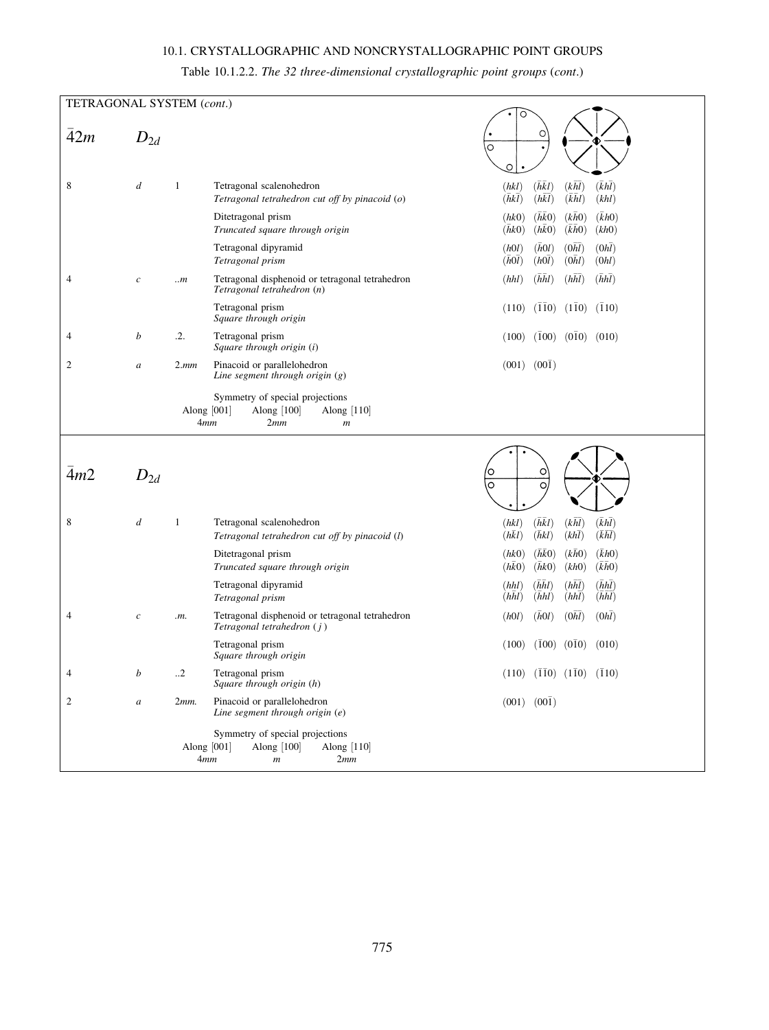| TETRAGONAL SYSTEM (cont.) |                  |            |                                                                                                                  | $\circ$                                                                                                                                                           |
|---------------------------|------------------|------------|------------------------------------------------------------------------------------------------------------------|-------------------------------------------------------------------------------------------------------------------------------------------------------------------|
| $\overline{4}2m$          | $D_{2d}$         |            |                                                                                                                  | O<br>$\circ$<br>O                                                                                                                                                 |
| 8                         | $\boldsymbol{d}$ | 1          | Tetragonal scalenohedron<br>Tetragonal tetrahedron cut off by pinacoid (o)                                       | $(k\overline{hl})$<br>$(\bar{h}\bar{k}l)$<br>$(\bar{k}h\bar{l})$<br>(hkl)<br>$(h\overline{k}\overline{l})$<br>$(\bar{k}\bar{h}l)$<br>$(\bar{h}k\bar{l})$<br>(khl) |
|                           |                  |            | Ditetragonal prism<br>Truncated square through origin                                                            | $(\bar{h}\bar{k}0)$<br>$(k\bar{h}0)$<br>$(\bar{k}h0)$<br>(hk0)<br>$(h\bar{k}0)$<br>$(\bar{k}\bar{h}0)$<br>(hk0)<br>(kh0)                                          |
|                           |                  |            | Tetragonal dipyramid<br>Tetragonal prism                                                                         | $(0h\bar{l})$<br>$(0h\bar{l})$<br>$(\bar{h}0l)$<br>(h0l)<br>$(\bar{h}0\bar{l})$<br>$(h0\bar{l})$<br>$(0\bar{h}l)$<br>(0hl)                                        |
| 4                         | $\boldsymbol{c}$ | $\ldots$ m | Tetragonal disphenoid or tetragonal tetrahedron<br>Tetragonal tetrahedron (n)                                    | $(h\overline{hl})$<br>$(\bar{h}h\bar{l})$<br>$(\bar{h}\bar{h}l)$<br>(hhl)                                                                                         |
|                           |                  |            | Tetragonal prism<br>Square through origin                                                                        | $(\bar{1}\bar{1}0)$ $(1\bar{1}0)$<br>$(\bar{1}10)$<br>(110)                                                                                                       |
| 4                         | b                | .2.        | Tetragonal prism<br>Square through origin (i)                                                                    | (100)<br>$(\bar{1}00)$ $(0\bar{1}0)$ $(010)$                                                                                                                      |
| 2                         | $\boldsymbol{a}$ | 2.mm       | Pinacoid or parallelohedron<br>Line segment through origin (g)                                                   | $(00\bar{1})$<br>(001)                                                                                                                                            |
|                           |                  |            | Symmetry of special projections<br>Along [001]<br>Along $[100]$<br>Along [110]<br>4mm<br>2mm<br>$\boldsymbol{m}$ |                                                                                                                                                                   |
| $\overline{4}m2$          | $D_{2d}$         |            |                                                                                                                  | 0<br>$\overline{O}$<br>O                                                                                                                                          |
| 8                         | $\boldsymbol{d}$ | 1          | Tetragonal scalenohedron<br>Tetragonal tetrahedron cut off by pinacoid (l)                                       | (hkl)<br>$(\bar{h}\bar{k}l)$<br>$(k\overline{hl})$<br>$(\bar{k}h\bar{l})$<br>$(h\bar kl)$<br>$(\bar{h}kl)$<br>$(kh\bar{l})$<br>$(\bar{k}\bar{h}\bar{l})$          |
|                           |                  |            | Ditetragonal prism<br>Truncated square through origin                                                            | $(\bar{h}\bar{k}0)$<br>(kh0)<br>$(\bar{k}h0)$<br>(hk0)<br>$(\bar{h}k0)$<br>$(h\bar{k}0)$<br>(kh0)<br>$(\bar{k}h0)$                                                |
|                           |                  |            | Tetragonal dipyramid<br>Tetragonal prism                                                                         | $(\bar{h}\bar{h}l)$<br>$(h\overline{hl})$<br>$(\bar{h}h\bar{l})$<br>(hhl)<br>$(\bar{h}hl)$<br>(hhl)<br>(hhl)<br>(hhl)                                             |
| 4                         | $\boldsymbol{c}$ | .m.        | Tetragonal disphenoid or tetragonal tetrahedron<br>Tetragonal tetrahedron $(j)$                                  | $(0h\bar{l})$<br>$(\bar{h}0l)$<br>$(0h\overline{l})$<br>(h0l)                                                                                                     |
|                           |                  |            | Tetragonal prism<br>Square through origin                                                                        | $(\bar{1}00)$ $(0\bar{1}0)$ $(010)$<br>(100)                                                                                                                      |
| 4                         | b                | $\cdot$ .2 | Tetragonal prism<br>Square through origin (h)                                                                    | $(110)$ $(\overline{1}\overline{1}0)$ $(1\overline{1}0)$ $(\overline{1}10)$                                                                                       |
| 2                         | $\boldsymbol{a}$ | 2mm.       | Pinacoid or parallelohedron<br>Line segment through origin (e)                                                   | $(001)$ $(00\bar{1})$                                                                                                                                             |
|                           |                  |            | Symmetry of special projections<br>Along $[100]$<br>Along $[001]$<br>Along [110]<br>4mm<br>2mm<br>$\,m$          |                                                                                                                                                                   |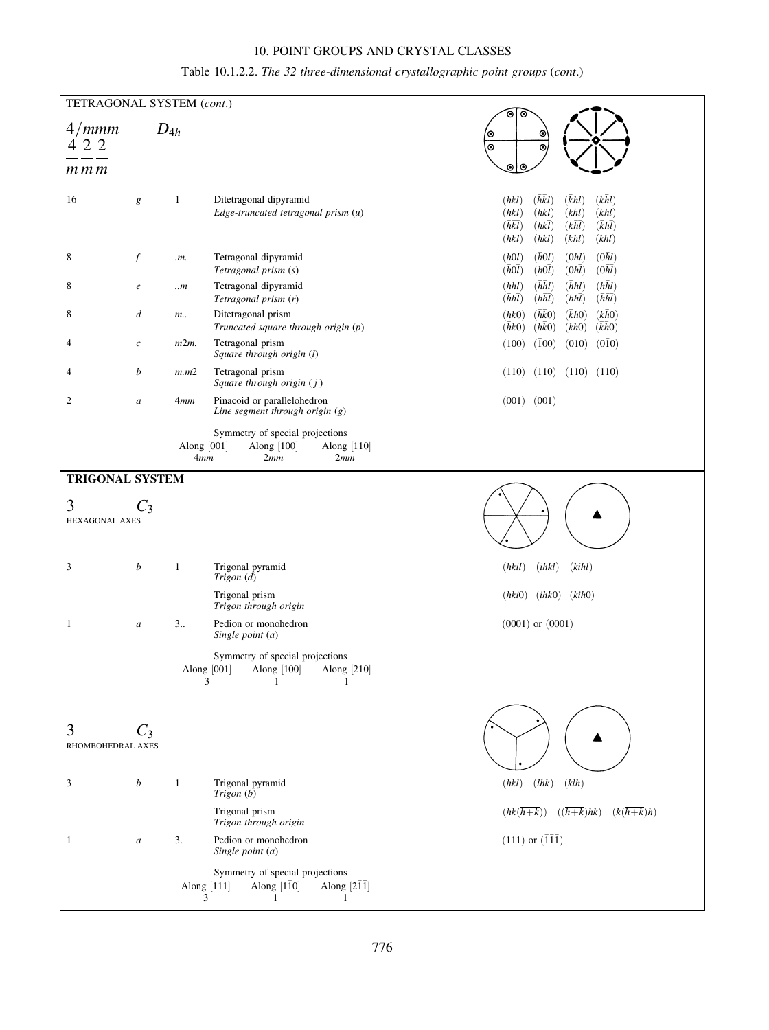| TETRAGONAL SYSTEM (cont.)  |                  |                    |                                                                                                                              |                                                                                                                                                                                                                                                                                                                                       |
|----------------------------|------------------|--------------------|------------------------------------------------------------------------------------------------------------------------------|---------------------------------------------------------------------------------------------------------------------------------------------------------------------------------------------------------------------------------------------------------------------------------------------------------------------------------------|
| 4/mmm<br>4 2 2             |                  | $D_{4h}$           |                                                                                                                              | ٥<br>$\bullet$<br>◉<br>◉<br>$\bullet$<br>$\odot$                                                                                                                                                                                                                                                                                      |
| m m                        |                  |                    |                                                                                                                              | $\odot$<br>$\bullet$                                                                                                                                                                                                                                                                                                                  |
| 16                         | $\boldsymbol{g}$ | $\mathbf{1}$       | Ditetragonal dipyramid<br>$Edge$ -truncated tetragonal prism $(u)$                                                           | $(\bar{h}\bar{k}l)$<br>$(\bar{k}hl)$<br>$(k\bar{h}l)$<br>(hkl)<br>$(h\overline{k}\overline{l})$<br>$(\bar{h}k\bar{l})$<br>$(kh\bar{l})$<br>$(\bar{k}\bar{h}\bar{l})$<br>$(k\overline{hl})$<br>$(\bar{h}\bar{k}\bar{l})$<br>$(hk\overline{l})$<br>$(\bar{k}h\bar{l})$<br>$(\bar{h}kl)$<br>$(h\bar kl)$<br>$(\bar{k}\bar{h}l)$<br>(khl) |
| 8                          | $\boldsymbol{f}$ | .т.                | Tetragonal dipyramid<br>Tetragonal prism (s)                                                                                 | $(\bar{h}0l)$<br>$(0\bar{h}l)$<br>(h0l)<br>(0hl)<br>$(\bar{h}0\bar{l})$<br>$(h0\bar{l})$<br>$(0h\bar{l})$<br>$(0h\bar{l})$                                                                                                                                                                                                            |
| 8                          | $\boldsymbol{e}$ | $\ldots$ m         | Tetragonal dipyramid<br>Tetragonal prism (r)                                                                                 | $(\bar{h}\bar{h}l)$<br>$(\bar{h}hl)$<br>$(h\bar{h}l)$<br>(hhl)<br>$(h\overline{h}\overline{l})$<br>$(hh\bar{l})$<br>$(\bar{h}h\bar{l})$<br>$(\bar{h}\bar{h}\bar{l})$                                                                                                                                                                  |
| 8                          | $\boldsymbol{d}$ | m                  | Ditetragonal prism<br>Truncated square through origin (p)                                                                    | $(\bar{k}h0)$<br>$(\bar{h}\bar{k}0)$<br>$(k\bar{h}0)$<br>(hk0)<br>$(h\bar{k}0)$<br>$(\bar{h}k0)$<br>(kh0)<br>$(\bar{k}h0)$                                                                                                                                                                                                            |
| 4                          | $\boldsymbol{c}$ | $m2m$ .            | Tetragonal prism<br>Square through origin (l)                                                                                | $(\bar{1}00)$<br>(010)<br>(010)<br>(100)                                                                                                                                                                                                                                                                                              |
| 4                          | b                | m.m2               | Tetragonal prism<br>Square through origin $(j)$                                                                              | $(\bar{1}\bar{1}0)$<br>$(\bar{1}10)$ $(1\bar{1}0)$<br>(110)                                                                                                                                                                                                                                                                           |
| $\overline{c}$             | $\boldsymbol{a}$ | 4mm                | Pinacoid or parallelohedron<br>Line segment through origin $(g)$                                                             | (001)<br>(001)                                                                                                                                                                                                                                                                                                                        |
|                            |                  | Along [001]<br>4mm | Symmetry of special projections<br>Along [100]<br>Along [110]<br>2mm<br>2mm                                                  |                                                                                                                                                                                                                                                                                                                                       |
| <b>TRIGONAL SYSTEM</b>     |                  |                    |                                                                                                                              |                                                                                                                                                                                                                                                                                                                                       |
| 3<br><b>HEXAGONAL AXES</b> | $C_3$            |                    |                                                                                                                              |                                                                                                                                                                                                                                                                                                                                       |
| 3                          | b                | $\mathbf{1}$       | Trigonal pyramid<br>Trigon(d)                                                                                                | (hkil)<br>(ihkl)<br>(kihl)                                                                                                                                                                                                                                                                                                            |
|                            |                  |                    | Trigonal prism<br>Trigon through origin                                                                                      | (ihk0)<br>(hki0)<br>(kih0)                                                                                                                                                                                                                                                                                                            |
| 1                          | $\boldsymbol{a}$ | 3.5                | Pedion or monohedron<br>Single point (a)                                                                                     | $(0001)$ or $(000\bar{1})$                                                                                                                                                                                                                                                                                                            |
|                            |                  |                    | Symmetry of special projections<br>Along [001]<br>Along [100]<br>Along [210]<br>3<br>$\mathbf{1}$<br>1                       |                                                                                                                                                                                                                                                                                                                                       |
| 3<br>RHOMBOHEDRAL AXES     | $C_3$            |                    |                                                                                                                              |                                                                                                                                                                                                                                                                                                                                       |
| 3                          | $\boldsymbol{b}$ | 1                  | Trigonal pyramid<br>Trigon(b)                                                                                                | (hkl)<br>(lhk)<br>(klh)                                                                                                                                                                                                                                                                                                               |
|                            |                  |                    | Trigonal prism<br>Trigon through origin                                                                                      | $(hk(\overline{h+k}))$<br>$((\overline{h+k})hk)$<br>$(k(\overline{h+k})h)$                                                                                                                                                                                                                                                            |
| 1                          | $\boldsymbol{a}$ | 3.                 | Pedion or monohedron<br>Single point $(a)$                                                                                   | $(111)$ or $(\bar{1}\bar{1}\bar{1})$                                                                                                                                                                                                                                                                                                  |
|                            |                  |                    | Symmetry of special projections<br>Along $[1\bar{1}0]$<br>Along $[2\overline{1}\overline{1}]$<br>Along [111]<br>3<br>-1<br>1 |                                                                                                                                                                                                                                                                                                                                       |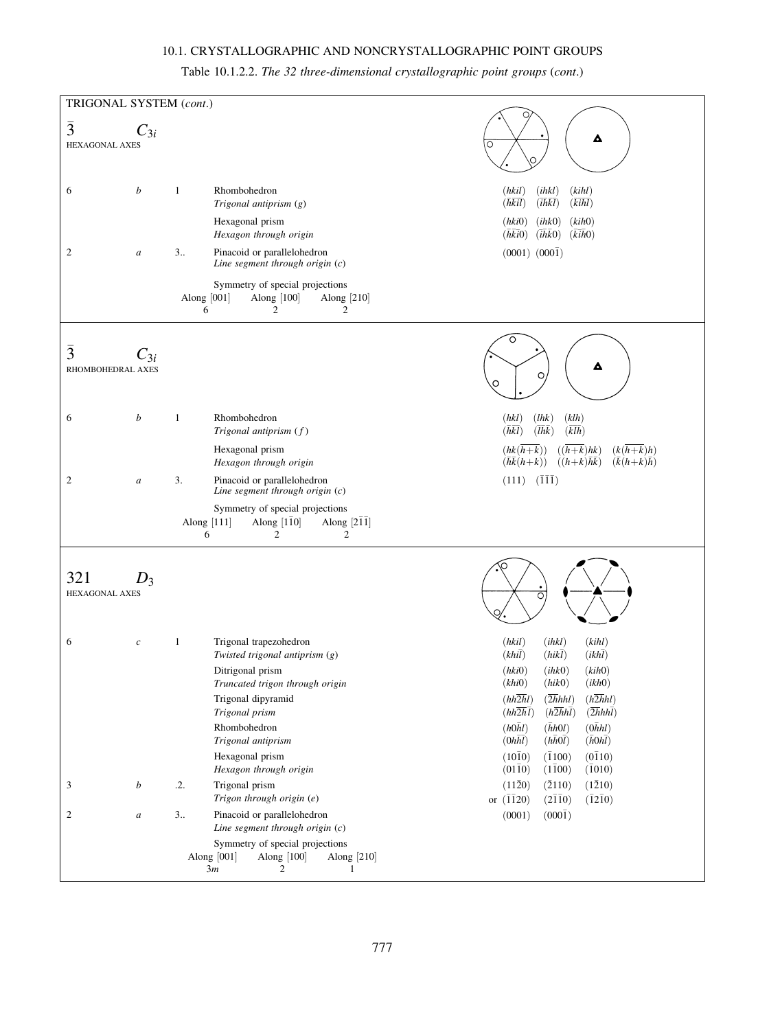| TRIGONAL SYSTEM (cont.)                 |                  |                          |                                                                                                                                                                                                                                            |                                                                                                                                                                                                                                                                                                                                                                                                                                                                                                                                                                         |
|-----------------------------------------|------------------|--------------------------|--------------------------------------------------------------------------------------------------------------------------------------------------------------------------------------------------------------------------------------------|-------------------------------------------------------------------------------------------------------------------------------------------------------------------------------------------------------------------------------------------------------------------------------------------------------------------------------------------------------------------------------------------------------------------------------------------------------------------------------------------------------------------------------------------------------------------------|
| $\overline{3}$<br><b>HEXAGONAL AXES</b> | $C_{3i}$         |                          |                                                                                                                                                                                                                                            | Δ<br>$\circ$                                                                                                                                                                                                                                                                                                                                                                                                                                                                                                                                                            |
| 6                                       | $\boldsymbol{b}$ | 1                        | Rhombohedron<br>Trigonal antiprism (g)<br>Hexagonal prism<br>Hexagon through origin                                                                                                                                                        | (hkil)<br>(ihkl)<br>(kihl)<br>$(\overline{i}\overline{h}\overline{k}\overline{l})$<br>$(\bar{h}\bar{k}\bar{i}\bar{l})$<br>$(\overline{kihl})$<br>(hki0)<br>(ihk0)<br>(kih0)<br>$(\overline{i}\overline{h}\overline{k}0)$<br>$(\bar{k}i\bar{h}0)$<br>$(\bar{h}\bar{k}i0)$                                                                                                                                                                                                                                                                                                |
| $\overline{c}$                          | $\boldsymbol{a}$ | 3.5                      | Pinacoid or parallelohedron<br>Line segment through origin $(c)$<br>Symmetry of special projections                                                                                                                                        | $(0001)$ $(000\bar{1})$                                                                                                                                                                                                                                                                                                                                                                                                                                                                                                                                                 |
|                                         |                  | Along [001]<br>6         | Along [100]<br>Along [210]<br>2<br>$\mathfrak{2}$                                                                                                                                                                                          |                                                                                                                                                                                                                                                                                                                                                                                                                                                                                                                                                                         |
| $\overline{3}$<br>RHOMBOHEDRAL AXES     | $C_{3i}$         |                          |                                                                                                                                                                                                                                            | ∩<br>Δ<br>O<br>O                                                                                                                                                                                                                                                                                                                                                                                                                                                                                                                                                        |
| 6                                       | $\boldsymbol{b}$ | $\mathbf{1}$             | Rhombohedron<br>Trigonal antiprism $(f)$<br>Hexagonal prism<br>Hexagon through origin                                                                                                                                                      | (lhk)<br>(klh)<br>(hkl)<br>$(\overline{lh}\overline{k})$<br>$(\overline{k}\overline{l}\overline{h})$<br>$(\bar{h}\bar{k}\bar{l})$<br>$(k(\overline{h+k})h)$<br>$(hk(\overline{h+k}))$<br>$((\overline{h+k})hk)$<br>$(\bar{h}\bar{k}(h+k))$<br>$(\bar{k}(h+k)\bar{h})$<br>$((h+k)$ $\bar{h}\bar{k})$                                                                                                                                                                                                                                                                     |
| 2                                       | $\boldsymbol{a}$ | 3.<br>Along [111]<br>6   | Pinacoid or parallelohedron<br>Line segment through origin $(c)$<br>Symmetry of special projections<br>Along $[1\bar{1}0]$<br>Along $[2\overline{1}\overline{1}]$<br>2<br>$\overline{c}$                                                   | $(\overline{1}\overline{1}\overline{1})$<br>(111)                                                                                                                                                                                                                                                                                                                                                                                                                                                                                                                       |
| 321<br><b>HEXAGONAL AXES</b>            | $D_3$            |                          |                                                                                                                                                                                                                                            | ਠ                                                                                                                                                                                                                                                                                                                                                                                                                                                                                                                                                                       |
| 6                                       | $\boldsymbol{c}$ | 1                        | Trigonal trapezohedron<br>Twisted trigonal antiprism (g)<br>Ditrigonal prism<br>Truncated trigon through origin<br>Trigonal dipyramid<br>Trigonal prism<br>Rhombohedron<br>Trigonal antiprism<br>Hexagonal prism<br>Hexagon through origin | (hkil)<br>(ihkl)<br>(kihl)<br>$(khi\bar{l})$<br>$(ikh\bar{l})$<br>$(hik\overline{l})$<br>(hki0)<br>(ihk0)<br>(kih0)<br>(hik0)<br>(ikh0)<br>(khi0)<br>$(\overline{2h}hhl)$<br>$(h\overline{2h}hl)$<br>$(hh\overline{2hl})$<br>$(h\overline{2hhl})$<br>$\left( \overline{2h}hh\overline{l}\right)$<br>$(hh\overline{2h}\overline{l})$<br>$(0\bar{h}hl)$<br>$(h0\bar{h}l)$<br>$(\bar{h}h0l)$<br>$(h\bar{h}0\bar{l})$<br>$(\bar{h}0h\bar{l})$<br>$(0h\overline{h}\overline{l})$<br>$(\bar{1}100)$<br>(0110)<br>$(10\bar{1}0)$<br>$(1\bar{1}00)$<br>(1010)<br>$(01\bar{1}0)$ |
| 3                                       | $\boldsymbol{b}$ | .2.                      | Trigonal prism<br>Trigon through origin (e)                                                                                                                                                                                                | $(1\bar{2}10)$<br>$(11\bar{2}0)$<br>(2110)<br>or $(\overline{1}\overline{1}20)$<br>$(2\bar{1}10)$<br>$(\bar{1}2\bar{1}0)$                                                                                                                                                                                                                                                                                                                                                                                                                                               |
| 2                                       | $\boldsymbol{a}$ | 3.5<br>Along [001]<br>3m | Pinacoid or parallelohedron<br>Line segment through origin (c)<br>Symmetry of special projections<br>Along [100]<br>Along [210]<br>2<br>1                                                                                                  | $(000\bar{1})$<br>(0001)                                                                                                                                                                                                                                                                                                                                                                                                                                                                                                                                                |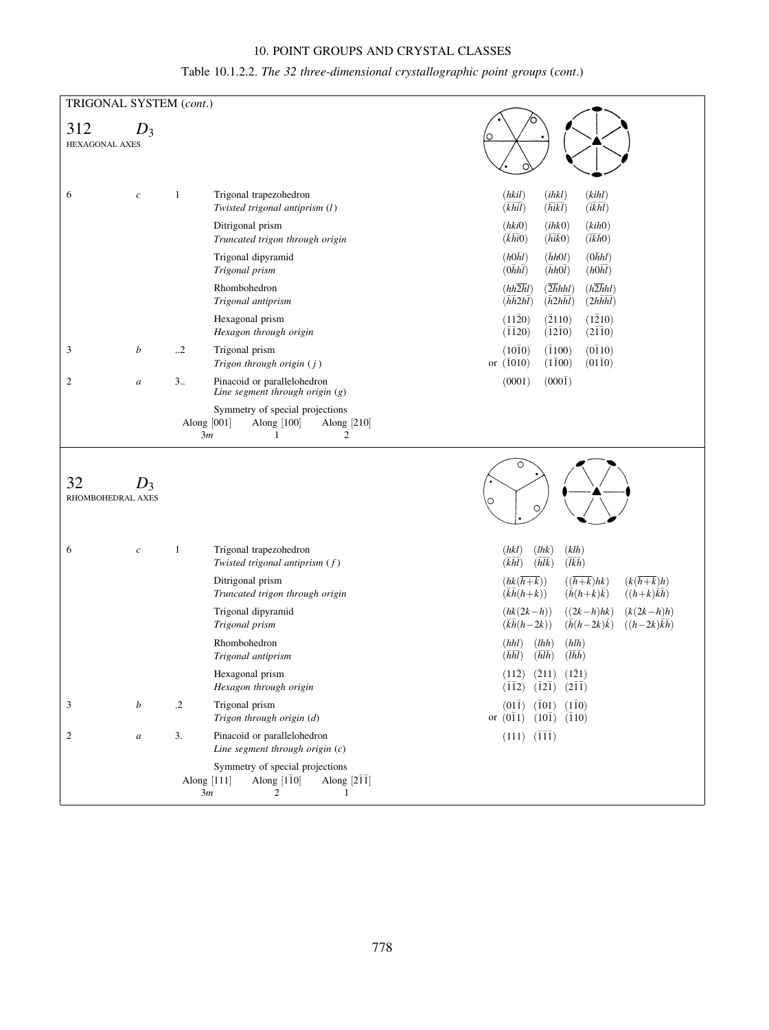| TRIGONAL SYSTEM (cont.)      |                  |            |                                                                                                                                                                                                                                              |                                                                                                                                                                                                                                                                                                                                                                                                                                                                                                                                                                                                                                                                                                                       |
|------------------------------|------------------|------------|----------------------------------------------------------------------------------------------------------------------------------------------------------------------------------------------------------------------------------------------|-----------------------------------------------------------------------------------------------------------------------------------------------------------------------------------------------------------------------------------------------------------------------------------------------------------------------------------------------------------------------------------------------------------------------------------------------------------------------------------------------------------------------------------------------------------------------------------------------------------------------------------------------------------------------------------------------------------------------|
| 312<br><b>HEXAGONAL AXES</b> | $D_3$            |            |                                                                                                                                                                                                                                              | O                                                                                                                                                                                                                                                                                                                                                                                                                                                                                                                                                                                                                                                                                                                     |
| 6                            | $\boldsymbol{c}$ | 1          | Trigonal trapezohedron<br>Twisted trigonal antiprism (l)<br>Ditrigonal prism<br>Truncated trigon through origin<br>Trigonal dipyramid<br>Trigonal prism<br>Rhombohedron<br>Trigonal antiprism<br>Hexagonal prism<br>Hexagon through origin   | (hkil)<br>(ihkl)<br>(kihl)<br>$(\bar{k}\bar{h}\bar{i}\bar{l})$<br>$(\overline{hikl})$<br>$(\overline{ikh}\overline{l})$<br>(hki0)<br>(ihk0)<br>(kih0)<br>$(\overline{i}\overline{k}\overline{h}0)$<br>$(\bar{k}\bar{h}\bar{i}0)$<br>$(\bar{h}\bar{i}\bar{k}0)$<br>$(0\bar{h}hl)$<br>$(h0\bar{h}l)$<br>$(\bar{h}h0l)$<br>$(0\bar{h}h\bar{l})$<br>$(h0\overline{hl})$<br>(hh0l)<br>$(h\overline{2h}hl)$<br>$(hh\overline{2h}l)$<br>$\left( \overline{2hhh}l\right)$<br>$(\bar{h}\bar{h}2h\bar{l})$<br>$(2h\bar{h}\bar{h}\bar{l})$<br>$(\bar{h}2h\bar{h}\bar{l})$<br>$(1\bar{2}10)$<br>$(11\bar{2}0)$<br>(2110)<br>$(2\bar{1}10)$<br>$(\bar{1}\bar{1}20)$<br>$(\bar{1}2\bar{1}0)$                                        |
| 3                            | b                | $\cdot$ .2 | Trigonal prism<br>Trigon through origin $(j)$                                                                                                                                                                                                | (0110)<br>$(10\bar{1}0)$<br>$(\bar{1}100)$<br>or $(\bar{1}010)$<br>$(01\bar{1}0)$<br>$(1\bar{1}00)$                                                                                                                                                                                                                                                                                                                                                                                                                                                                                                                                                                                                                   |
| $\overline{2}$               | $\boldsymbol{a}$ | 3          | Pinacoid or parallelohedron<br>Line segment through origin (g)<br>Symmetry of special projections<br>Along [001]<br>Along [100]<br>Along [210]<br>3m<br>$\overline{2}$<br>-1                                                                 | (0001)<br>$(000\bar{1})$                                                                                                                                                                                                                                                                                                                                                                                                                                                                                                                                                                                                                                                                                              |
| 32<br>RHOMBOHEDRAL AXES      | $D_3$            |            |                                                                                                                                                                                                                                              | О<br>O<br>O                                                                                                                                                                                                                                                                                                                                                                                                                                                                                                                                                                                                                                                                                                           |
| 6                            | $\boldsymbol{c}$ | 1          | Trigonal trapezohedron<br>Twisted trigonal antiprism $(f)$<br>Ditrigonal prism<br>Truncated trigon through origin<br>Trigonal dipyramid<br>Trigonal prism<br>Rhombohedron<br>Trigonal antiprism<br>Hexagonal prism<br>Hexagon through origin | (lhk)<br>(hkl)<br>(klh)<br>$(\overline{lk}\overline{h})$<br>$(\bar{k}\bar{h}\bar{l})$<br>$(\overline{h}\overline{l}\overline{k})$<br>$(hk(\overline{h+k}))$<br>$(k(\overline{h+k})h)$<br>$(\overline{(h+k)}hk)$<br>$((h+k)\overline{k}\overline{h})$<br>$(\bar{k}\bar{h}(h+k))$<br>$(\bar{h}(h+k)\bar{k})$<br>$(k(2k-h)h)$<br>$(hk(2k-h))$<br>$((2k-h)hk)$<br>$(\bar{k}\bar{h}(h-2k))$<br>$(\bar{h}(h-2k)\bar{k})$<br>$((h-2k)\overline{k}\overline{h})$<br>(lhh)<br>(hhl)<br>(hlh)<br>$(\bar{h}\bar{h}\bar{l})$<br>$(\overline{hlh})$<br>$(\overline{lh}\overline{h})$<br>(211)<br>$(1\bar{2}1)$<br>$(11\bar{2})$<br>$(\overline{1}\overline{1}2)$<br>$(\overline{1}2\overline{1})$<br>$(2\overline{1}\overline{1})$ |
| 3                            | b                | $\cdot$ .2 | Trigonal prism<br>Trigon through origin (d)                                                                                                                                                                                                  | $(\overline{1}01)$<br>(110)<br>$(01\bar{1})$<br>or $(0\bar{1}1)$<br>$(10\bar{1})$<br>$(\bar{1}10)$                                                                                                                                                                                                                                                                                                                                                                                                                                                                                                                                                                                                                    |
| $\overline{c}$               | $\boldsymbol{a}$ | 3.         | Pinacoid or parallelohedron<br>Line segment through origin $(c)$<br>Symmetry of special projections<br>Along $[1\bar{1}0]$<br>Along [111]<br>Along $[2\overline{1}$<br>3m<br>2<br>1                                                          | $(111)$ $(\bar{1}\bar{1}\bar{1})$                                                                                                                                                                                                                                                                                                                                                                                                                                                                                                                                                                                                                                                                                     |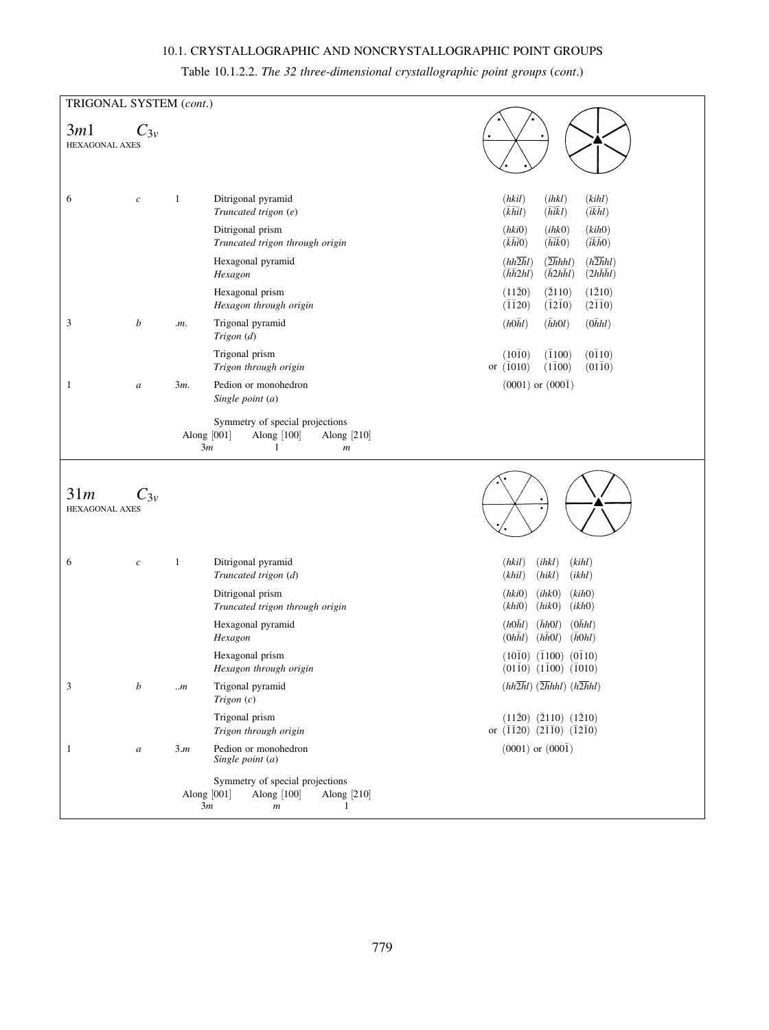| TRIGONAL SYSTEM (cont.)      |                  |            |                                                                                                             |                                                                                                                                                                                                                                       |
|------------------------------|------------------|------------|-------------------------------------------------------------------------------------------------------------|---------------------------------------------------------------------------------------------------------------------------------------------------------------------------------------------------------------------------------------|
| 3m1<br><b>HEXAGONAL AXES</b> | $C_{3v}$         |            |                                                                                                             |                                                                                                                                                                                                                                       |
| 6                            | $\boldsymbol{c}$ | 1          | Ditrigonal pyramid<br>Truncated trigon (e)<br>Ditrigonal prism<br>Truncated trigon through origin           | (kihl)<br>(hkil)<br>(ihkl)<br>$(\bar{i}\bar{k}\bar{h}l)$<br>$(\bar{k}\bar{h}\bar{i}l)$<br>$(\bar{h}\bar{i}\bar{k}l)$<br>(kih0)<br>(hki0)<br>(ihk0)<br>$(\bar{i}\bar{k}\bar{h}0)$<br>$(\bar{k}\bar{h}0)$<br>$(\bar{h}\bar{i}\bar{k}0)$ |
|                              |                  |            | Hexagonal pyramid<br>Hexagon                                                                                | $(h\overline{2h}hl)$<br>$(\overline{2h}hhl)$<br>$(hh\overline{2hl})$<br>$(\bar{h}\bar{h}2hl)$<br>$(\bar{h}2h\bar{h}l)$<br>$(2h\bar{h}\bar{h}l)$                                                                                       |
|                              |                  |            | Hexagonal prism<br>Hexagon through origin                                                                   | (2110)<br>$(1\bar{2}10)$<br>$(11\bar{2}0)$<br>$(\bar{1}2\bar{1}0)$<br>$(2\bar{1}10)$<br>$(\bar{1}\bar{1}20)$                                                                                                                          |
| 3                            | $\boldsymbol{b}$ | .m.        | Trigonal pyramid<br>Trigon (d)                                                                              | $(0\bar{h}hl)$<br>$(h0\bar{h}l)$<br>$(\bar{h}h0l)$                                                                                                                                                                                    |
|                              |                  |            | Trigonal prism<br>Trigon through origin                                                                     | $(10\bar{1}0)$<br>(1100)<br>(0110)<br>or $(\bar{1}010)$<br>$(01\bar{1}0)$<br>$(1\bar{1}00)$                                                                                                                                           |
| 1                            | $\boldsymbol{a}$ | $3m$ .     | Pedion or monohedron<br>Single point (a)                                                                    | $(0001)$ or $(000\bar{1})$                                                                                                                                                                                                            |
|                              |                  |            | Symmetry of special projections<br>Along [001]<br>Along [100]<br>Along [210]<br>3m<br>1<br>$\boldsymbol{m}$ |                                                                                                                                                                                                                                       |
| 31m<br><b>HEXAGONAL AXES</b> | $C_{3v}$         |            |                                                                                                             |                                                                                                                                                                                                                                       |
| 6                            | $\boldsymbol{c}$ | 1          | Ditrigonal pyramid<br>Truncated trigon (d)                                                                  | (hkil)<br>(ihkl)<br>(kihl)<br>(khil)<br>(hikl)<br>(ikhl)                                                                                                                                                                              |
|                              |                  |            | Ditrigonal prism<br>Truncated trigon through origin                                                         | (hki0)<br>(ihk0)<br>(kih0)<br>(ikh0)<br>(khi0)<br>(hik0)                                                                                                                                                                              |
|                              |                  |            | Hexagonal pyramid<br>Hexagon                                                                                | $(h0\bar{h}l)$ $(\bar{h}h0l)$<br>$(0\bar{h}hl)$<br>$(0h\bar{h}l)$ $(h\bar{h}0l)$ $(\bar{h}0hl)$                                                                                                                                       |
|                              |                  |            | Hexagonal prism<br>Hexagon through origin                                                                   | $(10\bar{1}0)$ $(\bar{1}100)$ $(0\bar{1}10)$<br>$(01\bar{1}0)$ $(1\bar{1}00)$ $(\bar{1}010)$                                                                                                                                          |
| 3                            | $\boldsymbol{b}$ | $\ldots$ m | Trigonal pyramid<br>Trigon (c)                                                                              | $(hh\overline{2h}l)(\overline{2h}hhl)(h\overline{2h}hl)$                                                                                                                                                                              |
|                              |                  |            | Trigonal prism<br>Trigon through origin                                                                     | $(11\bar{2}0)$ $(\bar{2}110)$ $(1\bar{2}10)$<br>or $(\bar{1}\bar{1}20)$ $(2\bar{1}\bar{1}0)$ $(\bar{1}2\bar{1}0)$                                                                                                                     |
| 1                            | $\boldsymbol{a}$ | 3.m        | Pedion or monohedron<br>Single point (a)                                                                    | $(0001)$ or $(000\bar{1})$                                                                                                                                                                                                            |
|                              |                  |            | Symmetry of special projections<br>Along [001]<br>Along [100]<br>Along [210]<br>3m<br>1<br>$\,m$            |                                                                                                                                                                                                                                       |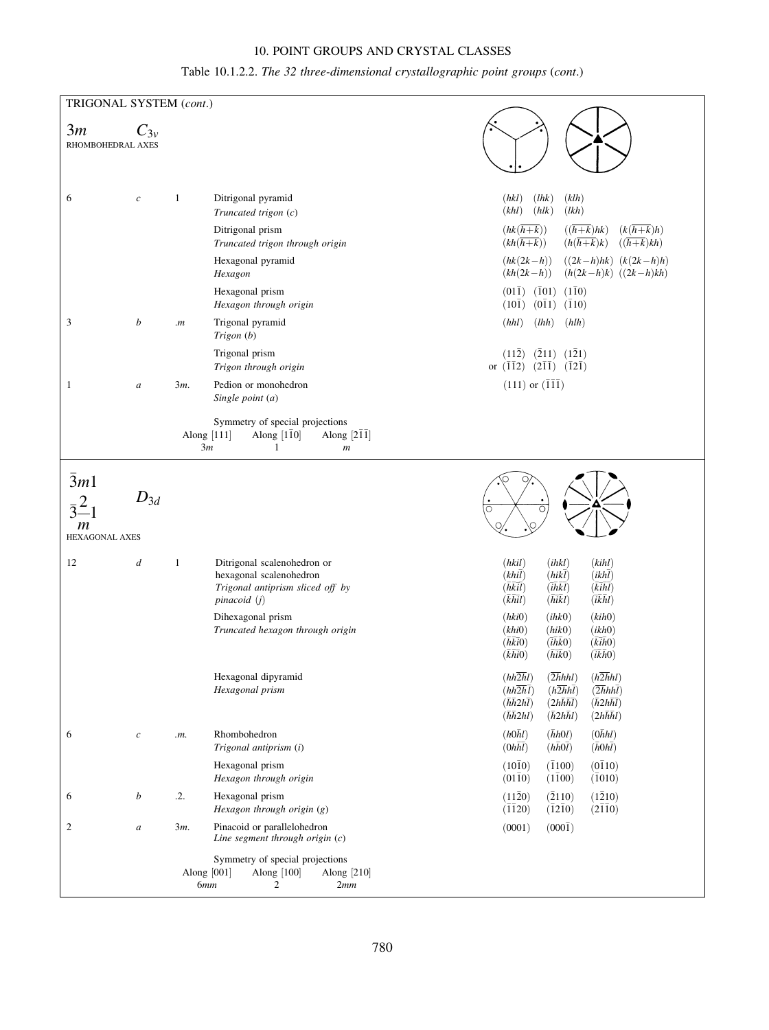| TRIGONAL SYSTEM (cont.)                                                         |                  |                  |                                                                                                                                                                                                               |                                                                                                                                                                                                                                                                                                                                                                                                                                                                                                                                                                                                                                                                                                                                                                                                                |
|---------------------------------------------------------------------------------|------------------|------------------|---------------------------------------------------------------------------------------------------------------------------------------------------------------------------------------------------------------|----------------------------------------------------------------------------------------------------------------------------------------------------------------------------------------------------------------------------------------------------------------------------------------------------------------------------------------------------------------------------------------------------------------------------------------------------------------------------------------------------------------------------------------------------------------------------------------------------------------------------------------------------------------------------------------------------------------------------------------------------------------------------------------------------------------|
| 3m<br>RHOMBOHEDRAL AXES                                                         | $C_{3v}$         |                  |                                                                                                                                                                                                               |                                                                                                                                                                                                                                                                                                                                                                                                                                                                                                                                                                                                                                                                                                                                                                                                                |
| 6                                                                               | $\boldsymbol{c}$ | $\mathbf{1}$     | Ditrigonal pyramid<br>Truncated trigon (c)<br>Ditrigonal prism<br>Truncated trigon through origin<br>Hexagonal pyramid<br>Hexagon<br>Hexagonal prism<br>Hexagon through origin                                | (hkl)<br>(lhk)<br>(klh)<br>(hlk)<br>(lkh)<br>(khl)<br>$(hk(\overline{h+k}))$<br>$((\overline{h+k})hk)$<br>$(k(\overline{h+k})h)$<br>$(kh(\overline{h+k}))$<br>$(h(\overline{h+k})k)$<br>$(\overline{(h+k)}kh)$<br>$((2k-h)hk)$ $(k(2k-h)h)$<br>$(hk(2k-h))$<br>$(kh(2k-h))$<br>$(h(2k-h)k)$ $((2k-h)kh)$<br>$(01\bar{1})$<br>$(\bar{1}01)$<br>$(1\bar{1}0)$<br>$(\bar{1}10)$<br>(011)<br>(101)                                                                                                                                                                                                                                                                                                                                                                                                                 |
| 3                                                                               | $\boldsymbol{b}$ | $\boldsymbol{m}$ | Trigonal pyramid<br>Trigon (b)<br>Trigonal prism<br>Trigon through origin                                                                                                                                     | (hhl)<br>(lhh)<br>(hlh)<br>$(11\bar{2})$<br>$(211)$ $(121)$<br>or $(\bar{1}\bar{1}2)$ $(2\bar{1}\bar{1})$ $(\bar{1}2\bar{1})$                                                                                                                                                                                                                                                                                                                                                                                                                                                                                                                                                                                                                                                                                  |
| $\mathbf{1}$                                                                    | $\boldsymbol{a}$ | $3m$ .           | Pedion or monohedron<br>Single point (a)<br>Symmetry of special projections<br>Along [111]<br>Along $[1\bar{1}0]$<br>Along $[2\overline{1}\overline{1}]$<br>3m<br>1<br>$\boldsymbol{m}$                       | $(111)$ or $(\bar{1}\bar{1}\bar{1})$                                                                                                                                                                                                                                                                                                                                                                                                                                                                                                                                                                                                                                                                                                                                                                           |
| $\overline{3}m1$<br>$\bar{3}^2$ -1<br>$\boldsymbol{m}$<br><b>HEXAGONAL AXES</b> | $D_{3d}$         |                  |                                                                                                                                                                                                               | $\overline{\circ}$<br>$\overline{\circ}$                                                                                                                                                                                                                                                                                                                                                                                                                                                                                                                                                                                                                                                                                                                                                                       |
| 12                                                                              | $\boldsymbol{d}$ | $\mathbf{1}$     | Ditrigonal scalenohedron or<br>hexagonal scalenohedron<br>Trigonal antiprism sliced off by<br>pinacoid (j)<br>Dihexagonal prism<br>Truncated hexagon through origin<br>Hexagonal dipyramid<br>Hexagonal prism | (kihl)<br>(hkil)<br>(ihkl)<br>$(ikh\bar{l})$<br>(khil)<br>(hikl)<br>$(\bar{k}\bar{i}\bar{h}\bar{l})$<br>$(\bar{h}\bar{k}\bar{i}\bar{l})$<br>$(\overline{i}\overline{h}\overline{k}\overline{l})$<br>$(\bar{i}\bar{k}\bar{h}l)$<br>$(\bar{k}\bar{h}\bar{l})$<br>$(\bar{h}\bar{i}\bar{k}l)$<br>(hki0)<br>(ihk0)<br>(kih0)<br>(khi0)<br>(hik0)<br>(ikh0)<br>$(\bar{h}\bar{k}i0)$<br>$(\bar{k}i\bar{h}0)$<br>$(\overline{i}\overline{h}\overline{k}0)$<br>$(\bar{i}\bar{k}\bar{h}0)$<br>$(\bar{k}\bar{h}\bar{i}0)$<br>$(\bar{h}\bar{i}\bar{k}0)$<br>$(h\overline{2h}hl)$<br>$(hh\overline{2h}l)$<br>(2hhhl)<br>$\left( \overline{2h}hh\overline{l}\right)$<br>$(hh\overline{2h}\overline{l})$<br>$(h\overline{2hhl})$<br>$(\bar{h}\bar{h}2h\bar{l})$<br>$(2h\bar{h}\bar{h}\bar{l})$<br>$(\bar{h}2h\bar{h}\bar{l})$ |
| 6                                                                               | $\boldsymbol{c}$ | .m.              | Rhombohedron<br>Trigonal antiprism (i)<br>Hexagonal prism                                                                                                                                                     | $(2h\bar{h}\bar{h}l)$<br>$(\bar{h}\bar{h}2hl)$<br>$(\bar{h}2h\bar{h}l)$<br>$(0\bar{h}hl)$<br>$(h0\bar{h}l)$<br>$(\bar{h}h0l)$<br>$(\bar{h}0h\bar{l})$<br>$(0h\overline{h}\overline{l})$<br>$(h\bar{h}0\bar{l})$<br>(0110)<br>$(10\bar{1}0)$<br>$(\bar{1}100)$                                                                                                                                                                                                                                                                                                                                                                                                                                                                                                                                                  |
| 6                                                                               | $\boldsymbol{b}$ | .2.              | Hexagon through origin<br>Hexagonal prism<br>Hexagon through origin (g)                                                                                                                                       | (1010)<br>$(01\bar{1}0)$<br>$(1\bar{1}00)$<br>$(1\bar{2}10)$<br>$(11\bar{2}0)$<br>(2110)<br>$(2\bar{1}1\bar{1}0)$<br>$(\bar{1}\bar{1}20)$<br>$(\bar{1}2\bar{1}0)$                                                                                                                                                                                                                                                                                                                                                                                                                                                                                                                                                                                                                                              |
| $\boldsymbol{2}$                                                                | $\boldsymbol{a}$ | $3m$ .           | Pinacoid or parallelohedron<br>Line segment through origin $(c)$<br>Symmetry of special projections<br>Along [001]<br>Along [100]<br>Along [210]<br>6mm<br>2<br>2mm                                           | $(000\bar{1})$<br>(0001)                                                                                                                                                                                                                                                                                                                                                                                                                                                                                                                                                                                                                                                                                                                                                                                       |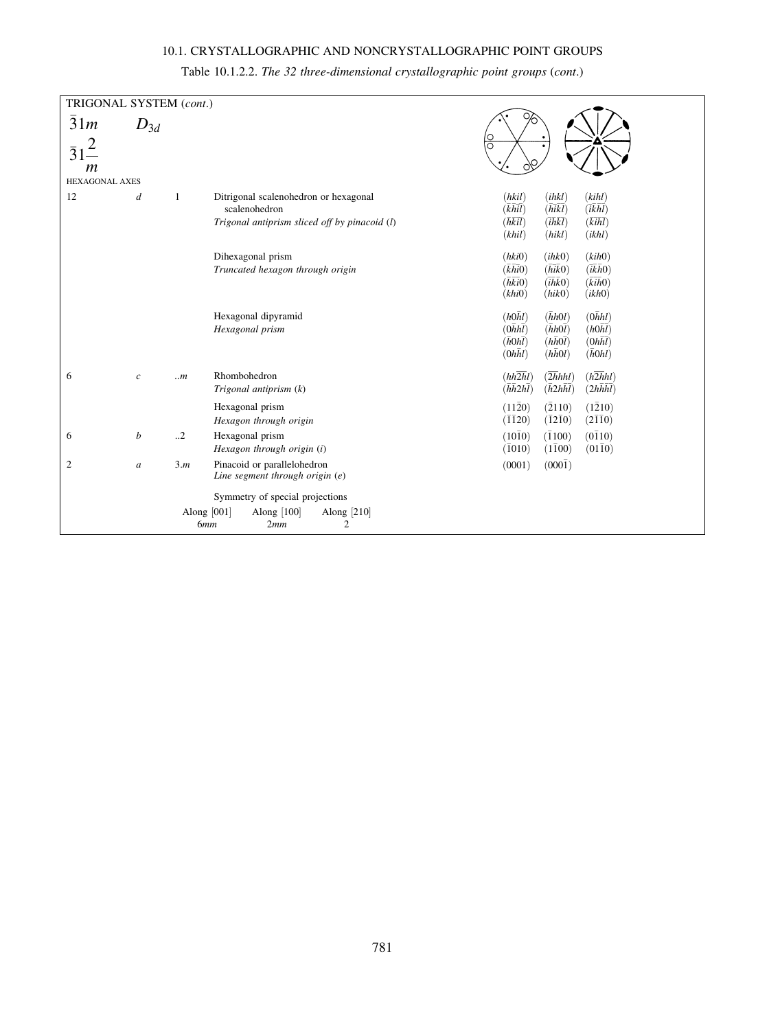| TRIGONAL SYSTEM (cont.)                 |                  |              |                                                                              |                                                                                                                                                                                                                                                        |
|-----------------------------------------|------------------|--------------|------------------------------------------------------------------------------|--------------------------------------------------------------------------------------------------------------------------------------------------------------------------------------------------------------------------------------------------------|
| $\overline{3}1m$                        | $D_{3d}$         |              |                                                                              |                                                                                                                                                                                                                                                        |
| $\bar{3}1^{\underline{2}}$              |                  |              |                                                                              | $\frac{1}{10}$<br>$O^{O}$                                                                                                                                                                                                                              |
| $\mathfrak{m}$<br><b>HEXAGONAL AXES</b> |                  |              |                                                                              |                                                                                                                                                                                                                                                        |
| 12                                      | $\boldsymbol{d}$ | $\mathbf{1}$ | Ditrigonal scalenohedron or hexagonal<br>scalenohedron                       | (hkil)<br>(ihkl)<br>(kihl)<br>$(\overline{i}\overline{k}\overline{h}\overline{l})$<br>$(\overline{khil})$<br>$(\overline{h\overline{ik}l})$                                                                                                            |
|                                         |                  |              | Trigonal antiprism sliced off by pinacoid (l)                                | $(\bar{k}\bar{i}\bar{h}\bar{l})$<br>$(\bar{h}\bar{k}\bar{i}\bar{l})$<br>$(\overline{i}\overline{h}\overline{k}\overline{l})$<br>(khil)<br>(hikl)<br>(ikhl)                                                                                             |
|                                         |                  |              | Dihexagonal prism                                                            | (hki0)<br>(ihk0)<br>(kih0)                                                                                                                                                                                                                             |
|                                         |                  |              | Truncated hexagon through origin                                             | $(\bar{h}\bar{i}\bar{k}0)$<br>$(\overline{i}\overline{k}\overline{h}0)$<br>$(\bar{k}\bar{h}\bar{i}0)$<br>$(\overline{i}\overline{h}\overline{k}0)$<br>$(\bar{k} \bar{i} \bar{h} 0)$<br>$(\bar{h}\bar{k}\bar{i}0)$<br>(ikh0)<br>(khi0)<br>(hik0)        |
|                                         |                  |              | Hexagonal dipyramid<br>Hexagonal prism                                       | $(0\bar{h}hl)$<br>$(h0\bar{h}l)$<br>$(\bar{h}h0l)$<br>$(0\bar{h}h\bar{l})$<br>$(\bar{h}h0\bar{l})$<br>$(h0\overline{hl})$<br>$(\bar{h}0h\bar{l})$<br>$(h\bar{h}0\bar{l})$<br>$(0h\overline{hl})$<br>$(0h\bar{h}l)$<br>$(h\bar{h}0l)$<br>$(\bar{h}0hl)$ |
| 6                                       | $\boldsymbol{c}$ | $\ldots$ m   | Rhombohedron<br>Trigonal antiprism $(k)$                                     | $(h\overline{2h}hl)$<br>$(hh\overline{2hl})$<br>$\left( \overline{2hhh}l\right)$<br>$(\bar{h}\bar{h}2h\bar{l})$<br>$(\bar{h}2h\bar{h}\bar{l})$<br>$(2h\bar{h}\bar{h}\bar{l})$                                                                          |
|                                         |                  |              | Hexagonal prism<br>Hexagon through origin                                    | (2110)<br>$(1\bar{2}10)$<br>$(11\bar{2}0)$<br>$(\bar{1}2\bar{1}0)$<br>$(2\bar{1}10)$<br>$(\bar{1}\bar{1}20)$                                                                                                                                           |
| 6                                       | b                | $\cdot$ .2   | Hexagonal prism<br>Hexagon through origin (i)                                | (0110)<br>$(10\bar{1}0)$<br>$(\bar{1}100)$<br>$(01\bar{1}0)$<br>(1010)<br>$(1\bar{1}00)$                                                                                                                                                               |
| $\mathbf{2}$                            | a                | 3.m          | Pinacoid or parallelohedron<br>Line segment through origin (e)               | $(000\bar{1})$<br>(0001)                                                                                                                                                                                                                               |
|                                         |                  |              | Symmetry of special projections<br>Along [001]<br>Along [100]<br>Along [210] |                                                                                                                                                                                                                                                        |
|                                         |                  |              | 2<br>6mm<br>2mm                                                              |                                                                                                                                                                                                                                                        |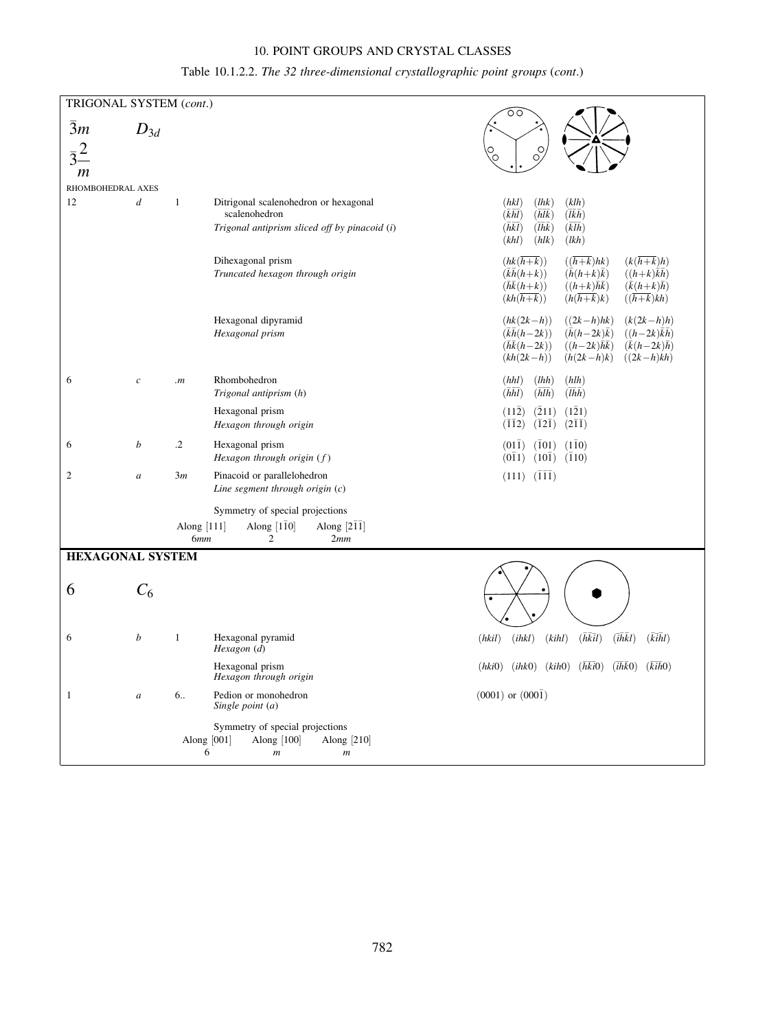| TRIGONAL SYSTEM (cont.)               |                  |                    |                                                                                                                        | ŌО                                                                                                                                                                                                                                                                                                                                  |
|---------------------------------------|------------------|--------------------|------------------------------------------------------------------------------------------------------------------------|-------------------------------------------------------------------------------------------------------------------------------------------------------------------------------------------------------------------------------------------------------------------------------------------------------------------------------------|
| $\bar{3}m$                            | $D_{3d}$         |                    |                                                                                                                        |                                                                                                                                                                                                                                                                                                                                     |
|                                       |                  |                    |                                                                                                                        |                                                                                                                                                                                                                                                                                                                                     |
| $\bar{3}^2$                           |                  |                    |                                                                                                                        | $\frac{Q'}{Q'}$<br>$\dot{\circ}$                                                                                                                                                                                                                                                                                                    |
| $\boldsymbol{m}$<br>RHOMBOHEDRAL AXES |                  |                    |                                                                                                                        |                                                                                                                                                                                                                                                                                                                                     |
| 12                                    | $\boldsymbol{d}$ | $\mathbf{1}$       | Ditrigonal scalenohedron or hexagonal<br>scalenohedron<br>Trigonal antiprism sliced off by pinacoid (i)                | (lhk)<br>(klh)<br>(hkl)<br>$(\overline{h}\overline{l}\overline{k})$<br>$(\overline{lk}\overline{h})$<br>$(\bar{k}\bar{h}\bar{l})$<br>$(\bar{h}\bar{k}\bar{l})$<br>$(\overline{lhk})$<br>$(\overline{klh})$                                                                                                                          |
|                                       |                  |                    |                                                                                                                        | (khl)<br>(lkh)<br>(hlk)                                                                                                                                                                                                                                                                                                             |
|                                       |                  |                    | Dihexagonal prism<br>Truncated hexagon through origin                                                                  | $(hk(\overline{h+k}))$<br>$((\overline{h+k})hk)$<br>$(k(\overline{h+k})h)$<br>$(\bar{k}\bar{h}(h+k))$<br>$(\bar{h}(h+k)\bar{k})$<br>$((h+k)\overline{k}\overline{h})$<br>$((h+k)\overline{h}\overline{k})$<br>$(\bar{k}(h+k)\bar{h})$<br>$(\bar{h}\bar{k}(h+k))$<br>$(\overline{(h+k)}kh)$<br>$(kh(\overline{h+k}))$<br>$(h(h+k)k)$ |
|                                       |                  |                    | Hexagonal dipyramid<br>Hexagonal prism                                                                                 | $(hk(2k-h))$<br>$(k(2k-h)h)$<br>$((2k-h)hk)$<br>$((h-2k)\overline{k}\overline{h})$<br>$(\bar{k}\bar{h}(h-2k))$<br>$(\bar{h}(h-2k)\bar{k})$<br>$(\bar{h}\bar{k}(h-2k))$<br>$((h-2k)\overline{h}\overline{k})$<br>$(\bar{k}(h-2k)\bar{h})$<br>$(kh(2k-h))$<br>$(h(2k-h)k)$<br>$((2k-h)kh)$                                            |
| 6                                     | $\boldsymbol{c}$ | $\cdot$ <i>m</i>   | Rhombohedron<br>Trigonal antiprism (h)                                                                                 | (hhl)<br>(lhh)<br>(hlh)<br>$(\bar{l}\bar{h}\bar{h})$<br>$(\bar{h}\bar{h}\bar{l})$<br>$(\bar{h}\bar{l}\bar{h})$                                                                                                                                                                                                                      |
|                                       |                  |                    | Hexagonal prism<br>Hexagon through origin                                                                              | $(11\bar{2})$<br>(211)<br>$(1\bar{2}1)$<br>$(\overline{1}2\overline{1})$<br>$(\overline{1}\overline{1}2)$<br>$(2\overline{1}\overline{1})$                                                                                                                                                                                          |
| 6                                     | $\boldsymbol{b}$ | $\cdot$ .2         | Hexagonal prism<br>Hexagon through origin $(f)$                                                                        | $(01\bar{1})$<br>$(\bar{1}01)$<br>$(1\bar{1}0)$<br>$(0\bar{1}1)$<br>$(10\bar{1})$<br>$(\bar{1}10)$                                                                                                                                                                                                                                  |
| $\overline{c}$                        | $\boldsymbol{a}$ | 3m                 | Pinacoid or parallelohedron<br>Line segment through origin $(c)$                                                       | $(111)$ $(\bar{1}\bar{1}\bar{1})$                                                                                                                                                                                                                                                                                                   |
|                                       |                  | Along [111]<br>6mm | Symmetry of special projections<br>Along $[1\bar{1}0]$<br>Along $[2\overline{1}\overline{1}]$<br>$\overline{2}$<br>2mm |                                                                                                                                                                                                                                                                                                                                     |
| <b>HEXAGONAL SYSTEM</b>               |                  |                    |                                                                                                                        |                                                                                                                                                                                                                                                                                                                                     |
| 6                                     | $C_6$            |                    |                                                                                                                        |                                                                                                                                                                                                                                                                                                                                     |
| 6                                     | b                | 1                  | Hexagonal pyramid<br>Hexagon $(d)$                                                                                     | (hkil)<br>(ihkl)<br>(kihl)<br>(hkil)<br>(ihkl)<br>(kihl)                                                                                                                                                                                                                                                                            |
|                                       |                  |                    | Hexagonal prism<br>Hexagon through origin                                                                              | $(\bar{h}\bar{k}\bar{i}0)$<br>$(\bar{i}\bar{h}\bar{k}0)$ $(\bar{k}\bar{i}\bar{h}0)$<br>$(hki0)$ $(ihk0)$ $(kih0)$                                                                                                                                                                                                                   |
| $\mathbf{1}$                          | $\boldsymbol{a}$ | 6                  | Pedion or monohedron<br>Single point (a)                                                                               | $(0001)$ or $(000\bar{1})$                                                                                                                                                                                                                                                                                                          |
|                                       |                  |                    | Symmetry of special projections<br>Along [001]<br>Along [100]<br>Along [210]<br>6<br>$\,m$<br>$\boldsymbol{m}$         |                                                                                                                                                                                                                                                                                                                                     |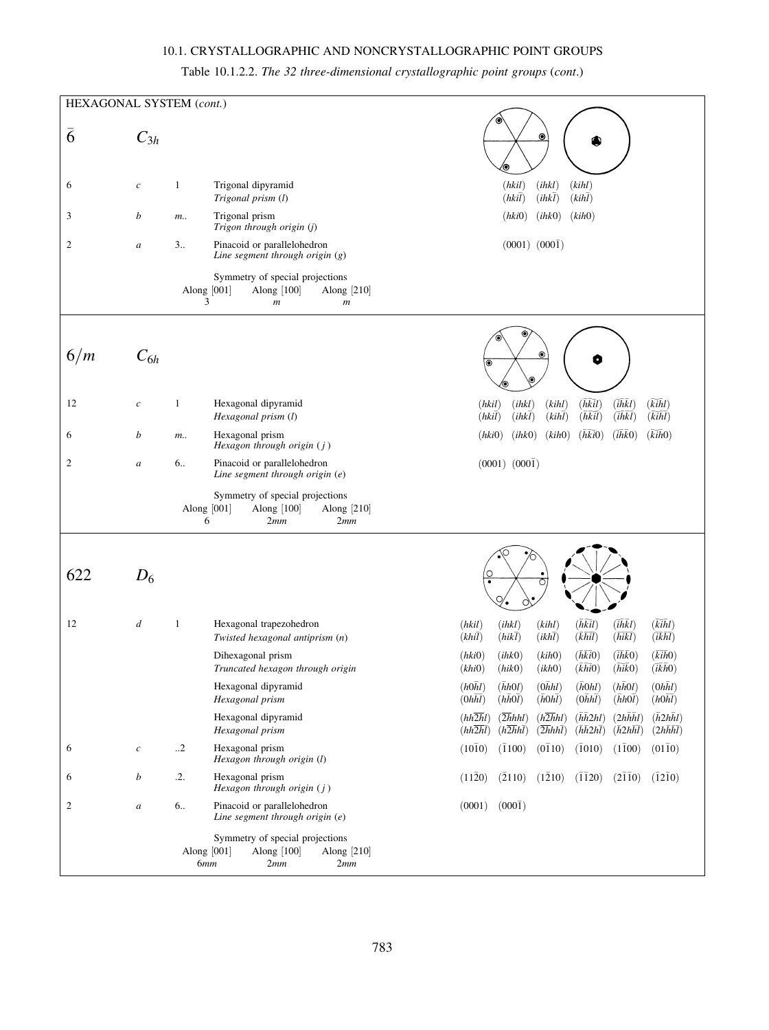| HEXAGONAL SYSTEM (cont.) |                  |              |                                                                                                                           |                                                                                                                                                                                                                                                                                                                                                             |
|--------------------------|------------------|--------------|---------------------------------------------------------------------------------------------------------------------------|-------------------------------------------------------------------------------------------------------------------------------------------------------------------------------------------------------------------------------------------------------------------------------------------------------------------------------------------------------------|
| $\overline{6}$           | $C_{3h}$         |              |                                                                                                                           | $\bullet$<br>۵                                                                                                                                                                                                                                                                                                                                              |
| 6                        | $\boldsymbol{c}$ | 1            | Trigonal dipyramid<br>Trigonal prism (l)                                                                                  | (hkil)<br>(ihkl)<br>(kihl)<br>$(hki\bar{l})$<br>$(ihk\overline{l})$<br>$(kih\bar{l})$                                                                                                                                                                                                                                                                       |
| 3                        | b                | m            | Trigonal prism<br>Trigon through origin (j)                                                                               | (hki0)<br>(ihk0)<br>(kih0)                                                                                                                                                                                                                                                                                                                                  |
| $\overline{c}$           | $\boldsymbol{a}$ | 3            | Pinacoid or parallelohedron<br>Line segment through origin $(g)$                                                          | $(0001)$ $(000\bar{1})$                                                                                                                                                                                                                                                                                                                                     |
|                          |                  |              | Symmetry of special projections<br>Along [001]<br>Along [100]<br>Along [210]<br>3<br>$\boldsymbol{m}$<br>$\boldsymbol{m}$ |                                                                                                                                                                                                                                                                                                                                                             |
| 6/m                      | $C_{6h}$         |              |                                                                                                                           | $\circledcirc$<br>۵                                                                                                                                                                                                                                                                                                                                         |
| 12                       | $\boldsymbol{c}$ | 1            | Hexagonal dipyramid<br>Hexagonal prism (l)                                                                                | $(\bar{h}\bar{k}\bar{i}l)$<br>$(\overline{i}\overline{h}\overline{k}l)$<br>(ihkl)<br>$(\bar{k} \bar{i} \bar{h} l)$<br>(hkil)<br>(kihl)<br>$(hki\bar{l})$<br>$(ihk\bar{l})$<br>$(kih\bar{l})$<br>$(\bar{h}\bar{k}\bar{i}\bar{l})$<br>$(i\bar{h}\bar{k}\bar{l})$<br>$(\overline{kihl})$                                                                       |
| 6                        | b                | m            | Hexagonal prism<br>Hexagon through origin $(j)$                                                                           | $(\bar{h}\bar{k}\bar{i}0)$<br>$(\overline{i}\overline{h}\overline{k}0)$<br>$(\bar{k}i\bar{h}0)$<br>(hki0)<br>(ihk0)<br>(kih0)                                                                                                                                                                                                                               |
| $\overline{c}$           | $\boldsymbol{a}$ | 6.           | Pinacoid or parallelohedron<br>Line segment through origin (e)                                                            | $(0001)$ $(000\bar{1})$                                                                                                                                                                                                                                                                                                                                     |
|                          |                  |              | Symmetry of special projections<br>Along [100]<br>Along [001]<br>Along [210]<br>6<br>2mm<br>2mm                           |                                                                                                                                                                                                                                                                                                                                                             |
| 622                      | $D_6$            |              |                                                                                                                           | O<br>ত                                                                                                                                                                                                                                                                                                                                                      |
| 12                       | d                | $\mathbf{1}$ | Hexagonal trapezohedron<br>Twisted hexagonal antiprism (n)                                                                | $(\overline{kih}l)$<br>$(\bar{h}\bar{k}\bar{i}l)$<br>$(\bar{i}\bar{h}\bar{k}l)$<br>(hkil)<br>(ihkl)<br>(kihl)<br>(khil)<br>(hikl)<br>(ikhl)<br>(khil)<br>$(\overline{hikl})$<br>(ikhl)                                                                                                                                                                      |
|                          |                  |              | Dihexagonal prism<br>Truncated hexagon through origin                                                                     | $(\overline{k}\overline{i}\overline{h}0)$<br>$(\bar{h}\bar{k}\bar{i}0)$<br>$(\bar{i}\bar{h}\bar{k}0)$<br>(ihk0)<br>(hki0)<br>(kih0)<br>$(\bar{i}\bar{k}\bar{h}0)$<br>(khi0)<br>(hik0)<br>$(\bar{k}\bar{h}\bar{i}0)$<br>$(\bar{h}\bar{i}\bar{k}0)$<br>(ikh0)                                                                                                 |
|                          |                  |              | Hexagonal dipyramid<br>Hexagonal prism                                                                                    | $(0h\bar{h}l)$<br>$(h0\bar{h}l)$<br>$(\bar{h}h0l)$<br>$(0\bar{h}hl)$<br>$(h\bar{h}0l)$<br>$(\bar{h}0hl)$<br>$(0\bar{h}h\bar{l})$<br>$(h0\overline{hl})$<br>$(0h\overline{h}\overline{l})$<br>$(h\bar{h}0\bar{l})$<br>$(\bar{h}0h\bar{l})$<br>$(\bar{h}h0\bar{l})$                                                                                           |
|                          |                  |              | Hexagonal dipyramid<br>Hexagonal prism                                                                                    | $\left( \overline{2\hbar}hhl\right)$<br>$(hh\overline{2hl})$<br>$(h\overline{2h}hl)$<br>$(\bar{h}\bar{h}2hl)$<br>$(\bar{h}2h\bar{h}l)$<br>$(2h\bar{h}\bar{h}l)$<br>$(hh\overline{2hl})$<br>$(h\overline{2hhl})$<br>$(\bar{h}\bar{h}2h\bar{l})$<br>$\left( \overline{2h}hh\overline{l}\right)$<br>$(\bar{h}2h\bar{h}\bar{l})$<br>$(2h\bar{h}\bar{h}\bar{l})$ |
| 6                        | $\boldsymbol{c}$ | $\cdot$ .2   | Hexagonal prism<br>Hexagon through origin (l)                                                                             | (1100)<br>(0110)<br>$(01\bar{1}0)$<br>$(10\bar{1}0)$<br>(1010)<br>$(1\bar{1}00)$                                                                                                                                                                                                                                                                            |
| 6                        | b                | .2.          | Hexagonal prism<br>Hexagon through origin $(j)$                                                                           | (2110)<br>$(1\bar{2}10)$<br>$(\bar{1}\bar{1}20)$<br>$(2\bar{1}10)$<br>$(\bar{1}2\bar{1}0)$<br>$(11\bar{2}0)$                                                                                                                                                                                                                                                |
| 2                        | a                | 6.           | Pinacoid or parallelohedron<br>Line segment through origin (e)                                                            | $(000\bar{1})$<br>(0001)                                                                                                                                                                                                                                                                                                                                    |
|                          |                  |              | Symmetry of special projections<br>Along [001]<br>Along $[100]$<br>Along [210]<br>6mm<br>2mm<br>2mm                       |                                                                                                                                                                                                                                                                                                                                                             |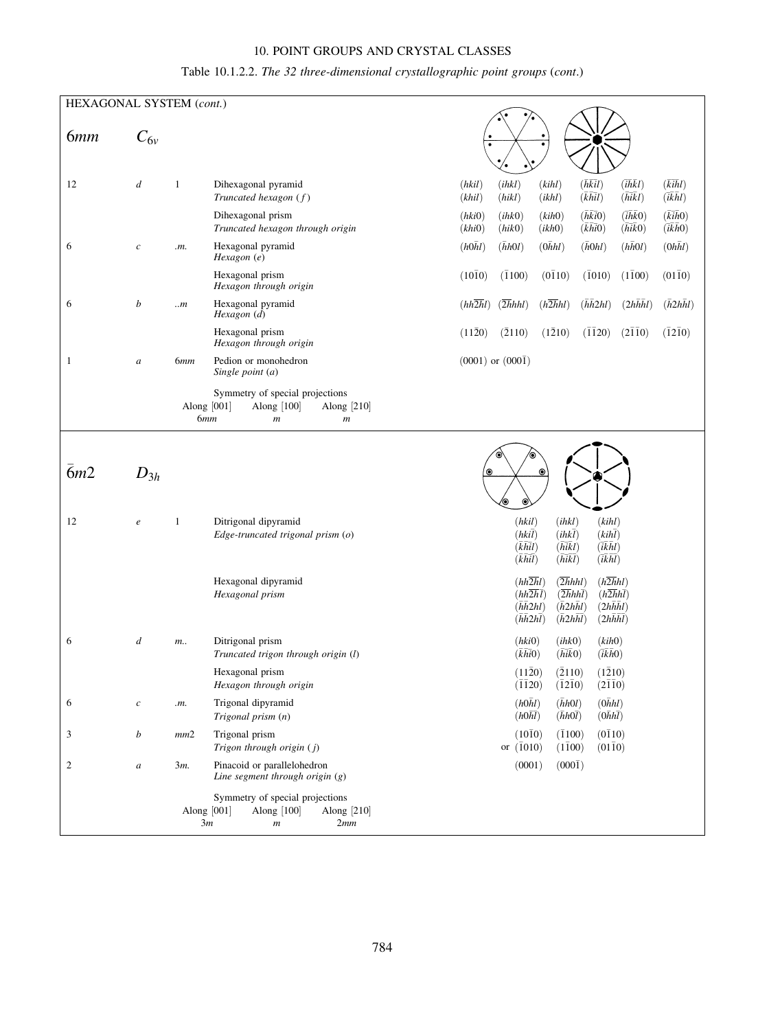| HEXAGONAL SYSTEM (cont.) |                  |            |                                                                                                                  |                                                                                                                                                                                                                                                                                                                                                      |
|--------------------------|------------------|------------|------------------------------------------------------------------------------------------------------------------|------------------------------------------------------------------------------------------------------------------------------------------------------------------------------------------------------------------------------------------------------------------------------------------------------------------------------------------------------|
| 6 <i>mm</i>              | $C_{6v}$         |            |                                                                                                                  | $\overline{\bullet}$                                                                                                                                                                                                                                                                                                                                 |
| 12                       | $\boldsymbol{d}$ | 1          | Dihexagonal pyramid<br>Truncated hexagon $(f)$                                                                   | $(\bar{k}\bar{i}\bar{h}l)$<br>(ihkl)<br>$(\bar{h}\bar{k}\bar{i}l)$<br>$(\overline{i}\overline{h}\overline{k}l)$<br>(hkil)<br>(kihl)<br>$(\overline{i}\overline{k}\overline{h}l)$<br>(hikl)<br>(ikhl)<br>$(\bar{k}\bar{h}\bar{i}l)$<br>$(\bar{h}\bar{i}\bar{k}l)$<br>(khil)                                                                           |
|                          |                  |            | Dihexagonal prism<br>Truncated hexagon through origin                                                            | $(\overline{kih}0)$<br>$(\bar{i}\bar{h}\bar{k}0)$<br>$(\bar{h}\bar{k}\bar{i}0)$<br>(hki0)<br>(ihk0)<br>(kih0)<br>$(\overline{i}\overline{k}\overline{h}0)$<br>$(\bar{k}\bar{h}\bar{i}0)$<br>$(\bar{h}\bar{i}\bar{k}0)$<br>(khi0)<br>(hik0)<br>(ikh0)                                                                                                 |
| 6                        | $\boldsymbol{c}$ | .m.        | Hexagonal pyramid<br>Hexagon(e)                                                                                  | $(0h\bar{h}l)$<br>$(h0\bar{h}l)$<br>$(\bar{h}h0l)$<br>$(0\bar{h}hl)$<br>$(\bar{h}0hl)$<br>$(h\bar{h}0l)$                                                                                                                                                                                                                                             |
|                          |                  |            | Hexagonal prism<br>Hexagon through origin                                                                        | $(10\bar{1}0)$<br>(0110)<br>(1010)<br>$(01\bar{1}0)$<br>(1100)<br>$(1\bar{1}00)$                                                                                                                                                                                                                                                                     |
| 6                        | $\boldsymbol{b}$ | $\ldots$ m | Hexagonal pyramid<br>Hexagon (d)                                                                                 | $(hh\overline{2h}l)$<br>$(h\overline{2h}hl)$<br>$(\bar{h}\bar{h}2hl)$<br>$(\bar{h}2h\bar{h}l)$<br>$\left( \overline{2h}hhl\right)$<br>$(2h\bar{h}\bar{h}l)$                                                                                                                                                                                          |
|                          |                  |            | Hexagonal prism<br>Hexagon through origin                                                                        | $(11\bar{2}0)$<br>(2110)<br>$(1\bar{2}10)$<br>$(\bar{1}\bar{1}20)$<br>$(2\bar{1}10)$<br>$(\bar{1}2\bar{1}0)$                                                                                                                                                                                                                                         |
| $\mathbf{1}$             | $\boldsymbol{a}$ | бтт        | Pedion or monohedron<br>Single point $(a)$                                                                       | $(0001)$ or $(000\bar{1})$                                                                                                                                                                                                                                                                                                                           |
|                          |                  |            | Symmetry of special projections<br>Along [001]<br>Along [100]<br>Along [210]<br>6mm<br>$\boldsymbol{m}$<br>$\,m$ |                                                                                                                                                                                                                                                                                                                                                      |
| $\bar{6}m2$              | $D_{3h}$         |            |                                                                                                                  | ⊚<br>$\bullet$<br>$\bullet$                                                                                                                                                                                                                                                                                                                          |
| 12                       | $\boldsymbol{e}$ | 1          | Ditrigonal dipyramid<br>Edge-truncated trigonal prism (o)                                                        | (hkil)<br>(ihkl)<br>(kihl)<br>$(hki\overline{l})$<br>$(ihk\overline{l})$<br>$(kih\bar{l})$<br>$(i\bar{k}\bar{h}l)$<br>$(\bar{k}\bar{h}\bar{i}l)$<br>$(\bar{h}\bar{i}\bar{k}l)$<br>$(\overline{ikh}\overline{l})$<br>(khil)<br>$(h\bar{t}kl)$                                                                                                         |
|                          |                  |            | Hexagonal dipyramid<br>Hexagonal prism                                                                           | $(\overline{2hhh}$<br>$(h\overline{2h}hl)$<br>$(hh\overline{2h}l)$<br>$\left( \overline{2hhh}\overline{l}\right)$<br>$(h\overline{2hhl})$<br>$(hh\overline{2h}\overline{l})$<br>$(\bar{h}\bar{h}2hl)$<br>$(\bar{h}2h\bar{h}l)$<br>$(2h\bar{h}\bar{h}l)$<br>$(\bar{h}\bar{h}2h\bar{l})$<br>$(\bar{h}2h\bar{h}\bar{l})$<br>$(2h\bar{h}\bar{h}\bar{l})$ |
| 6                        | $\boldsymbol{d}$ | $m$        | Ditrigonal prism<br>Truncated trigon through origin (l)                                                          | (hki0)<br>(kih0)<br>(ihk0)<br>$(\bar{h}\bar{i}\bar{k}0)$<br>$(\bar{i}\bar{k}\bar{h}0)$<br>$(\bar{k}\bar{h}\bar{i}0)$                                                                                                                                                                                                                                 |
|                          |                  |            | Hexagonal prism<br>Hexagon through origin                                                                        | $(1\bar{2}10)$<br>$(11\bar{2}0)$<br>(2110)<br>$(\bar{1}2\bar{1}0)$<br>$(2\bar{1}\bar{1}0)$<br>$(\bar{1}\bar{1}20)$                                                                                                                                                                                                                                   |
| 6                        | $\boldsymbol{c}$ | .т.        | Trigonal dipyramid<br>Trigonal prism (n)                                                                         | $(0\bar{h}hl)$<br>$(h0\bar{h}l)$<br>$(\bar{h}h0l)$<br>$(\bar{h}h0\bar{l})$<br>$(0\bar{h}h\bar{l})$<br>$(h0\overline{h}\overline{l})$                                                                                                                                                                                                                 |
| 3                        | $\boldsymbol{b}$ | mm2        | Trigonal prism<br>Trigon through origin (j)                                                                      | $(10\bar{1}0)$<br>(1100)<br>(0110)<br>$(01\bar{1}0)$<br>or $(\overline{1}010)$<br>$(1\bar{1}00)$                                                                                                                                                                                                                                                     |
| $\overline{c}$           | $\boldsymbol{a}$ | 3m.        | Pinacoid or parallelohedron<br>Line segment through origin (g)                                                   | (0001)<br>$(000\bar{1})$                                                                                                                                                                                                                                                                                                                             |
|                          |                  |            | Symmetry of special projections<br>Along [100]<br>Along [001]<br>Along [210]<br>3m<br>2mm<br>$\,m$               |                                                                                                                                                                                                                                                                                                                                                      |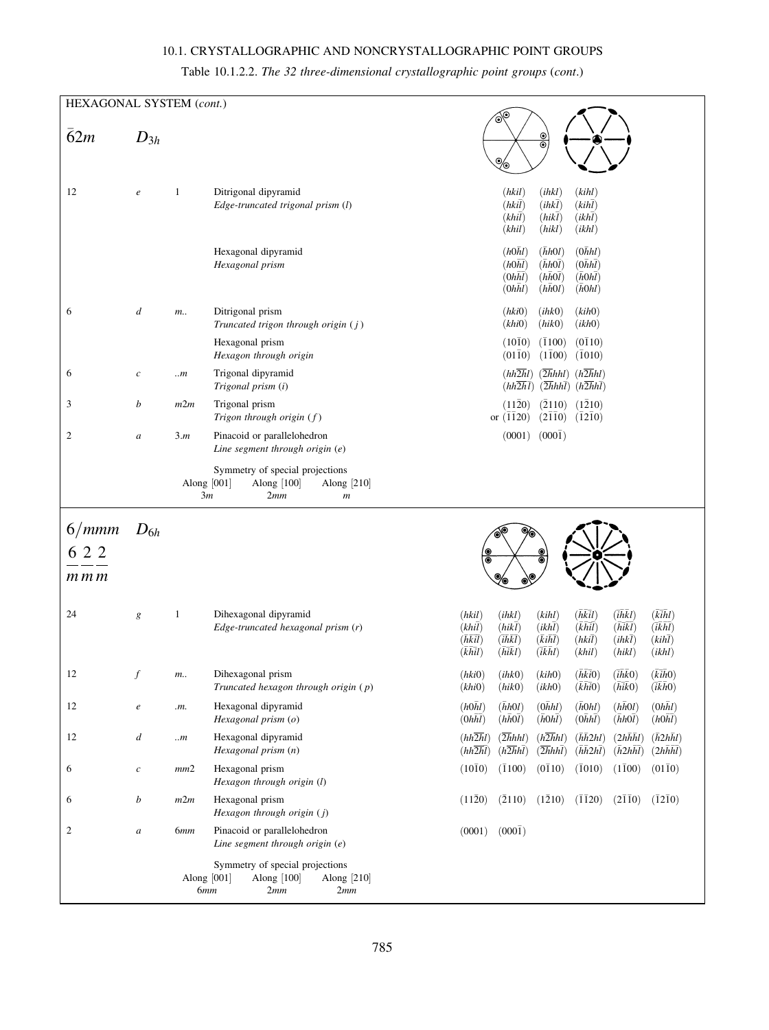| HEXAGONAL SYSTEM (cont.) |                  |     |                                                                                                     |                                                                                            |                                                                                                                     |                                                                                  |                                                                                                              |                                                                                                   |                                                                                                                     |
|--------------------------|------------------|-----|-----------------------------------------------------------------------------------------------------|--------------------------------------------------------------------------------------------|---------------------------------------------------------------------------------------------------------------------|----------------------------------------------------------------------------------|--------------------------------------------------------------------------------------------------------------|---------------------------------------------------------------------------------------------------|---------------------------------------------------------------------------------------------------------------------|
| $\overline{6}2m$         | $D_{3h}$         |     |                                                                                                     |                                                                                            | $\circledcirc$<br>$\mathcal{O}_{\!\!\!\!\!\bigcirc\!}$                                                              | $\frac{\circ}{\circ}$                                                            |                                                                                                              |                                                                                                   |                                                                                                                     |
| 12                       | $\boldsymbol{e}$ | 1   | Ditrigonal dipyramid<br>Edge-truncated trigonal prism (l)                                           |                                                                                            | (hkil)<br>$(hki\overline{l})$<br>$(khi\bar{l})$<br>(khil)                                                           | (ihkl)<br>$(ihk\overline{l})$<br>$(hik\overline{l})$<br>(hikl)                   | (kihl)<br>$(kih\bar{l})$<br>$(ikh\bar{l})$<br>(ikhl)                                                         |                                                                                                   |                                                                                                                     |
|                          |                  |     | Hexagonal dipyramid<br>Hexagonal prism                                                              |                                                                                            | $(h0\bar{h}l)$<br>$(h0\overline{hl})$<br>$(0h\overline{hl})$<br>$(0h\bar{h}l)$                                      | $(\bar{h}h0l)$<br>$(\bar{h}h0\bar{l})$<br>$(h\bar{h}0\bar{l})$<br>$(h\bar{h}0l)$ | $(0\bar{h}hl)$<br>$(0\bar{h}h\bar{l})$<br>$(\bar{h}0h\bar{l})$<br>(h0hl)                                     |                                                                                                   |                                                                                                                     |
| 6                        | $\boldsymbol{d}$ | m   | Ditrigonal prism<br>Truncated trigon through origin $(j)$                                           |                                                                                            | (hki0)<br>(khi0)                                                                                                    | (ihk0)<br>(hik0)                                                                 | (kih0)<br>(ikh0)                                                                                             |                                                                                                   |                                                                                                                     |
|                          |                  |     | Hexagonal prism<br>Hexagon through origin                                                           |                                                                                            | (1010)<br>$(01\bar{1}0)$                                                                                            | $(\bar{1}100)$<br>$(1\bar{1}00)$                                                 | (0110)<br>(1010)                                                                                             |                                                                                                   |                                                                                                                     |
| 6                        | $\boldsymbol{c}$ | m   | Trigonal dipyramid<br>Trigonal prism (i)                                                            |                                                                                            | $(hh\overline{2h}l)$<br>$(hh\overline{2h}\overline{l})$                                                             |                                                                                  | $(\overline{2h}hhl)$ $(h\overline{2h}hl)$<br>$(\overline{2h}hh\overline{l})$ $(h\overline{2h}h\overline{l})$ |                                                                                                   |                                                                                                                     |
| 3                        | b                | m2m | Trigonal prism<br>Trigon through origin $(f)$                                                       |                                                                                            | $(11\bar{2}0)$<br>or $(\overline{1}\overline{1}20)$                                                                 | $(2110)$ $(1210)$<br>$(2\bar{1}10)$                                              | $(\bar{1}2\bar{1}0)$                                                                                         |                                                                                                   |                                                                                                                     |
| 2                        | $\boldsymbol{a}$ | 3.m | Pinacoid or parallelohedron<br>Line segment through origin $(e)$                                    |                                                                                            | (0001)                                                                                                              | $(000\bar{1})$                                                                   |                                                                                                              |                                                                                                   |                                                                                                                     |
|                          |                  |     | Symmetry of special projections<br>Along [001]<br>Along [100]<br>Along [210]<br>3m<br>2mm<br>$\,m$  |                                                                                            |                                                                                                                     |                                                                                  |                                                                                                              |                                                                                                   |                                                                                                                     |
| 6/mmm                    | $D_{6h}$         |     |                                                                                                     |                                                                                            |                                                                                                                     |                                                                                  |                                                                                                              |                                                                                                   |                                                                                                                     |
| 622                      |                  |     |                                                                                                     | $\overline{\bullet}$                                                                       |                                                                                                                     | $\bullet$                                                                        |                                                                                                              |                                                                                                   |                                                                                                                     |
| m m m                    |                  |     |                                                                                                     |                                                                                            | Θ.                                                                                                                  |                                                                                  |                                                                                                              |                                                                                                   |                                                                                                                     |
| 24                       | g                | 1   | Dihexagonal dipyramid<br>Edge-truncated hexagonal prism (r)                                         | (hkil)<br>$(khi\bar{l})$<br>$(\bar{h}\bar{k}\bar{i}\bar{l})$<br>$(\bar{k}\bar{h}\bar{i}l)$ | (ihkl)<br>$(hik\overline{l})$<br>$(\overline{i}\overline{h}\overline{k}\overline{l})$<br>$(\bar{h}\bar{i}\bar{k}l)$ | (kihl)<br>$(ikh\bar{l})$<br>$(\bar{k}i\bar{h}\bar{l})$<br>$(i\bar{k}\bar{h}l)$   | $(\bar{h}\bar{k}\bar{i}l)$<br>$(\bar{k}\bar{h}\bar{i}\bar{l})$<br>$(hki\overline{l})$<br>(khil)              | $(\overline{i}\overline{h}\overline{k}l)$<br>$(\bar{h}\bar{i}\bar{k}\bar{l})$<br>(ihkl)<br>(hikl) | $(\bar{k}\bar{i}\bar{h}l)$<br>$(\overline{i}\overline{k}\overline{h}\overline{l})$<br>$(kih\overline{l})$<br>(ikhl) |
| 12                       | $\boldsymbol{f}$ | $m$ | Dihexagonal prism<br>Truncated hexagon through origin $(p)$                                         | (hki0)<br>(khi0)                                                                           | (ihk0)<br>(hik0)                                                                                                    | (kih0)<br>(ikh0)                                                                 | $(\bar{h}\bar{k}\bar{i}0)$<br>$(\bar{k}\bar{h}\bar{i}0)$                                                     | $(\bar{i}\bar{h}\bar{k}0)$<br>$(h\bar{ik}0)$                                                      | $(\bar{k}i\bar{h}0)$<br>$(\bar{i}\bar{k}\bar{h}0)$                                                                  |
| 12                       | $\boldsymbol{e}$ | .m. | Hexagonal dipyramid<br>Hexagonal prism (o)                                                          | $(h0\bar{h}l)$<br>(0hhl)                                                                   | $(\bar{h}h0l)$<br>$(h\bar{h}0\bar{l})$                                                                              | $(0\bar{h}hl)$<br>$(\bar{h}0h\bar{l})$                                           | $(\bar{h}0hl)$<br>$(0\bar{h}h\bar{l})$                                                                       | $(h\bar{h}0l)$<br>$(\bar{h}h0\bar{l})$                                                            | $(0h\bar{h}l)$<br>$(h0\bar{h}\bar{l})$                                                                              |
| 12                       | $\boldsymbol{d}$ | m   | Hexagonal dipyramid<br>Hexagonal prism $(n)$                                                        | $(hh\overline{2h}l)$<br>$(hh\overline{2hl})$                                               | (2hhhl)<br>$(h\overline{2hh}\overline{l})$                                                                          | $(h\overline{2h}hl)$<br>$(\overline{2h}hh\overline{l})$                          | $(\bar{h}\bar{h}2hl)$<br>$(\bar{h}\bar{h}2h\bar{l})$                                                         | $(2h\bar{h}\bar{h}l)$<br>$(\bar{h}2h\bar{h}\bar{l})$                                              | $(\bar{h}2h\bar{h}l)$<br>$(2h\bar{h}\bar{h}\bar{l})$                                                                |
| 6                        | $\boldsymbol{c}$ | mm2 | Hexagonal prism<br>Hexagon through origin (l)                                                       | $(10\bar{1}0)$                                                                             | (1100)                                                                                                              | (0110)                                                                           | (1010)                                                                                                       | $(1\bar{1}00)$                                                                                    | $(01\bar{1}0)$                                                                                                      |
| 6                        | b                | m2m | Hexagonal prism<br>Hexagon through origin (j)                                                       | $(11\bar{2}0)$                                                                             | (2110)                                                                                                              | $(1\bar{2}10)$                                                                   | $(\bar{1}\bar{1}20)$                                                                                         | $(2\bar{1}10)$                                                                                    | $(\bar{1}2\bar{1}0)$                                                                                                |
| $\overline{c}$           | $\boldsymbol{a}$ | 6mm | Pinacoid or parallelohedron<br>Line segment through origin (e)                                      | (0001)                                                                                     | $(000\bar{1})$                                                                                                      |                                                                                  |                                                                                                              |                                                                                                   |                                                                                                                     |
|                          |                  |     | Symmetry of special projections<br>Along [001]<br>Along $[100]$<br>Along [210]<br>6mm<br>2mm<br>2mm |                                                                                            |                                                                                                                     |                                                                                  |                                                                                                              |                                                                                                   |                                                                                                                     |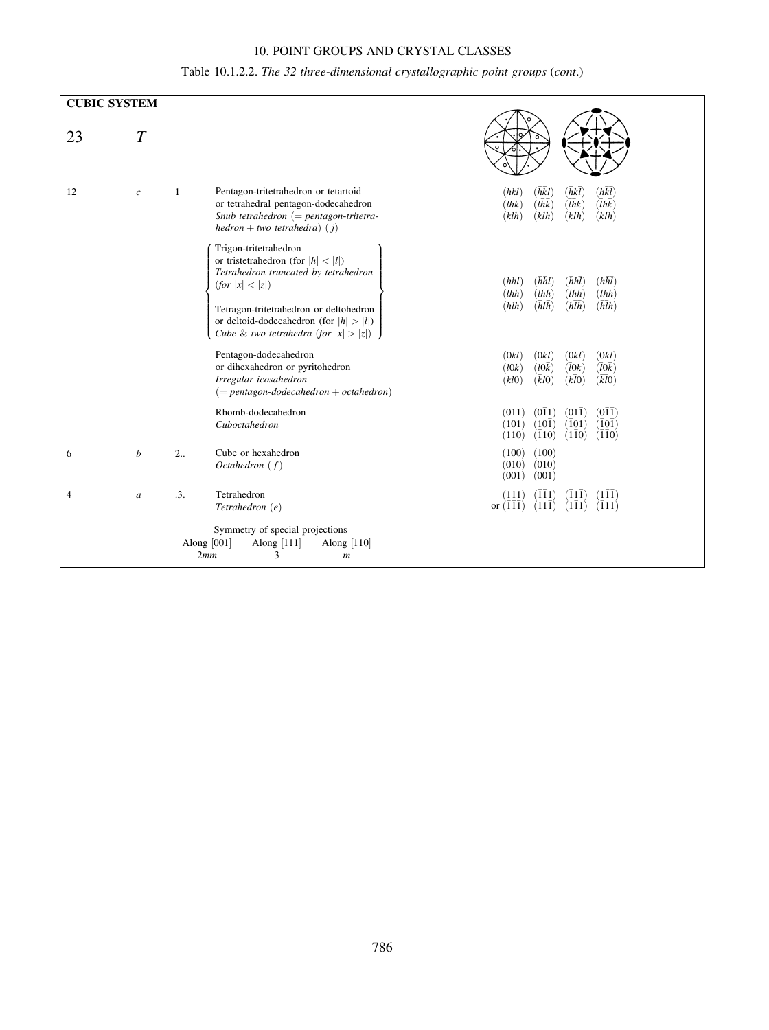| Table 10.1.2.2. The 32 three-dimensional crystallographic point groups (cont.) |  |  |  |  |  |  |  |
|--------------------------------------------------------------------------------|--|--|--|--|--|--|--|
|--------------------------------------------------------------------------------|--|--|--|--|--|--|--|

| <b>CUBIC SYSTEM</b> |                  |                    |                                                                                                                                                                                                                                                               |                                       |                                                                   |                                                                |                                                                                                 |
|---------------------|------------------|--------------------|---------------------------------------------------------------------------------------------------------------------------------------------------------------------------------------------------------------------------------------------------------------|---------------------------------------|-------------------------------------------------------------------|----------------------------------------------------------------|-------------------------------------------------------------------------------------------------|
| 23                  | T                |                    |                                                                                                                                                                                                                                                               |                                       |                                                                   |                                                                |                                                                                                 |
| 12                  | $\boldsymbol{c}$ | $\mathbf{1}$       | Pentagon-tritetrahedron or tetartoid<br>or tetrahedral pentagon-dodecahedron<br>Snub tetrahedron $(=$ pentagon-tritetra-<br>hedron + two tetrahedra) $(j)$                                                                                                    | (hkl)<br>(lhk)<br>(klh)               | $(\bar{h}\bar{k}l)$<br>$(l\bar{h}\bar{k})$<br>$(\bar{k}l\bar{h})$ | $(\bar{h}k\bar{l})$<br>$(\overline{lhk})$<br>$(k\bar{lh})$     | $(h\overline{k}\overline{l})$<br>$(\overline{l}h\overline{k})$<br>$(\overline{k}l)$             |
|                     |                  |                    | Trigon-tritetrahedron<br>or tristetrahedron (for $ h  <  l $ )<br>Tetrahedron truncated by tetrahedron<br>(for  x  <  z )<br>Tetragon-tritetrahedron or deltohedron<br>or deltoid-dodecahedron (for $ h  >  l $ )<br>Cube & two tetrahedra (for $ x  >  z $ ) | (hhl)<br>(lhh)<br>(hlh)               | $(\bar{h}\bar{h}l)$<br>$(l\bar{h}\bar{h})$<br>(hlh)               | $(\bar{h}h\bar{l})$<br>$(\bar{lhh})$<br>(hlh)                  | $(h\overline{hl})$<br>$(\bar{l}h\bar{h})$<br>(hlh)                                              |
|                     |                  |                    | Pentagon-dodecahedron<br>or dihexahedron or pyritohedron<br>Irregular icosahedron<br>$(= pentagon-dodecahedron + octahedron)$                                                                                                                                 | (0kl)<br>(l0k)<br>(kl0)               | $(0\bar{k}l)$<br>$(l0\bar{k})$<br>$(\bar{k}l0)$                   | $(0k\overline{l})$<br>$(\overline{l}0k)$<br>$(k\overline{l}0)$ | $(0\overline{k}\overline{l})$<br>$(\overline{l}0\overline{k})$<br>$(\overline{k1}0)$            |
|                     |                  |                    | Rhomb-dodecahedron<br>Cuboctahedron                                                                                                                                                                                                                           | (011)<br>(101)<br>(110)               | $(0\bar{1}1)$<br>$(10\overline{1})$<br>(110)                      | $(01\bar{1})$<br>$(\overline{1}01)$<br>(110)                   | $(0\overline{1}\overline{1})$<br>$(\overline{1}0\overline{1})$<br>$(\overline{1}\overline{1}0)$ |
| 6                   | $\boldsymbol{b}$ | 2                  | Cube or hexahedron<br>Octahedron $(f)$                                                                                                                                                                                                                        | (100)<br>(010)<br>(001)               | $(\bar{1}00)$<br>$(0\bar{1}0)$<br>$(00\bar{1})$                   |                                                                |                                                                                                 |
| 4                   | $\boldsymbol{a}$ | .3.                | Tetrahedron<br>Tetrahedron $(e)$                                                                                                                                                                                                                              | (111)<br>or $(\bar{1}\bar{1}\bar{1})$ | $(\bar{1}\bar{1}1)$<br>(111)                                      | (111)<br>(111)                                                 | $(1\overline{1}\overline{1})$<br>(111)                                                          |
|                     |                  | Along [001]<br>2mm | Symmetry of special projections<br>Along [111]<br>Along [110]<br>3<br>$\boldsymbol{m}$                                                                                                                                                                        |                                       |                                                                   |                                                                |                                                                                                 |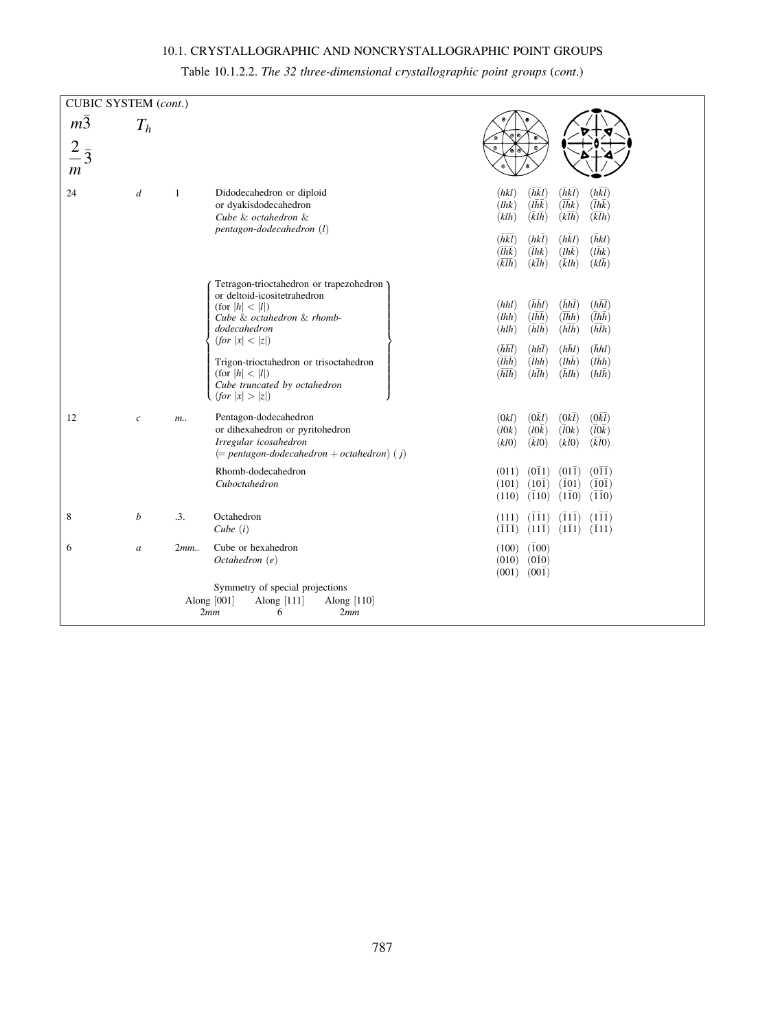| CUBIC SYSTEM (cont.)            |                  |              |                                                                                                                                                                                                                                                                                    |                                                                                                  |                                                                                                                                     |                                                                                                                    |                                                                                                                                            |
|---------------------------------|------------------|--------------|------------------------------------------------------------------------------------------------------------------------------------------------------------------------------------------------------------------------------------------------------------------------------------|--------------------------------------------------------------------------------------------------|-------------------------------------------------------------------------------------------------------------------------------------|--------------------------------------------------------------------------------------------------------------------|--------------------------------------------------------------------------------------------------------------------------------------------|
| $m\overline{3}$                 | $T_h$            |              |                                                                                                                                                                                                                                                                                    |                                                                                                  |                                                                                                                                     |                                                                                                                    |                                                                                                                                            |
| $\frac{2}{3}$<br>$\mathfrak{m}$ |                  |              |                                                                                                                                                                                                                                                                                    | ര                                                                                                |                                                                                                                                     |                                                                                                                    |                                                                                                                                            |
| 24                              | $\boldsymbol{d}$ | $\mathbf{1}$ | Didodecahedron or diploid<br>or dyakisdodecahedron<br>Cube & octahedron &<br>$pentagon-dodecahedron (l)$                                                                                                                                                                           | (hkl)<br>(lhk)<br>(klh)<br>$(\bar{h}\bar{k}\bar{l})$<br>$(\overline{lhk})$<br>$(\overline{klh})$ | $(\bar{h}\bar{k}l)$<br>$(l\bar{h}\bar{k})$<br>$(\bar{k}l\bar{h})$<br>$(hk\overline{l})$<br>$(\overline{lhk})$<br>$(k\overline{l}h)$ | $(\bar{h}k\bar{l})$<br>$(\bar{lhk})$<br>$(k\overline{l}\overline{h})$<br>$(h\bar kl)$<br>$(lh\bar{k})$<br>(klh)    | $(h\overline{k}\overline{l})$<br>$(\overline{lhk})$<br>$(\overline{k} \overline{l} h)$<br>$(\bar{h}kl)$<br>$(l\bar{h}k)$<br>$(kl\bar{h})$  |
|                                 |                  |              | Tetragon-trioctahedron or trapezohedron '<br>or deltoid-icositetrahedron<br>(for $ h  <  l $ )<br>Cube & octahedron & rhomb-<br>dodecahedron<br>(for  x  <  z )<br>Trigon-trioctahedron or trisoctahedron<br>(for $ h  <  l $ )<br>Cube truncated by octahedron<br>(for  x  >  z ) | (hhl)<br>(lhh)<br>(hlh)<br>$(\bar{h}\bar{h}\bar{l})$<br>$(\overline{lhh})$<br>$(\overline{hlh})$ | $(\bar{h}\bar{h}l)$<br>$(l\bar{h}\bar{h})$<br>$(\bar{h}l\bar{h})$<br>$(hh\bar{l})$<br>$(\overline{l}hh)$<br>$(h\bar{I}h)$           | $(\bar{h}h\bar{l})$<br>$(\overline{lh}h)$<br>$(h\overline{lh})$<br>$(h\bar{h}l)$<br>$(lh\bar{h})$<br>$(\bar{h}lh)$ | $(h\overline{h}\overline{l})$<br>$(\overline{l}h\overline{h})$<br>$(\bar{h}\bar{l}h)$<br>$(\bar{h}hl)$<br>$(l\bar{h}h)$<br>$(h l \bar{h})$ |
| 12                              | $\boldsymbol{c}$ | $m$ .        | Pentagon-dodecahedron<br>or dihexahedron or pyritohedron<br>Irregular icosahedron<br>$(= pentagon-dodecahedron + octahedron)$ $(j)$                                                                                                                                                | (0kl)<br>(l0k)<br>(kl0)                                                                          | $(0\bar{k}l)$<br>$(l0\bar{k})$<br>$(\bar{k}l0)$                                                                                     | $(0k\overline{l})$<br>(l0k)<br>$(k\overline{l}0)$                                                                  | $(0\overline{k}\overline{l})$<br>$(\overline{l}0\overline{k})$<br>$(\overline{k1}0)$                                                       |
|                                 |                  |              | Rhomb-dodecahedron<br>Cuboctahedron                                                                                                                                                                                                                                                | (011)<br>(101)<br>(110)                                                                          | $(0\bar{1}1)$<br>(101)<br>$(\bar{1}10)$                                                                                             | $(01\bar{1})$<br>$(\bar{1}01)$<br>(110)                                                                            | $(0\overline{1}\overline{1})$<br>$(\overline{1}0\overline{1})$<br>$(\overline{1}\overline{1}0)$                                            |
| 8                               | b                | .3.          | Octahedron<br>Cube(i)                                                                                                                                                                                                                                                              | (111)<br>$(\overline{1}\overline{1}\overline{1})$                                                | $(\bar{1}\bar{1}1)$<br>$(11\bar{1})$                                                                                                | $(\overline{1}1\overline{1})$<br>$(1\bar{1}1)$                                                                     | $(1\overline{1}\overline{1})$<br>$(\bar{1}11)$                                                                                             |
| 6                               | $\boldsymbol{a}$ | 2mm.         | Cube or hexahedron<br>Octahedron $(e)$                                                                                                                                                                                                                                             | (100)<br>(010)<br>(001)                                                                          | (100)<br>(010)<br>$(00\bar{1})$                                                                                                     |                                                                                                                    |                                                                                                                                            |
|                                 |                  |              | Symmetry of special projections<br>Along $[001]$<br>Along $[111]$<br>Along $[110]$<br>2mm<br>6<br>2mm                                                                                                                                                                              |                                                                                                  |                                                                                                                                     |                                                                                                                    |                                                                                                                                            |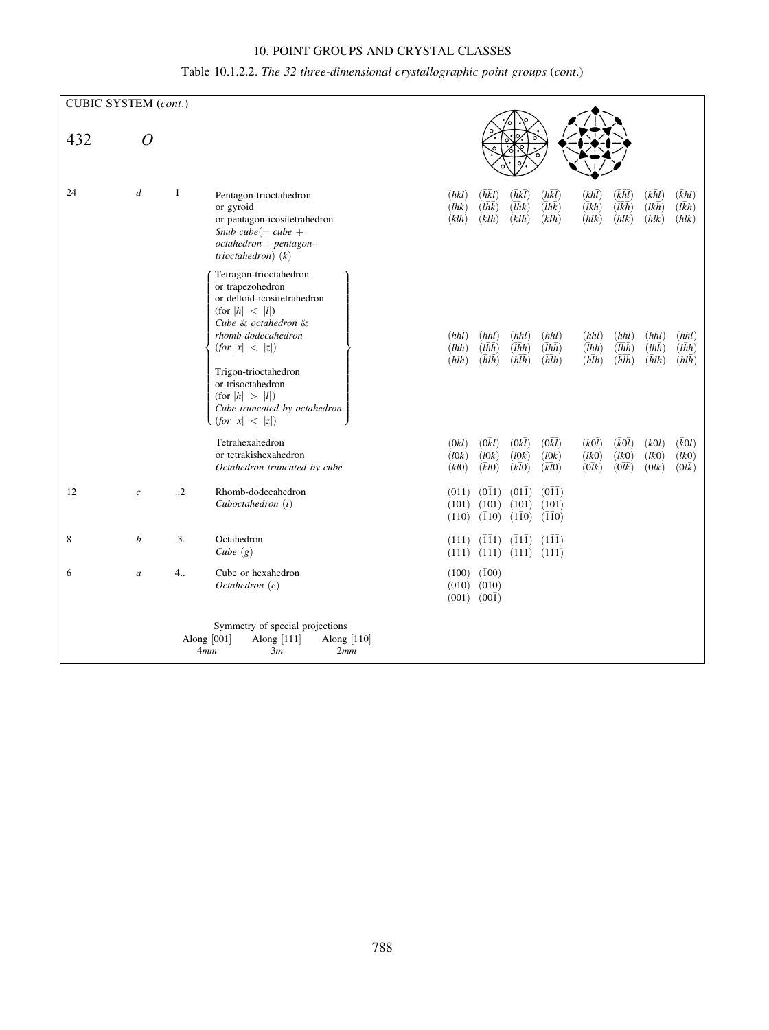| CUBIC SYSTEM (cont.) |                  |                    |                                                                                                                                                                                                                                                                                             |                                                                                                                                                                                                                                                                                                                                                                                                                                                                                                            |
|----------------------|------------------|--------------------|---------------------------------------------------------------------------------------------------------------------------------------------------------------------------------------------------------------------------------------------------------------------------------------------|------------------------------------------------------------------------------------------------------------------------------------------------------------------------------------------------------------------------------------------------------------------------------------------------------------------------------------------------------------------------------------------------------------------------------------------------------------------------------------------------------------|
| 432                  | O                |                    |                                                                                                                                                                                                                                                                                             |                                                                                                                                                                                                                                                                                                                                                                                                                                                                                                            |
| 24                   | $\boldsymbol{d}$ | 1                  | Pentagon-trioctahedron<br>or gyroid<br>or pentagon-icositetrahedron<br>Snub cube $(= cube +$<br>$octahedron + pentagon -$<br>trioctahedron $(k)$                                                                                                                                            | $(\bar{h}k\bar{l})$<br>$(h\overline{k}\overline{l})$<br>$(kh\bar{l})$<br>$(k\bar{h}l)$<br>$(\bar{h}\bar{k}l)$<br>$(\bar{k}\bar{h}\bar{l})$<br>$(\bar{k}hl)$<br>(hkl)<br>$(l\bar{h}\bar{k})$<br>$(\bar{lhk})$<br>$(\overline{l}h\overline{k})$<br>$(\bar{lk}h)$<br>$(\overline{lk}\overline{h})$<br>$(lk\bar{h})$<br>$(l\bar kh)$<br>(lhk)<br>$(h\bar{l}k)$<br>$(\overline{h}\overline{l}\overline{k})$<br>$(\bar{h}$ lk)<br>(klh)<br>$(\bar{k}l\bar{h})$<br>(klh)<br>$(\overline{k}lh)$<br>$(h l \bar{k})$ |
|                      |                  |                    | Tetragon-trioctahedron<br>or trapezohedron<br>or deltoid-icositetrahedron<br>(for $ h  \, < \,  l $ )<br>Cube & octahedron &<br>rhomb-dodecahedron<br>(for  x  <  z )<br>Trigon-trioctahedron<br>or trisoctahedron<br>(for $ h  >  l $ )<br>Cube truncated by octahedron<br>(for  x  <  z ) | $(\bar{h}\bar{h}l)$<br>$(\bar{h}h\bar{l})$<br>$(h\bar{h}l)$<br>$(\bar{h}hl)$<br>(hhl)<br>$(h\overline{hl})$<br>$(hh\bar{l})$<br>$(\bar{h}\bar{h}\bar{l})$<br>(lhh)<br>$(l\bar{h}\bar{h})$<br>$(\bar{lh}h)$<br>$(\bar{l}h\bar{h})$<br>$(\bar{l}hh)$<br>$(\bar{lh}\bar{h})$<br>$(lh\bar{h})$<br>$(l\bar{h}h)$<br>$(\bar{h}l\bar{h})$<br>$(h\bar{I}h)$<br>$(\bar{h}lh)$<br>(hlh)<br>$(h\bar{lh})$<br>$(\bar{h} \bar{l} h)$<br>$(\bar{h}\bar{l}\bar{h})$<br>$(h l \bar{h})$                                    |
|                      |                  |                    | Tetrahexahedron<br>or tetrakishexahedron<br>Octahedron truncated by cube                                                                                                                                                                                                                    | $(0\bar{k}l)$<br>$(0k\overline{l})$<br>$(0\overline{k}\overline{l})$<br>$(k0\bar{l})$<br>$(\bar{k}0\bar{l})$<br>(k0l)<br>$(\bar{k}0l)$<br>(0kl)<br>(l0k)<br>$(l0\bar{k})$<br>$(\overline{l}0k)$<br>$(\overline{l}0\overline{k})$<br>$(\bar{lk}0)$<br>(lk0)<br>$(l\bar{k}0)$<br>$(\overline{lk}0)$<br>(kl0)<br>$(\bar{k}l0)$<br>$(k\overline{l}0)$<br>$(\overline{k10})$<br>$(0\overline{I}k)$<br>$(0\overline{lk})$<br>$(0$ lk $)$<br>$(0 l\bar{k})$                                                       |
| 12                   | $\boldsymbol{c}$ | $\cdot$ .2         | Rhomb-dodecahedron<br>Cuboctahedron (i)                                                                                                                                                                                                                                                     | (011)<br>$(01\bar{1})$<br>$(0\overline{1}\overline{1})$<br>(011)<br>(101)<br>$(\bar{1}01)$<br>$(\overline{1}0\overline{1})$<br>(101)<br>(110)<br>$(\bar{1}10)$<br>$(1\bar{1}0)$<br>$(\overline{1}\overline{1}0)$                                                                                                                                                                                                                                                                                           |
| 8                    | b                | .3.                | Octahedron<br>Cube $(g)$                                                                                                                                                                                                                                                                    | $(\bar{1}1\bar{1})$ $(1\bar{1}\bar{1})$<br>$(\overline{1}\overline{1}1)$<br>(111)<br>$(\overline{1}\overline{1}\overline{1})$<br>$(1\bar{1}1)$ $(\bar{1}11)$<br>$(11\bar{1})$                                                                                                                                                                                                                                                                                                                              |
| 6                    | $\boldsymbol{a}$ | 4                  | Cube or hexahedron<br>Octahedron (e)                                                                                                                                                                                                                                                        | $(\bar{1}00)$<br>(100)<br>(010)<br>(010)<br>$(00\bar{1})$<br>(001)                                                                                                                                                                                                                                                                                                                                                                                                                                         |
|                      |                  | Along [001]<br>4mm | Symmetry of special projections<br>Along $[111]$<br>Along [110]<br>3m<br>2mm                                                                                                                                                                                                                |                                                                                                                                                                                                                                                                                                                                                                                                                                                                                                            |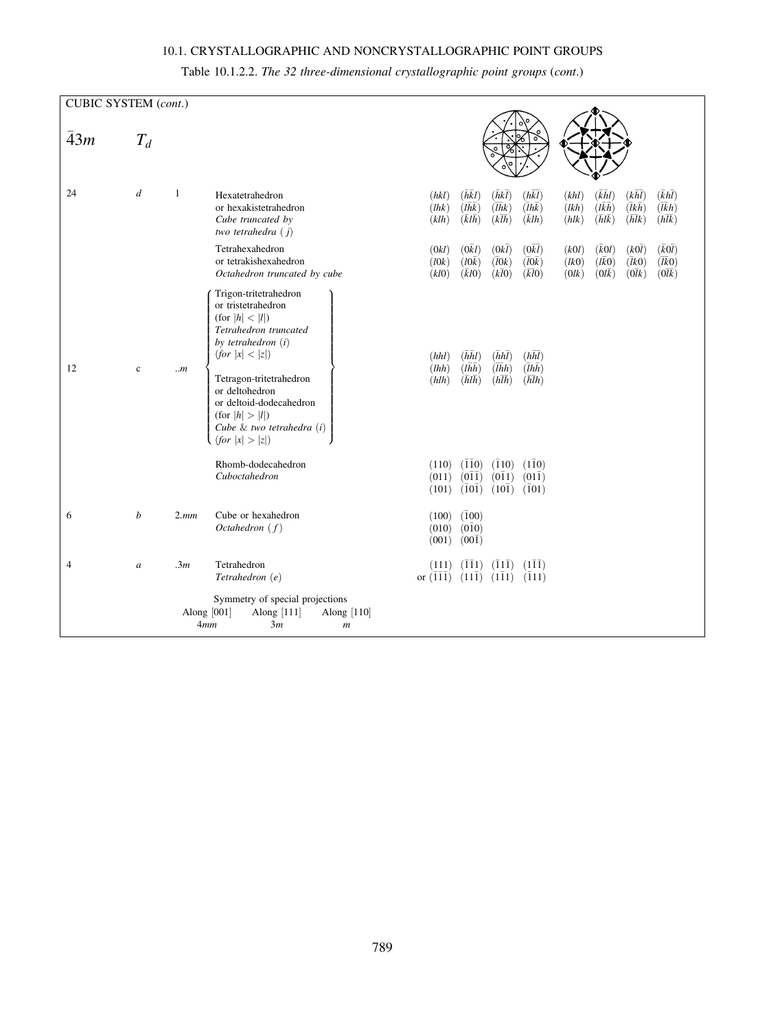| CUBIC SYSTEM (cont.) |                  |                  |                                                                                                                                                                                                                                                                                   |                                       |                                                                                       |                                                                |                                                                                      |                               |                                                                     |                                                                              |                                                            |
|----------------------|------------------|------------------|-----------------------------------------------------------------------------------------------------------------------------------------------------------------------------------------------------------------------------------------------------------------------------------|---------------------------------------|---------------------------------------------------------------------------------------|----------------------------------------------------------------|--------------------------------------------------------------------------------------|-------------------------------|---------------------------------------------------------------------|------------------------------------------------------------------------------|------------------------------------------------------------|
| $\overline{4}3m$     | $T_d$            |                  |                                                                                                                                                                                                                                                                                   |                                       |                                                                                       |                                                                |                                                                                      |                               |                                                                     |                                                                              |                                                            |
| 24                   | $\boldsymbol{d}$ | $\mathbf{1}$     | Hexatetrahedron<br>or hexakistetrahedron<br>Cube truncated by<br>two tetrahedra $(j)$                                                                                                                                                                                             | (hkl)<br>(lhk)<br>(klh)               | $(\bar{h}\bar{k}l)$<br>$(l\bar{h}\bar{k})$<br>$(\bar{k}l\bar{h})$                     | $(\bar{h}k\bar{l})$<br>$(\bar{lhk})$<br>$(k\bar{l}\bar{h})$    | $(h\overline{k}\overline{l})$<br>$(\overline{l}h\overline{k})$<br>$(\bar{k}lh)$      | (khl)<br>(lkh)<br>(hlk)       | $(\bar{k}\bar{h}l)$<br>$(l\bar{k}\bar{h})$<br>$(\bar{h} l \bar{k})$ | $(k\overline{hl})$<br>$(\bar{lk}\bar{h})$<br>$(\overline{h} \overline{l} k)$ | $(\bar{k}h\bar{l})$<br>$(\bar{lk}h)$<br>$(h\overline{lk})$ |
|                      |                  |                  | Tetrahexahedron<br>or tetrakishexahedron<br>Octahedron truncated by cube                                                                                                                                                                                                          | (0kl)<br>(l0k)<br>(kl0)               | $(0\bar{k}l)$<br>$(l0\bar{k})$<br>$(\bar{k}l0)$                                       | $(0k\overline{l})$<br>$(\overline{l}0k)$<br>$(k\overline{l}0)$ | $(0\overline{k}\overline{l})$<br>$(\overline{l}0\overline{k})$<br>$(\overline{k10})$ | (k0l)<br>(lk0)<br>$(0$ lk $)$ | $(\bar{k}0l)$<br>$(l\bar{k}0)$<br>$(0 l\bar{k})$                    | $(k0\bar{l})$<br>$(\bar{lk}0)$<br>$(0\overline{lk})$                         | $(\bar{k}0\bar{l})$<br>$(\bar{lk}0)$<br>$(0\overline{lk})$ |
| 12                   | $\mathbf c$      | $\cdot$ <i>m</i> | Trigon-tritetrahedron<br>or tristetrahedron<br>(for $ h  <  l $ )<br>Tetrahedron truncated<br>by tetrahedron (i)<br>(for  x  <  z )<br>Tetragon-tritetrahedron<br>or deltohedron<br>or deltoid-dodecahedron<br>(for $ h  >  l $ )<br>Cube & two tetrahedra (i)<br>(for  x  >  z ) | (hhl)<br>(lhh)<br>(hlh)               | $(\bar{h}\bar{h}l)$<br>$(l\bar{h}\bar{h})$<br>$(\bar{h} l \bar{h})$                   | $(\bar{h}h\bar{l})$<br>$(\bar{lh}h)$<br>$(h\bar{l}\bar{h})$    | $(h\bar{h}\bar{l})$<br>$(\bar{l}h\bar{h})$<br>$(\bar{h}\bar{l}h)$                    |                               |                                                                     |                                                                              |                                                            |
|                      |                  |                  | Rhomb-dodecahedron<br>Cuboctahedron                                                                                                                                                                                                                                               | (110)<br>(011)<br>(101)               | $(\bar{1}\bar{1}0)$<br>$(0\overline{1}\overline{1})$<br>$(\overline{1}0\overline{1})$ | $(\bar{1}10)$<br>(011)<br>(101)                                | $(1\bar{1}0)$<br>$(01\bar{1})$<br>(101)                                              |                               |                                                                     |                                                                              |                                                            |
| 6                    | b                | 2.mm             | Cube or hexahedron<br>Octahedron $(f)$                                                                                                                                                                                                                                            | (100)<br>(010)<br>(001)               | $(\bar{1}00)$<br>$(0\bar{1}0)$<br>(001)                                               |                                                                |                                                                                      |                               |                                                                     |                                                                              |                                                            |
| 4                    | $\boldsymbol{a}$ | .3m              | Tetrahedron<br>Tetrahedron $(e)$                                                                                                                                                                                                                                                  | (111)<br>or $(\bar{1}\bar{1}\bar{1})$ | $(\overline{1}\overline{1}1)$<br>$(11\bar{1})$                                        | $(\overline{1}1\overline{1})$<br>(111)                         | $(1\overline{1}\overline{1})$<br>$(\bar{1}11)$                                       |                               |                                                                     |                                                                              |                                                            |
|                      |                  |                  | Symmetry of special projections<br>Along [001]<br>Along [111]<br>Along [110]<br>3m<br>4mm<br>$\boldsymbol{m}$                                                                                                                                                                     |                                       |                                                                                       |                                                                |                                                                                      |                               |                                                                     |                                                                              |                                                            |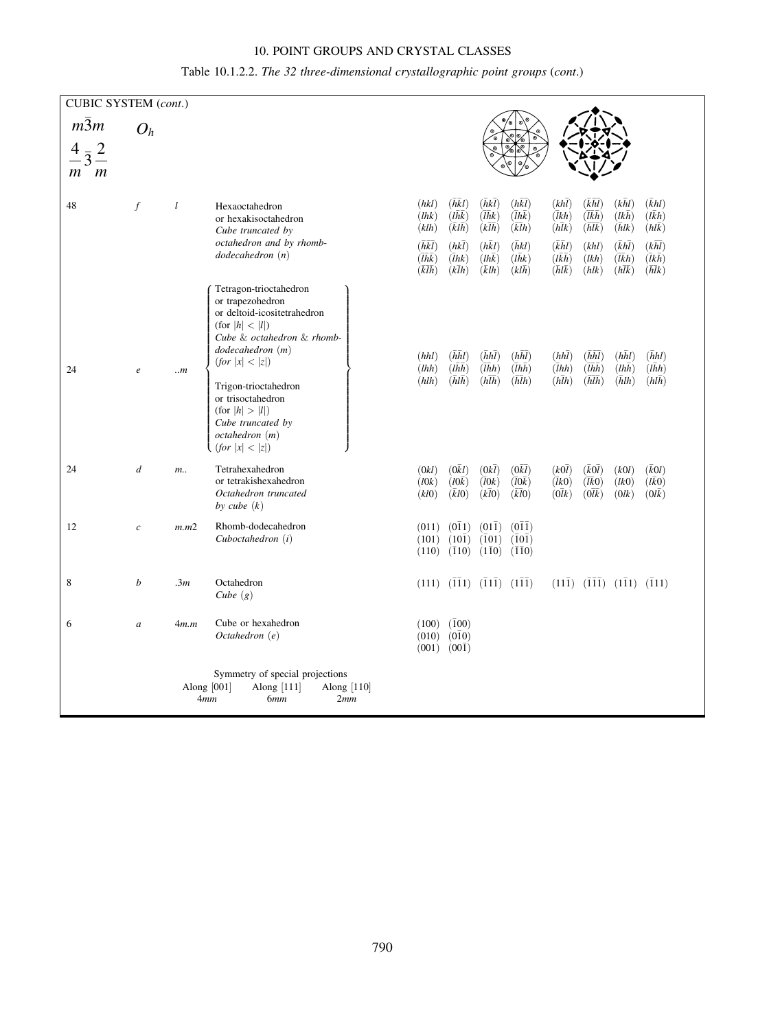| Table 10.1.2.2. The 32 three-dimensional crystallographic point groups (cont.) |  |  |  |
|--------------------------------------------------------------------------------|--|--|--|
|--------------------------------------------------------------------------------|--|--|--|

| CUBIC SYSTEM (cont.)                                                                           |                   |       |                                                                                                                                                                                                                                                                                                 |                                                                                                           |                                                                                                                                     |                                                                                                            |                                                                                                       |                                                                                                             |                                                                                                         |                                                                                                        |                                                                                                                                |
|------------------------------------------------------------------------------------------------|-------------------|-------|-------------------------------------------------------------------------------------------------------------------------------------------------------------------------------------------------------------------------------------------------------------------------------------------------|-----------------------------------------------------------------------------------------------------------|-------------------------------------------------------------------------------------------------------------------------------------|------------------------------------------------------------------------------------------------------------|-------------------------------------------------------------------------------------------------------|-------------------------------------------------------------------------------------------------------------|---------------------------------------------------------------------------------------------------------|--------------------------------------------------------------------------------------------------------|--------------------------------------------------------------------------------------------------------------------------------|
| $m\overline{3}m$<br>$4 -$<br>$\frac{4}{3}$ $\frac{2}{7}$<br>$\mathfrak{m}$<br>$\boldsymbol{m}$ | $O_h$             |       |                                                                                                                                                                                                                                                                                                 |                                                                                                           |                                                                                                                                     |                                                                                                            |                                                                                                       |                                                                                                             |                                                                                                         |                                                                                                        |                                                                                                                                |
| 48                                                                                             | $\mathcal{f}$     | l     | Hexaoctahedron<br>or hexakisoctahedron<br>Cube truncated by<br>octahedron and by rhomb-<br>dodecahedron (n)                                                                                                                                                                                     | (hkl)<br>(lhk)<br>(klh)<br>$(\bar{h}\bar{k}\bar{l})$<br>(lhk)<br>$(\overline{k}\overline{l}\overline{h})$ | $(\bar{h}\bar{k}l)$<br>$(l\bar{h}\bar{k})$<br>$(\bar{k}l\bar{h})$<br>$(hk\overline{l})$<br>$(\overline{l}hk)$<br>$(k\overline{l}h)$ | $(\bar{h}k\bar{l})$<br>$(\bar{lhk})$<br>$(k\overline{lh})$<br>$(h\overline{k}l)$<br>(lhk)<br>$(\bar{k}lh)$ | $(h\overline{k}\overline{l})$<br>$(\bar{lh}\bar{k})$<br>$(\overline{k}l$ h<br>(hkl)<br>(lhk)<br>(klh) | $(kh\bar{l})$<br>$(\bar{lk}h)$<br>$(h\overline{I}k)$<br>$(\bar{k}\bar{h}l)$<br>(lkh)<br>$(\bar{h}l\bar{k})$ | $(\bar{k}\bar{h}\bar{l})$<br>$(\overline{lkh})$<br>$(\bar{h}\bar{l}\bar{k})$<br>(khl)<br>(lkh)<br>(hlk) | $(k\bar{h}l)$<br>$(lk\bar{h})$<br>$(\bar{h}$ lk)<br>$(\bar{k}h\bar{l})$<br>(lkh)<br>$(h\overline{lk})$ | $(\bar{k}hl)$<br>$(l\bar kh)$<br>$(h l \bar{k})$<br>$(k\overline{hl})$<br>$(\bar{lk}\bar{h})$<br>$(\overline{h}\overline{l}k)$ |
| 24                                                                                             | $\boldsymbol{e}$  | $m$   | Tetragon-trioctahedron<br>or trapezohedron<br>or deltoid-icositetrahedron<br>(for $ h  <  l $ )<br>Cube & octahedron & rhomb-<br>dodecahedron(m)<br>(for  x  <  z )<br>Trigon-trioctahedron<br>or trisoctahedron<br>(for $ h  >  l $ )<br>Cube truncated by<br>octahedron(m)<br>(for  x  <  z ) | (hhl)<br>(lhh)<br>(hlh)                                                                                   | $(\bar{h}\bar{h}l)$<br>$(l\bar{h}\bar{h})$<br>(hlh)                                                                                 | $(\bar{h}h\bar{l})$<br>$(\bar{lh}h)$<br>(hlh)                                                              | $(h\overline{hl})$<br>$(\bar{l}h\bar{h})$<br>(hlh)                                                    | $(hh\bar{l})$<br>(lhh)<br>(hlh)                                                                             | $(\bar{h}\bar{h}\bar{l})$<br>$(\overline{lhh})$<br>(hlh)                                                | $(h\bar{h}l)$<br>$(lh\bar{h})$<br>(hlh)                                                                | $(\bar{h}hl)$<br>$(l\bar{h}h)$<br>(hlh)                                                                                        |
| 24                                                                                             | $\boldsymbol{d}$  | $m$ . | Tetrahexahedron<br>or tetrakishexahedron<br>Octahedron truncated<br>by cube $(k)$                                                                                                                                                                                                               | (0kl)<br>(l0k)<br>(kl0)                                                                                   | $(0\bar{k}l)$<br>$(l0\bar{k})$<br>$(\bar{k}l0)$                                                                                     | $(0k\bar{l})$<br>$(\overline{l}0k)$<br>$(k\overline{l}0)$                                                  | $(0\overline{k_1})$<br>$(\overline{l}0\overline{k})$<br>$(\overline{k10})$                            | (k0l)<br>$(\bar{I}k0)$<br>$(0\bar{1}k)$                                                                     | $(\overline{k}0\overline{l})$<br>$(\bar{lk}0)$<br>$(0\overline{lk})$                                    | (k0l)<br>(lk0)<br>$(0$ lk $)$                                                                          | $(\bar{k}0l)$<br>$(l\bar{k}0)$<br>$(0 l\bar{k})$                                                                               |
| 12                                                                                             | $\mathcal{C}_{0}$ | m.m2  | Rhomb-dodecahedron<br>Cuboctahedron (i)                                                                                                                                                                                                                                                         | (011)<br>(101)<br>(110)                                                                                   | (011)<br>(101)<br>(110)                                                                                                             | $(01\bar{1})$<br>$(\bar{1}01)$<br>(110)                                                                    | $(0\overline{1}\overline{1})$<br>$(\overline{1}0\overline{1})$<br>(110)                               |                                                                                                             |                                                                                                         |                                                                                                        |                                                                                                                                |
| 8                                                                                              | $\boldsymbol{b}$  | .3m   | Octahedron<br>Cube $(g)$                                                                                                                                                                                                                                                                        | (111)                                                                                                     |                                                                                                                                     | $(\bar{1}\bar{1}1)$ $(\bar{1}1\bar{1})$ $(1\bar{1}\bar{1})$                                                |                                                                                                       |                                                                                                             | $(11\bar{1})$ $(\bar{1}\bar{1}\bar{1})$ $(1\bar{1}1)$ $(\bar{1}11)$                                     |                                                                                                        |                                                                                                                                |
| 6                                                                                              | $\boldsymbol{a}$  | 4m.m  | Cube or hexahedron<br>Octahedron $(e)$                                                                                                                                                                                                                                                          | (100)<br>(010)<br>(001)                                                                                   | (100)<br>(010)<br>$(00\bar{1})$                                                                                                     |                                                                                                            |                                                                                                       |                                                                                                             |                                                                                                         |                                                                                                        |                                                                                                                                |
|                                                                                                |                   |       | Symmetry of special projections<br>Along [001]<br>Along [111]<br>Along [110]<br>4mm<br>6mm<br>2mm                                                                                                                                                                                               |                                                                                                           |                                                                                                                                     |                                                                                                            |                                                                                                       |                                                                                                             |                                                                                                         |                                                                                                        |                                                                                                                                |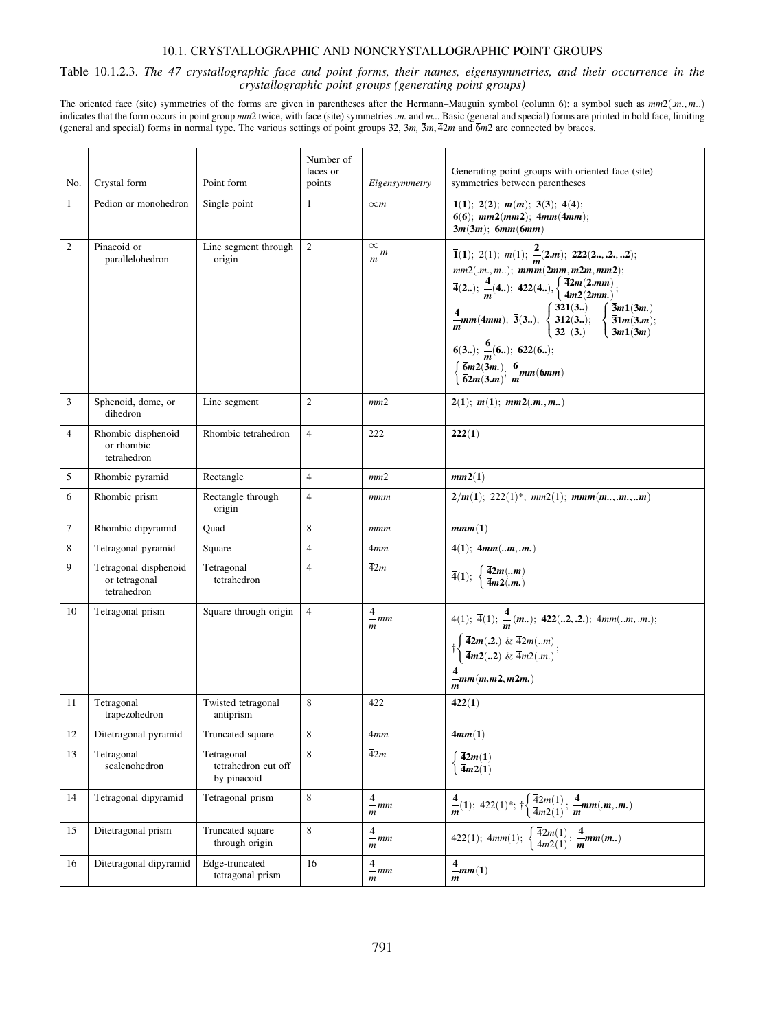#### Table 10.1.2.3. *The 47 crystallographic face and point forms, their names, eigensymmetries, and their occurrence in the crystallographic point groups (generating point groups)*

The oriented face (site) symmetries of the forms are given in parentheses after the Hermann–Mauguin symbol (column 6); a symbol such as  $mm2(m, m, n)$ indicates that the form occurs in point group *mm*2 twice, with face (site) symmetries *.m.* and *m...* Basic (general and special) forms are printed in bold face, limiting (general and special) forms in normal type. The various settings of point groups 32,  $3m$ ,  $\overline{3}m$ ,  $\overline{4}2m$  and  $\overline{6}m2$  are connected by braces.

| No.          | Crystal form                                          | Point form                                       | Number of<br>faces or<br>points | Eigensymmetry                               | Generating point groups with oriented face (site)<br>symmetries between parentheses                                                                                                                                                                                                                                                                                                                                                                                                                                                                                  |
|--------------|-------------------------------------------------------|--------------------------------------------------|---------------------------------|---------------------------------------------|----------------------------------------------------------------------------------------------------------------------------------------------------------------------------------------------------------------------------------------------------------------------------------------------------------------------------------------------------------------------------------------------------------------------------------------------------------------------------------------------------------------------------------------------------------------------|
| $\mathbf{1}$ | Pedion or monohedron                                  | Single point                                     | 1                               | $\infty$ m                                  | 1(1); 2(2); m(m); 3(3); 4(4);<br>6(6); mm2(mm2); 4mm(4mm);<br>$3m(3m)$ ; $6mm(6mm)$                                                                                                                                                                                                                                                                                                                                                                                                                                                                                  |
| 2            | Pinacoid or<br>parallelohedron                        | Line segment through<br>origin                   | 2                               | $\frac{\infty}{m}$<br>$\boldsymbol{m}$      | $\overline{1}(1); 2(1); m(1); \frac{2}{m}(2,m); 222(2,2,2);$<br>$mm2(m, m.); mmm(2mm, m2m, mm2);$<br>$\frac{4}{m}\left(2 \right); \frac{4}{m}\left(4 \right); \frac{422(4)}{3}\left\{\frac{32m(2mm)}{4m2(2mm)}\right\}$<br>$\frac{4}{m}\left(4mm \right); \frac{3}{3}\left(3 \right); \left\{\begin{array}{l} 321(3) \\ 312(3) \\ 32 (3) \end{array}\right\} \frac{3m1(3m)}{3m1(3m)}$<br>$\overline{6}(3)$ ; $\frac{6}{m}(6)$ ; 622(6);<br>$\left\{\n \begin{array}{l}\n \overline{6}m2(3m, ) \\  \overline{6}2m(3.m);\n \end{array}\n \right.\n \frac{6}{m}mm(6mm)$ |
| 3            | Sphenoid, dome, or<br>dihedron                        | Line segment                                     | $\overline{c}$                  | mm2                                         | 2(1); m(1); mm2(m, m, m)                                                                                                                                                                                                                                                                                                                                                                                                                                                                                                                                             |
| 4            | Rhombic disphenoid<br>or rhombic<br>tetrahedron       | Rhombic tetrahedron                              | $\overline{4}$                  | 222                                         | 222(1)                                                                                                                                                                                                                                                                                                                                                                                                                                                                                                                                                               |
| 5            | Rhombic pyramid                                       | Rectangle                                        | $\overline{4}$                  | mm2                                         | mm2(1)                                                                                                                                                                                                                                                                                                                                                                                                                                                                                                                                                               |
| 6            | Rhombic prism                                         | Rectangle through<br>origin                      | 4                               | mmm                                         | $2/m(1)$ ; 222(1)*; mm2(1); mmm(m,m.,.m)                                                                                                                                                                                                                                                                                                                                                                                                                                                                                                                             |
| 7            | Rhombic dipyramid                                     | Quad                                             | 8                               | mmm                                         | mmm(1)                                                                                                                                                                                                                                                                                                                                                                                                                                                                                                                                                               |
| 8            | Tetragonal pyramid                                    | Square                                           | 4                               | 4mm                                         | 4(1); 4mm(mm.)                                                                                                                                                                                                                                                                                                                                                                                                                                                                                                                                                       |
| 9            | Tetragonal disphenoid<br>or tetragonal<br>tetrahedron | Tetragonal<br>tetrahedron                        | $\overline{4}$                  | $\overline{4}2m$                            | $\overline{4}(1); \ \ \{\frac{\overline{4}2m(m)}{\overline{4}m2(m)}$                                                                                                                                                                                                                                                                                                                                                                                                                                                                                                 |
| 10           | Tetragonal prism                                      | Square through origin                            | $\overline{4}$                  | $\frac{4}{2}$ mm<br>$\boldsymbol{m}$        | 4(1); $\overline{4}(1)$ ; $\frac{4}{m}(m)$ ; 422(2, .2.); 4mm(m, .m.);<br>$+\left\{\frac{\overline{4}2m(.2.)\ \&\ \overline{4}2m(m)}{\overline{4}m2(.2)\ \&\ \overline{4}m2()},\right\}$<br>$\frac{4}{2}mm(m.m2,m2m.)$<br>‴                                                                                                                                                                                                                                                                                                                                          |
| 11           | Tetragonal<br>trapezohedron                           | Twisted tetragonal<br>antiprism                  | 8                               | 422                                         | 422(1)                                                                                                                                                                                                                                                                                                                                                                                                                                                                                                                                                               |
| 12           | Ditetragonal pyramid                                  | Truncated square                                 | 8                               | 4mm                                         | 4mm(1)                                                                                                                                                                                                                                                                                                                                                                                                                                                                                                                                                               |
| 13           | Tetragonal<br>scalenohedron                           | Tetragonal<br>tetrahedron cut off<br>by pinacoid | 8                               | $\overline{4}2m$                            | $\overline{4}2m(1)$<br>$\overline{4}m2(1)$                                                                                                                                                                                                                                                                                                                                                                                                                                                                                                                           |
| 14           | Tetragonal dipyramid                                  | Tetragonal prism                                 | 8                               | $\overline{4}$<br>$-mm$<br>$\boldsymbol{m}$ | $\frac{4}{m}(1); 422(1)$ <sup>*</sup> ; $\frac{4}{4}\left\{\frac{\overline{4}2m(1)}{\overline{4}m2(1)};\frac{4}{m}mm(m,m) \right\}$                                                                                                                                                                                                                                                                                                                                                                                                                                  |
| 15           | Ditetragonal prism                                    | Truncated square<br>through origin               | 8                               | $\frac{4}{2}$ mm<br>$\boldsymbol{m}$        | 422(1); $4mm(1)$ ; $\begin{cases} \frac{1}{4}2m(1) \\ \frac{1}{4}m(1) \end{cases}$ ; $\frac{4}{m}mn(m.)$                                                                                                                                                                                                                                                                                                                                                                                                                                                             |
| 16           | Ditetragonal dipyramid                                | Edge-truncated<br>tetragonal prism               | 16                              | $\overline{\mathcal{A}}$<br>$-mm$<br>m      | $\frac{4}{2}$ mm $(1)$                                                                                                                                                                                                                                                                                                                                                                                                                                                                                                                                               |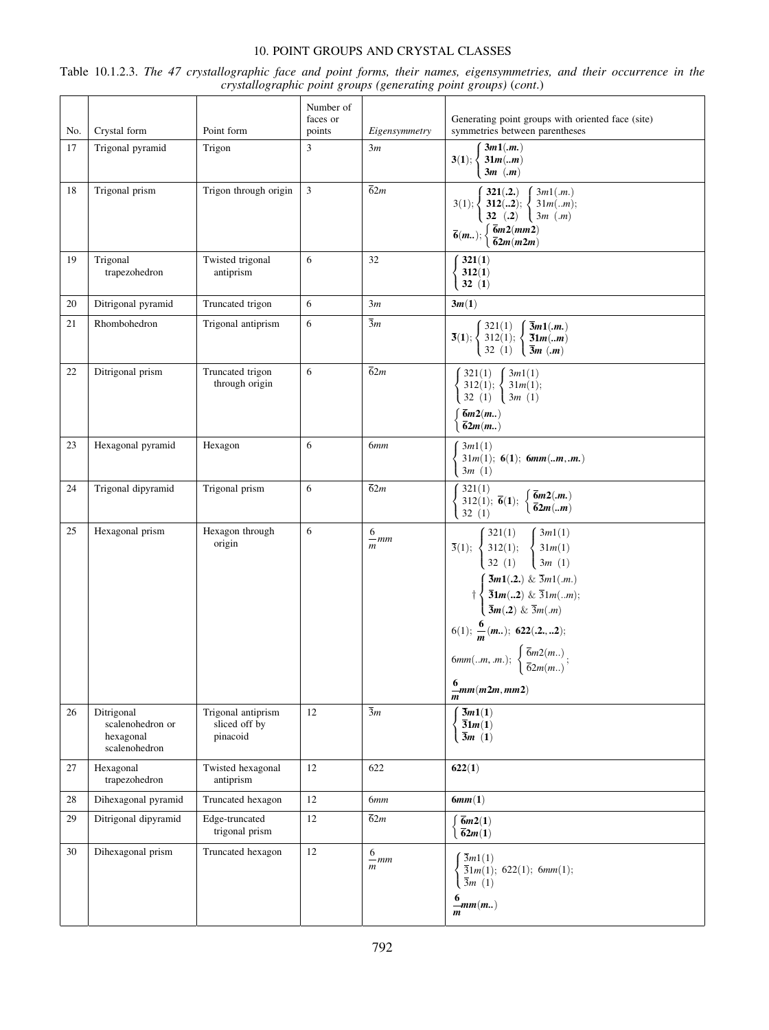|                                                                 |  | Table 10.1.2.3. The 47 crystallographic face and point forms, their names, eigensymmetries, and their occurrence in the |  |  |  |  |  |  |  |  |  |  |
|-----------------------------------------------------------------|--|-------------------------------------------------------------------------------------------------------------------------|--|--|--|--|--|--|--|--|--|--|
| crystallographic point groups (generating point groups) (cont.) |  |                                                                                                                         |  |  |  |  |  |  |  |  |  |  |

| No. | Crystal form                                                 | Point form                                      | Number of<br>faces or<br>points | Eigensymmetry                      | Generating point groups with oriented face (site)<br>symmetries between parentheses                                                                                                                                                                                                                                                                                                                                      |
|-----|--------------------------------------------------------------|-------------------------------------------------|---------------------------------|------------------------------------|--------------------------------------------------------------------------------------------------------------------------------------------------------------------------------------------------------------------------------------------------------------------------------------------------------------------------------------------------------------------------------------------------------------------------|
| 17  | Trigonal pyramid                                             | Trigon                                          | 3                               | 3m                                 | 3m1(m.)<br>3(1);<br>31m(m)<br>$3m$ $(m)$                                                                                                                                                                                                                                                                                                                                                                                 |
| 18  | Trigonal prism                                               | Trigon through origin                           | 3                               | $\overline{6}2m$                   | 3m1(m.)<br>321(.2.)<br>312(2); $\langle$<br>31m(m);<br>3(1);<br>32 $(.2)$<br>$3m$ $(m)$<br>$\overline{6}m2(mm2)$<br>$\overline{\mathbf{6}}(\mathbf{m});$<br>$\overline{6}2m(m2m)$                                                                                                                                                                                                                                        |
| 19  | Trigonal<br>trapezohedron                                    | Twisted trigonal<br>antiprism                   | 6                               | 32                                 | 321(1)<br>312(1)<br>32 $(1)$                                                                                                                                                                                                                                                                                                                                                                                             |
| 20  | Ditrigonal pyramid                                           | Truncated trigon                                | $\sqrt{6}$                      | 3m                                 | 3m(1)                                                                                                                                                                                                                                                                                                                                                                                                                    |
| 21  | Rhombohedron                                                 | Trigonal antiprism                              | 6                               | $\overline{3}m$                    | $\overline{3}m1(m.)$<br>321(1)<br>$\overline{3}(1); \{ 312(1); \{$<br>$\overline{3}1m(m)$<br>32(1)<br>$\sqrt{3}m$ (.m)                                                                                                                                                                                                                                                                                                   |
| 22  | Ditrigonal prism                                             | Truncated trigon<br>through origin              | 6                               | $\overline{6}2m$                   | 3m1(1)<br>321(1)<br>$312(1); \{ 31m(1);$<br>32(1)<br>3m(1)<br>$\overline{6}m2(m.)$<br>$\overline{6}2m(m.)$                                                                                                                                                                                                                                                                                                               |
| 23  | Hexagonal pyramid                                            | Hexagon                                         | 6                               | 6 <sub>mm</sub>                    | 3m1(1)<br>$31m(1);$ 6(1); 6mm(m, .m.)<br>3m(1)                                                                                                                                                                                                                                                                                                                                                                           |
| 24  | Trigonal dipyramid                                           | Trigonal prism                                  | 6                               | $\overline{6}2m$                   | 321(1)<br>$\overline{6}m2(m.)$<br>$312(1); \overline{6}(1);$<br>$\overline{6}2m(m)$<br>32 $(1)$                                                                                                                                                                                                                                                                                                                          |
| 25  | Hexagonal prism                                              | Hexagon through<br>origin                       | 6                               | $rac{6}{2}$ mm<br>$\boldsymbol{m}$ | 321(1)<br>3m1(1)<br>312(1);<br>$\overline{3}(1);$<br>31m(1)<br>32(1)<br>3m(1)<br>$\overline{3}m1(.2.) \& \overline{3}m1(.m.)$<br>$\dagger \left\{ \frac{\overline{3}1m(.2)}{\overline{3}m(.2)} \& \frac{\overline{3}1m(.m)}{\overline{3}m(.2)} \right\}$<br>6(1); $\frac{6}{m}(m)$ ; 622(.2., 2);<br>$\begin{cases} \overline{6}m2(m) \\ \overline{6}2m(m) \end{cases}$<br>6mm(m, .m.);<br>$6$ <sub>-mm</sub> (m2m, mm2) |
| 26  | Ditrigonal<br>scalenohedron or<br>hexagonal<br>scalenohedron | Trigonal antiprism<br>sliced off by<br>pinacoid | 12                              | $\overline{3}m$                    | $\overline{3}m1(1)$<br>$\overline{3}1m(1)$<br>$\overline{3}m(1)$                                                                                                                                                                                                                                                                                                                                                         |
| 27  | Hexagonal<br>trapezohedron                                   | Twisted hexagonal<br>antiprism                  | 12                              | 622                                | 622(1)                                                                                                                                                                                                                                                                                                                                                                                                                   |
| 28  | Dihexagonal pyramid                                          | Truncated hexagon                               | 12                              | 6 <i>mm</i>                        | 6mm(1)                                                                                                                                                                                                                                                                                                                                                                                                                   |
| 29  | Ditrigonal dipyramid                                         | Edge-truncated<br>trigonal prism                | 12                              | $\overline{6}2m$                   | $\overline{6}m2(1)$<br>$\overline{6}2m(1)$                                                                                                                                                                                                                                                                                                                                                                               |
| 30  | Dihexagonal prism                                            | Truncated hexagon                               | 12                              | 6<br>$-mm$<br>$\boldsymbol{m}$     | $\overline{3}m1(1)$<br>$\overline{31m(1)}$ ; 622(1); 6mm(1);<br>$\overline{3}m(1)$<br>$\frac{6}{m}mm(m.)$                                                                                                                                                                                                                                                                                                                |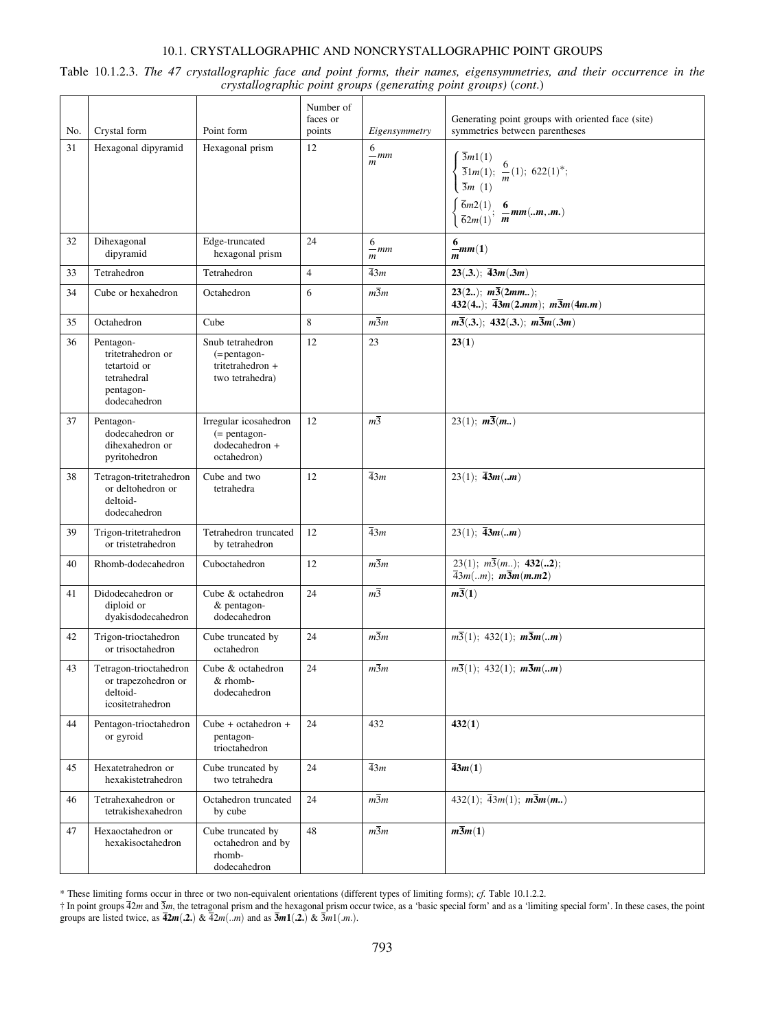|                                                                 |  |  |  |  |  |  |  |  |  |  | Table 10.1.2.3. The 47 crystallographic face and point forms, their names, eigensymmetries, and their occurrence in the |  |  |  |  |  |
|-----------------------------------------------------------------|--|--|--|--|--|--|--|--|--|--|-------------------------------------------------------------------------------------------------------------------------|--|--|--|--|--|
| crystallographic point groups (generating point groups) (cont.) |  |  |  |  |  |  |  |  |  |  |                                                                                                                         |  |  |  |  |  |

| No. | Crystal form                                                                               | Point form                                                                    | Number of<br>faces or<br>points | Eigensymmetry                  | Generating point groups with oriented face (site)<br>symmetries between parentheses                                                                                                |
|-----|--------------------------------------------------------------------------------------------|-------------------------------------------------------------------------------|---------------------------------|--------------------------------|------------------------------------------------------------------------------------------------------------------------------------------------------------------------------------|
| 31  | Hexagonal dipyramid                                                                        | Hexagonal prism                                                               | 12                              | 6<br>$-mm$<br>$\boldsymbol{m}$ | $\overline{3}m1(1)$<br>$rac{5m(1)}{31m(1)}$ ; $rac{6}{m}(1)$ ; 622(1) <sup>*</sup> ;<br>$\overline{3}m(1)$<br>$\frac{\overline{6}m2(1)}{\overline{6}2m(1)}$ ; $\frac{6}{m}mm(mm.)$ |
| 32  | Dihexagonal<br>dipyramid                                                                   | Edge-truncated<br>hexagonal prism                                             | 24                              | 6<br>$-mm$<br>$\boldsymbol{m}$ | 6<br>$\frac{m}{m}$ mm $(1)$                                                                                                                                                        |
| 33  | Tetrahedron                                                                                | Tetrahedron                                                                   | $\overline{4}$                  | $\overline{4}3m$               | $23(.3.); \overline{4}3m(.3m)$                                                                                                                                                     |
| 34  | Cube or hexahedron                                                                         | Octahedron                                                                    | 6                               | $m\overline{3}m$               | 23(2); $m\overline{3}(2mm)$ ;<br>432(4); $\overline{4}3m(2,mm)$ ; $m\overline{3}m(4m,m)$                                                                                           |
| 35  | Octahedron                                                                                 | Cube                                                                          | $\,8\,$                         | $m\overline{3}m$               | $m\overline{3}(.3.); 432(.3.); m\overline{3}m(.3m)$                                                                                                                                |
| 36  | Pentagon-<br>tritetrahedron or<br>tetartoid or<br>tetrahedral<br>pentagon-<br>dodecahedron | Snub tetrahedron<br>$( = pentagon - )$<br>tritetrahedron +<br>two tetrahedra) | 12                              | 23                             | 23(1)                                                                                                                                                                              |
| 37  | Pentagon-<br>dodecahedron or<br>dihexahedron or<br>pyritohedron                            | Irregular icosahedron<br>$(=$ pentagon-<br>dodecahedron +<br>octahedron)      | 12                              | $m\overline{3}$                | 23(1); $m\overline{3}(m.)$                                                                                                                                                         |
| 38  | Tetragon-tritetrahedron<br>or deltohedron or<br>deltoid-<br>dodecahedron                   | Cube and two<br>tetrahedra                                                    | 12                              | $\overline{4}3m$               | 23(1); $\overline{4}3m(.m)$                                                                                                                                                        |
| 39  | Trigon-tritetrahedron<br>or tristetrahedron                                                | Tetrahedron truncated<br>by tetrahedron                                       | 12                              | $\overline{4}3m$               | $23(1); \overline{4}3m(m)$                                                                                                                                                         |
| 40  | Rhomb-dodecahedron                                                                         | Cuboctahedron                                                                 | 12                              | $m\overline{3}m$               | 23(1); $m\overline{3}(m.)$ ; 432(2);<br>$\overline{4}3m(m); m\overline{3}m(m.m2)$                                                                                                  |
| 41  | Didodecahedron or<br>diploid or<br>dyakisdodecahedron                                      | Cube & octahedron<br>& pentagon-<br>dodecahedron                              | 24                              | $m\overline{3}$                | $m\overline{3}(1)$                                                                                                                                                                 |
| 42  | Trigon-trioctahedron<br>or trisoctahedron                                                  | Cube truncated by<br>octahedron                                               | 24                              | $m\overline{3}m$               | $\overline{m\overline{3}(1)}$ ; 432(1); $m\overline{3}m(m)$                                                                                                                        |
| 43  | Tetragon-trioctahedron<br>or trapezohedron or<br>deltoid-<br>icositetrahedron              | Cube & octahedron<br>$&$ rhomb-<br>dodecahedron                               | 24                              | $m\overline{3}m$               | $m\overline{3}(1); 432(1); m\overline{3}m(m)$                                                                                                                                      |
| 44  | Pentagon-trioctahedron<br>or gyroid                                                        | Cube + octahedron +<br>pentagon-<br>trioctahedron                             | 24                              | 432                            | 432(1)                                                                                                                                                                             |
| 45  | Hexatetrahedron or<br>hexakistetrahedron                                                   | Cube truncated by<br>two tetrahedra                                           | 24                              | $\overline{4}3m$               | $\overline{4}3m(1)$                                                                                                                                                                |
| 46  | Tetrahexahedron or<br>tetrakishexahedron                                                   | Octahedron truncated<br>by cube                                               | 24                              | $m\overline{3}m$               | 432(1); $\overline{4}3m(1)$ ; $m\overline{3}m(m.)$                                                                                                                                 |
| 47  | Hexaoctahedron or<br>hexakisoctahedron                                                     | Cube truncated by<br>octahedron and by<br>rhomb-<br>dodecahedron              | 48                              | $m\overline{3}m$               | $m\overline{3}m(1)$                                                                                                                                                                |

\* These limiting forms occur in three or two non-equivalent orientations (different types of limiting forms); *cf.* Table 10.1.2.2.

† In point groups 42*m* and 3*m*, the tetragonal prism and the hexagonal prism occur twice, as a 'basic special form' and as a 'limiting special form'. In these cases, the point groups are listed twice, as  $42m(.2.)$  &  $42m(..m)$  and as  $3m1(.2.)$  &  $3m1(m.)$ .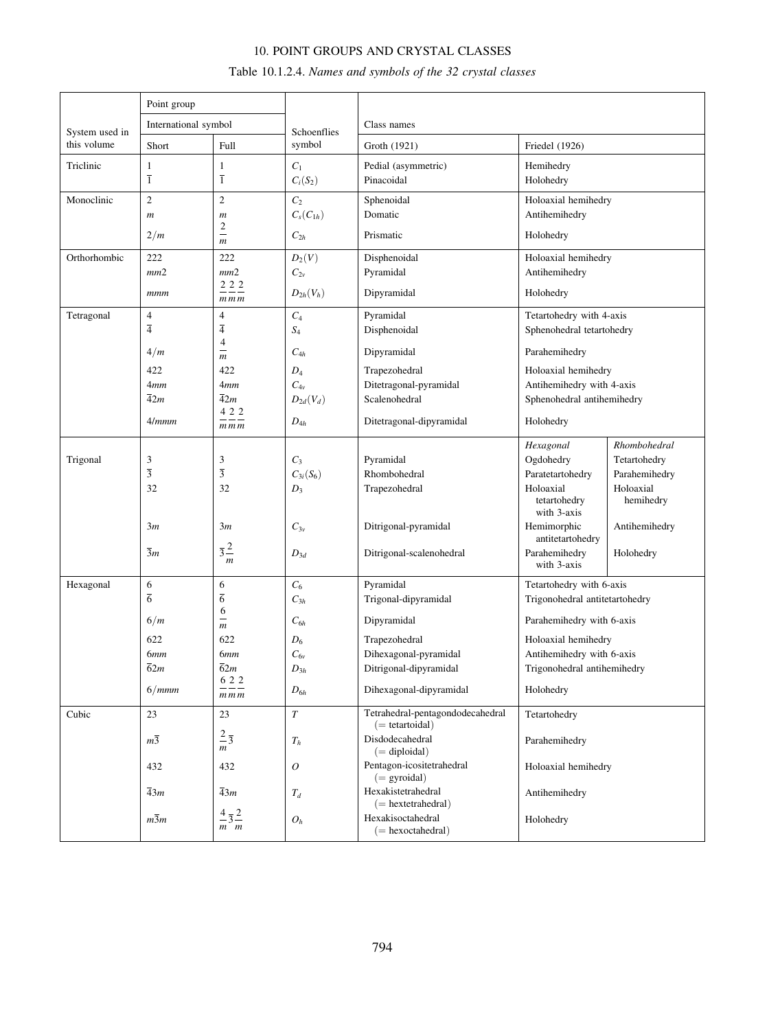# Table 10.1.2.4. *Names and symbols of the 32 crystal classes*

|                | Point group                                |                                               |                     |                                                           |                                          |                        |  |  |  |  |  |
|----------------|--------------------------------------------|-----------------------------------------------|---------------------|-----------------------------------------------------------|------------------------------------------|------------------------|--|--|--|--|--|
| System used in | International symbol                       |                                               | Schoenflies         | Class names                                               |                                          |                        |  |  |  |  |  |
| this volume    | Short                                      | Full                                          | symbol              | Groth (1921)                                              | Friedel (1926)                           |                        |  |  |  |  |  |
| Triclinic      | 1<br>1<br>$\overline{1}$<br>$\overline{1}$ |                                               | $C_1$<br>$C_i(S_2)$ | Pedial (asymmetric)<br>Pinacoidal                         | Hemihedry<br>Holohedry                   |                        |  |  |  |  |  |
| Monoclinic     | $\sqrt{2}$                                 | $\overline{2}$                                | $C_2$               | Sphenoidal                                                | Holoaxial hemihedry                      |                        |  |  |  |  |  |
|                | $\,m$                                      | $\boldsymbol{m}$<br>2                         | $C_s(C_{1h})$       | Domatic                                                   | Antihemihedry                            |                        |  |  |  |  |  |
|                | 2/m                                        | $\boldsymbol{m}$                              | $C_{2h}$            | Prismatic                                                 | Holohedry                                |                        |  |  |  |  |  |
| Orthorhombic   | 222                                        | 222                                           | $D_2(V)$            | Disphenoidal                                              | Holoaxial hemihedry                      |                        |  |  |  |  |  |
|                | mm2                                        | mm2<br>222                                    | $C_{2v}$            | Pyramidal                                                 | Antihemihedry                            |                        |  |  |  |  |  |
|                | mmm                                        | m m m                                         | $D_{2h}(V_h)$       | Dipyramidal                                               | Holohedry                                |                        |  |  |  |  |  |
| Tetragonal     | 4                                          | $\overline{4}$                                | $C_4$               | Pyramidal                                                 | Tetartohedry with 4-axis                 |                        |  |  |  |  |  |
|                | $\overline{4}$                             | $\overline{4}$<br>4                           | $S_4$               | Disphenoidal                                              | Sphenohedral tetartohedry                |                        |  |  |  |  |  |
|                | 4/m                                        | $\boldsymbol{m}$                              | $C_{4h}$            | Dipyramidal                                               | Parahemihedry                            |                        |  |  |  |  |  |
|                | 422                                        | 422                                           | $D_4$               | Trapezohedral                                             | Holoaxial hemihedry                      |                        |  |  |  |  |  |
|                | 4mm<br>4mm                                 |                                               | $C_{4v}$            | Ditetragonal-pyramidal                                    | Antihemihedry with 4-axis                |                        |  |  |  |  |  |
|                | $\overline{4}2m$<br>$\overline{4}2m$       |                                               | $D_{2d}(V_d)$       | Scalenohedral                                             | Sphenohedral antihemihedry               |                        |  |  |  |  |  |
|                | 4/mmm                                      | 4 2 2<br>m m m                                | $D_{4h}$            | Ditetragonal-dipyramidal                                  | Holohedry                                |                        |  |  |  |  |  |
|                |                                            |                                               |                     |                                                           | Hexagonal                                | Rhombohedral           |  |  |  |  |  |
| Trigonal       | 3                                          | 3                                             | $C_3$               | Pyramidal                                                 | Ogdohedry                                | Tetartohedry           |  |  |  |  |  |
|                | $\overline{3}$                             | $\overline{3}$                                | $C_{3i}(S_6)$       | Rhombohedral                                              | Paratetartohedry                         | Parahemihedry          |  |  |  |  |  |
|                | 32                                         | 32                                            | $D_3$               | Trapezohedral                                             | Holoaxial<br>tetartohedry<br>with 3-axis | Holoaxial<br>hemihedry |  |  |  |  |  |
|                | 3m                                         | 3m                                            | $C_{3v}$            | Ditrigonal-pyramidal                                      | Hemimorphic<br>antitetartohedry          | Antihemihedry          |  |  |  |  |  |
|                | $\overline{3}m$                            | $\bar{3}^{\underline{2}}$<br>$\boldsymbol{m}$ | $D_{3d}$            | Ditrigonal-scalenohedral                                  | Parahemihedry<br>with 3-axis             | Holohedry              |  |  |  |  |  |
| Hexagonal      | 6                                          | 6                                             | $C_6$               | Pyramidal                                                 | Tetartohedry with 6-axis                 |                        |  |  |  |  |  |
|                | $\overline{6}$                             | $\overline{6}$                                | $C_{3h}$            | Trigonal-dipyramidal                                      | Trigonohedral antitetartohedry           |                        |  |  |  |  |  |
|                | 6<br>6/m<br>$C_{6h}$<br>m                  |                                               |                     | Dipyramidal                                               | Parahemihedry with 6-axis                |                        |  |  |  |  |  |
|                | 622<br>622                                 |                                               | $D_6$               | Trapezohedral                                             | Holoaxial hemihedry                      |                        |  |  |  |  |  |
|                | 6mm                                        | 6 <sub>mm</sub>                               | $C_{6v}$            | Dihexagonal-pyramidal                                     | Antihemihedry with 6-axis                |                        |  |  |  |  |  |
|                | $\overline{6}2m$                           | $\overline{6}2m$                              | $D_{3h}$            | Ditrigonal-dipyramidal                                    | Trigonohedral antihemihedry              |                        |  |  |  |  |  |
|                | 6/mmm                                      | 6 2 2<br>$m\,m\,m$                            | $D_{6h}$            | Dihexagonal-dipyramidal                                   | Holohedry                                |                        |  |  |  |  |  |
| Cubic          | 23                                         | 23                                            | $\overline{T}$      | Tetrahedral-pentagondodecahedral<br>$($ = tetartoidal $)$ | Tetartohedry                             |                        |  |  |  |  |  |
|                | $m\overline{3}$                            | $\frac{2}{3}$<br>$T_h$<br>$\boldsymbol{m}$    |                     | Disdodecahedral<br>$($ = diploidal $)$                    | Parahemihedry                            |                        |  |  |  |  |  |
|                | 432                                        | 432                                           | 0                   | Pentagon-icositetrahedral<br>$($ = gyroidal $)$           | Holoaxial hemihedry                      |                        |  |  |  |  |  |
|                | $\overline{4}3m$                           | $\overline{4}3m$                              | $T_d$               | Hexakistetrahedral<br>$($ = hextetrahedral $)$            | Antihemihedry                            |                        |  |  |  |  |  |
|                | $m\overline{3}m$                           | $\frac{4}{3}$ $\frac{2}{3}$<br>$m$ $m$        | ${\mathcal O}_h$    | Hexakisoctahedral<br>$($ = hexoctahedral $)$              | Holohedry                                |                        |  |  |  |  |  |